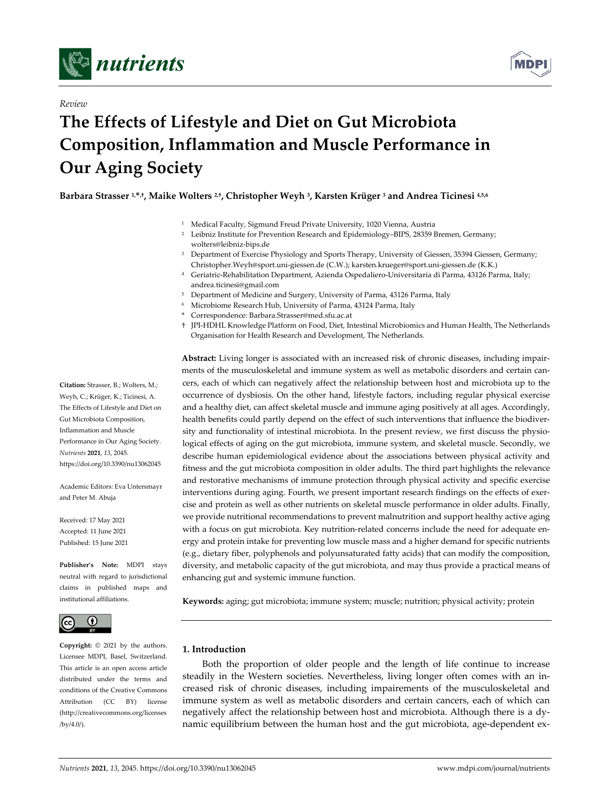

*Review*



# **The Effects of Lifestyle and Diet on Gut Microbiota Composition, Inflammation and Muscle Performance in Our Aging Society**

**Barbara Strasser 1,\*,†, Maike Wolters 2,†, Christopher Weyh 3, Karsten Krüger <sup>3</sup> and Andrea Ticinesi 4,5,6**

- <sup>1</sup> Medical Faculty, Sigmund Freud Private University, 1020 Vienna, Austria
- <sup>2</sup> Leibniz Institute for Prevention Research and Epidemiology-BIPS, 28359 Bremen, Germany; wolters@leibniz‐bips.de
- <sup>3</sup> Department of Exercise Physiology and Sports Therapy, University of Giessen, 35394 Giessen, Germany; Christopher.Weyh@sport.uni‐giessen.de (C.W.); karsten.krueger@sport.uni‐giessen.de (K.K.)
- <sup>4</sup> Geriatric‐Rehabilitation Department, Azienda Ospedaliero‐Universitaria di Parma, 43126 Parma, Italy; andrea.ticinesi@gmail.com
- <sup>5</sup> Department of Medicine and Surgery, University of Parma, 43126 Parma, Italy
- <sup>6</sup> Microbiome Research Hub, University of Parma, 43124 Parma, Italy
- \* Correspondence: Barbara.Strasser@med.sfu.ac.at
- † JPI‐HDHL Knowledge Platform on Food, Diet, Intestinal Microbiomics and Human Health, The Netherlands Organisation for Health Research and Development, The Netherlands.

**Abstract:** Living longer is associated with an increased risk of chronic diseases, including impair‐ ments of the musculoskeletal and immune system as well as metabolic disorders and certain cancers, each of which can negatively affect the relationship between host and microbiota up to the occurrence of dysbiosis. On the other hand, lifestyle factors, including regular physical exercise and a healthy diet, can affect skeletal muscle and immune aging positively at all ages. Accordingly, health benefits could partly depend on the effect of such interventions that influence the biodiversity and functionality of intestinal microbiota. In the present review, we first discuss the physiological effects of aging on the gut microbiota, immune system, and skeletal muscle. Secondly, we describe human epidemiological evidence about the associations between physical activity and fitness and the gut microbiota composition in older adults. The third part highlights the relevance and restorative mechanisms of immune protection through physical activity and specific exercise interventions during aging. Fourth, we present important research findings on the effects of exercise and protein as well as other nutrients on skeletal muscle performance in older adults. Finally, we provide nutritional recommendations to prevent malnutrition and support healthy active aging with a focus on gut microbiota. Key nutrition-related concerns include the need for adequate energy and protein intake for preventing low muscle mass and a higher demand for specific nutrients (e.g., dietary fiber, polyphenols and polyunsaturated fatty acids) that can modify the composition, diversity, and metabolic capacity of the gut microbiota, and may thus provide a practical means of enhancing gut and systemic immune function.

**Keywords:** aging; gut microbiota; immune system; muscle; nutrition; physical activity; protein

## **1. Introduction**

Both the proportion of older people and the length of life continue to increase steadily in the Western societies. Nevertheless, living longer often comes with an in‐ creased risk of chronic diseases, including impairements of the musculoskeletal and immune system as well as metabolic disorders and certain cancers, each of which can negatively affect the relationship between host and microbiota. Although there is a dy‐ namic equilibrium between the human host and the gut microbiota, age‐dependent ex‐

**Citation:** Strasser, B.; Wolters, M.; Weyh, C.; Krüger, K.; Ticinesi, A. The Effects of Lifestyle and Diet on Gut Microbiota Composition, Inflammation and Muscle Performance in Our Aging Society. *Nutrients* **2021**, *13*, 2045. https://doi.org/10.3390/nu13062045

Academic Editors: Eva Untersmayr and Peter M. Abuja

Received: 17 May 2021 Accepted: 11 June 2021 Published: 15 June 2021

**Publisher's Note:** MDPI stays neutral with regard to jurisdictional claims in published maps and institutional affiliations.



**Copyright:** © 2021 by the authors. Licensee MDPI, Basel, Switzerland. This article is an open access article distributed under the terms and conditions of the Creative Commons Attribution (CC BY) license (http://creativecommons.org/licenses /by/4.0/).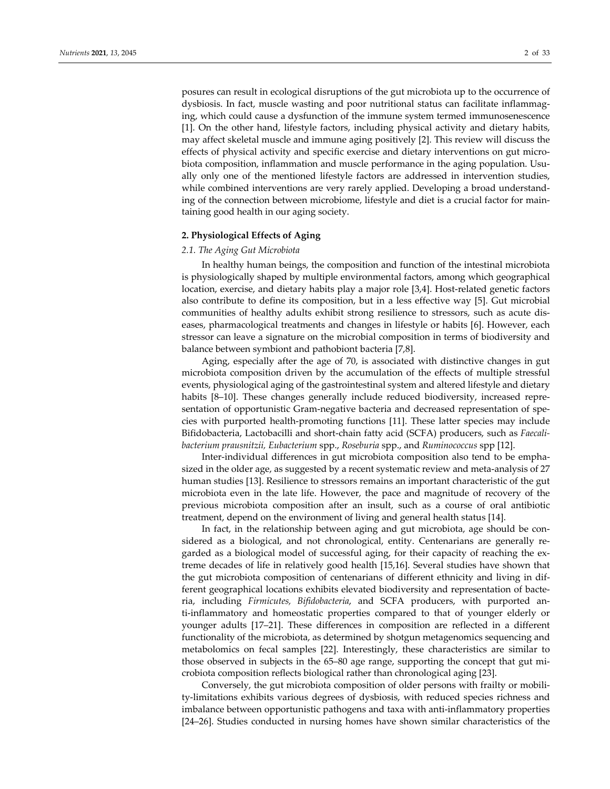posures can result in ecological disruptions of the gut microbiota up to the occurrence of dysbiosis. In fact, muscle wasting and poor nutritional status can facilitate inflammag‐ ing, which could cause a dysfunction of the immune system termed immunosenescence [1]. On the other hand, lifestyle factors, including physical activity and dietary habits, may affect skeletal muscle and immune aging positively [2]. This review will discuss the effects of physical activity and specific exercise and dietary interventions on gut micro‐ biota composition, inflammation and muscle performance in the aging population. Usually only one of the mentioned lifestyle factors are addressed in intervention studies, while combined interventions are very rarely applied. Developing a broad understanding of the connection between microbiome, lifestyle and diet is a crucial factor for maintaining good health in our aging society.

## **2. Physiological Effects of Aging**

## *2.1. The Aging Gut Microbiota*

In healthy human beings, the composition and function of the intestinal microbiota is physiologically shaped by multiple environmental factors, among which geographical location, exercise, and dietary habits play a major role [3,4]. Host-related genetic factors also contribute to define its composition, but in a less effective way [5]. Gut microbial communities of healthy adults exhibit strong resilience to stressors, such as acute dis‐ eases, pharmacological treatments and changes in lifestyle or habits [6]. However, each stressor can leave a signature on the microbial composition in terms of biodiversity and balance between symbiont and pathobiont bacteria [7,8].

Aging, especially after the age of 70, is associated with distinctive changes in gut microbiota composition driven by the accumulation of the effects of multiple stressful events, physiological aging of the gastrointestinal system and altered lifestyle and dietary habits [8–10]. These changes generally include reduced biodiversity, increased representation of opportunistic Gram-negative bacteria and decreased representation of species with purported health‐promoting functions [11]. These latter species may include Bifidobacteria, Lactobacilli and short‐chain fatty acid (SCFA) producers, such as *Faecali‐ bacterium prausnitzii, Eubacterium* spp., *Roseburia* spp., and *Ruminococcus* spp [12].

Inter-individual differences in gut microbiota composition also tend to be emphasized in the older age, as suggested by a recent systematic review and meta-analysis of 27 human studies [13]. Resilience to stressors remains an important characteristic of the gut microbiota even in the late life. However, the pace and magnitude of recovery of the previous microbiota composition after an insult, such as a course of oral antibiotic treatment, depend on the environment of living and general health status [14].

In fact, in the relationship between aging and gut microbiota, age should be considered as a biological, and not chronological, entity. Centenarians are generally regarded as a biological model of successful aging, for their capacity of reaching the extreme decades of life in relatively good health [15,16]. Several studies have shown that the gut microbiota composition of centenarians of different ethnicity and living in dif‐ ferent geographical locations exhibits elevated biodiversity and representation of bacteria, including *Firmicutes, Bifidobacteria*, and SCFA producers, with purported an‐ ti-inflammatory and homeostatic properties compared to that of younger elderly or younger adults [17–21]. These differences in composition are reflected in a different functionality of the microbiota, as determined by shotgun metagenomics sequencing and metabolomics on fecal samples [22]. Interestingly, these characteristics are similar to those observed in subjects in the 65–80 age range, supporting the concept that gut mi‐ crobiota composition reflects biological rather than chronological aging [23].

Conversely, the gut microbiota composition of older persons with frailty or mobili‐ ty‐limitations exhibits various degrees of dysbiosis, with reduced species richness and imbalance between opportunistic pathogens and taxa with anti-inflammatory properties [24–26]. Studies conducted in nursing homes have shown similar characteristics of the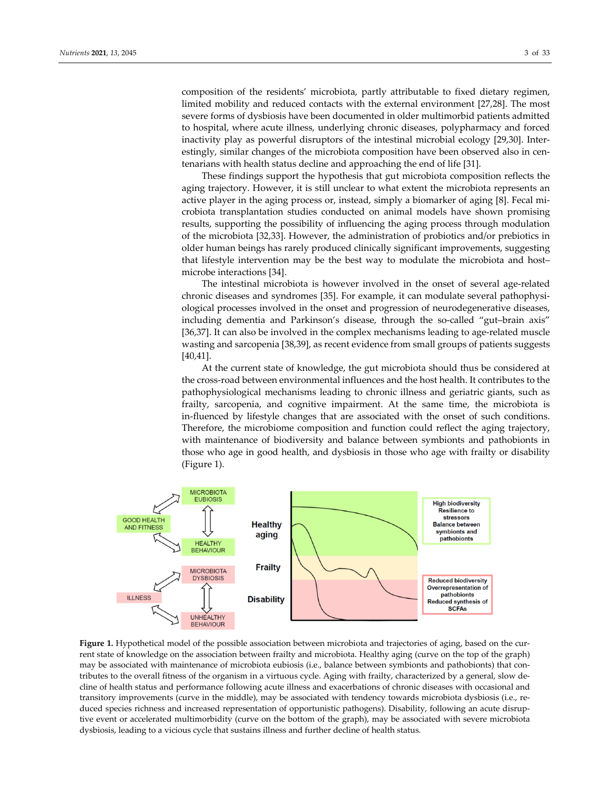composition of the residents' microbiota, partly attributable to fixed dietary regimen, limited mobility and reduced contacts with the external environment [27,28]. The most severe forms of dysbiosis have been documented in older multimorbid patients admitted to hospital, where acute illness, underlying chronic diseases, polypharmacy and forced inactivity play as powerful disruptors of the intestinal microbial ecology [29,30]. Inter‐ estingly, similar changes of the microbiota composition have been observed also in centenarians with health status decline and approaching the end of life [31].

These findings support the hypothesis that gut microbiota composition reflects the aging trajectory. However, it is still unclear to what extent the microbiota represents an active player in the aging process or, instead, simply a biomarker of aging [8]. Fecal mi‐ crobiota transplantation studies conducted on animal models have shown promising results, supporting the possibility of influencing the aging process through modulation of the microbiota [32,33]. However, the administration of probiotics and/or prebiotics in older human beings has rarely produced clinically significant improvements, suggesting that lifestyle intervention may be the best way to modulate the microbiota and host– microbe interactions [34].

The intestinal microbiota is however involved in the onset of several age-related chronic diseases and syndromes [35]. For example, it can modulate several pathophysiological processes involved in the onset and progression of neurodegenerative diseases, including dementia and Parkinson's disease, through the so-called "gut-brain axis" [36,37]. It can also be involved in the complex mechanisms leading to age-related muscle wasting and sarcopenia [38,39], as recent evidence from small groups of patients suggests [40,41].

At the current state of knowledge, the gut microbiota should thus be considered at the cross‐road between environmental influences and the host health. It contributes to the pathophysiological mechanisms leading to chronic illness and geriatric giants, such as frailty, sarcopenia, and cognitive impairment. At the same time, the microbiota is in‐fluenced by lifestyle changes that are associated with the onset of such conditions. Therefore, the microbiome composition and function could reflect the aging trajectory, with maintenance of biodiversity and balance between symbionts and pathobionts in those who age in good health, and dysbiosis in those who age with frailty or disability (Figure 1).



**Figure 1.** Hypothetical model of the possible association between microbiota and trajectories of aging, based on the cur‐ rent state of knowledge on the association between frailty and microbiota. Healthy aging (curve on the top of the graph) may be associated with maintenance of microbiota eubiosis (i.e., balance between symbionts and pathobionts) that con‐ tributes to the overall fitness of the organism in a virtuous cycle. Aging with frailty, characterized by a general, slow de‐ cline of health status and performance following acute illness and exacerbations of chronic diseases with occasional and transitory improvements (curve in the middle), may be associated with tendency towards microbiota dysbiosis (i.e., reduced species richness and increased representation of opportunistic pathogens). Disability, following an acute disrup‐ tive event or accelerated multimorbidity (curve on the bottom of the graph), may be associated with severe microbiota dysbiosis, leading to a vicious cycle that sustains illness and further decline of health status.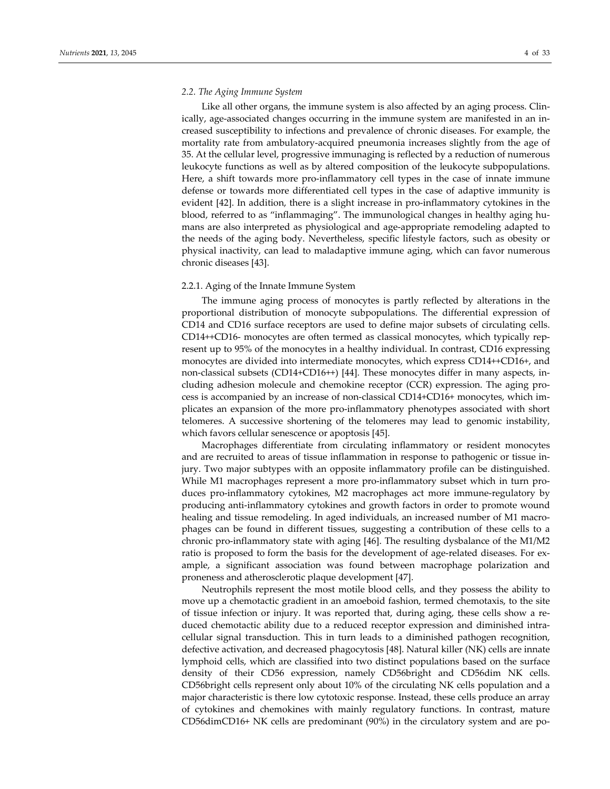## *2.2. The Aging Immune System*

Like all other organs, the immune system is also affected by an aging process. Clin‐ ically, age-associated changes occurring in the immune system are manifested in an increased susceptibility to infections and prevalence of chronic diseases. For example, the mortality rate from ambulatory‐acquired pneumonia increases slightly from the age of 35. At the cellular level, progressive immunaging is reflected by a reduction of numerous leukocyte functions as well as by altered composition of the leukocyte subpopulations. Here, a shift towards more pro-inflammatory cell types in the case of innate immune defense or towards more differentiated cell types in the case of adaptive immunity is evident [42]. In addition, there is a slight increase in pro-inflammatory cytokines in the blood, referred to as "inflammaging". The immunological changes in healthy aging hu‐ mans are also interpreted as physiological and age‐appropriate remodeling adapted to the needs of the aging body. Nevertheless, specific lifestyle factors, such as obesity or physical inactivity, can lead to maladaptive immune aging, which can favor numerous chronic diseases [43].

### 2.2.1. Aging of the Innate Immune System

The immune aging process of monocytes is partly reflected by alterations in the proportional distribution of monocyte subpopulations. The differential expression of CD14 and CD16 surface receptors are used to define major subsets of circulating cells. CD14++CD16‐ monocytes are often termed as classical monocytes, which typically rep‐ resent up to 95% of the monocytes in a healthy individual. In contrast, CD16 expressing monocytes are divided into intermediate monocytes, which express CD14++CD16+, and non-classical subsets (CD14+CD16++) [44]. These monocytes differ in many aspects, including adhesion molecule and chemokine receptor (CCR) expression. The aging pro– cess is accompanied by an increase of non‐classical CD14+CD16+ monocytes, which im‐ plicates an expansion of the more pro‐inflammatory phenotypes associated with short telomeres. A successive shortening of the telomeres may lead to genomic instability, which favors cellular senescence or apoptosis [45].

Macrophages differentiate from circulating inflammatory or resident monocytes and are recruited to areas of tissue inflammation in response to pathogenic or tissue in‐ jury. Two major subtypes with an opposite inflammatory profile can be distinguished. While M1 macrophages represent a more pro-inflammatory subset which in turn produces pro‐inflammatory cytokines, M2 macrophages act more immune‐regulatory by producing anti‐inflammatory cytokines and growth factors in order to promote wound healing and tissue remodeling. In aged individuals, an increased number of M1 macrophages can be found in different tissues, suggesting a contribution of these cells to a chronic pro‐inflammatory state with aging [46]. The resulting dysbalance of the M1/M2 ratio is proposed to form the basis for the development of age-related diseases. For example, a significant association was found between macrophage polarization and proneness and atherosclerotic plaque development [47].

Neutrophils represent the most motile blood cells, and they possess the ability to move up a chemotactic gradient in an amoeboid fashion, termed chemotaxis, to the site of tissue infection or injury. It was reported that, during aging, these cells show a re‐ duced chemotactic ability due to a reduced receptor expression and diminished intra‐ cellular signal transduction. This in turn leads to a diminished pathogen recognition, defective activation, and decreased phagocytosis [48]. Natural killer (NK) cells are innate lymphoid cells, which are classified into two distinct populations based on the surface density of their CD56 expression, namely CD56bright and CD56dim NK cells. CD56bright cells represent only about 10% of the circulating NK cells population and a major characteristic is there low cytotoxic response. Instead, these cells produce an array of cytokines and chemokines with mainly regulatory functions. In contrast, mature CD56dimCD16+ NK cells are predominant (90%) in the circulatory system and are po‐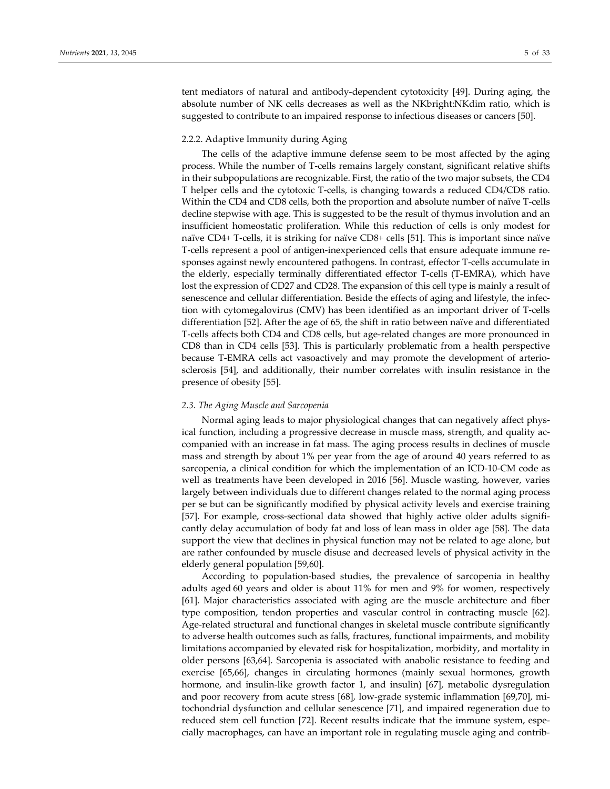tent mediators of natural and antibody‐dependent cytotoxicity [49]. During aging, the absolute number of NK cells decreases as well as the NKbright:NKdim ratio, which is suggested to contribute to an impaired response to infectious diseases or cancers [50].

## 2.2.2. Adaptive Immunity during Aging

The cells of the adaptive immune defense seem to be most affected by the aging process. While the number of T‐cells remains largely constant, significant relative shifts in their subpopulations are recognizable. First, the ratio of the two major subsets, the CD4 T helper cells and the cytotoxic T‐cells, is changing towards a reduced CD4/CD8 ratio. Within the CD4 and CD8 cells, both the proportion and absolute number of naïve T‐cells decline stepwise with age. This is suggested to be the result of thymus involution and an insufficient homeostatic proliferation. While this reduction of cells is only modest for naïve CD4+ T-cells, it is striking for naïve CD8+ cells [51]. This is important since naïve T-cells represent a pool of antigen-inexperienced cells that ensure adequate immune responses against newly encountered pathogens. In contrast, effector T‐cells accumulate in the elderly, especially terminally differentiated effector T‐cells (T‐EMRA), which have lost the expression of CD27 and CD28. The expansion of this cell type is mainly a result of senescence and cellular differentiation. Beside the effects of aging and lifestyle, the infection with cytomegalovirus (CMV) has been identified as an important driver of T‐cells differentiation [52]. After the age of 65, the shift in ratio between naïve and differentiated T-cells affects both CD4 and CD8 cells, but age-related changes are more pronounced in CD8 than in CD4 cells [53]. This is particularly problematic from a health perspective because T-EMRA cells act vasoactively and may promote the development of arteriosclerosis [54], and additionally, their number correlates with insulin resistance in the presence of obesity [55].

## *2.3. The Aging Muscle and Sarcopenia*

Normal aging leads to major physiological changes that can negatively affect phys‐ ical function, including a progressive decrease in muscle mass, strength, and quality ac‐ companied with an increase in fat mass. The aging process results in declines of muscle mass and strength by about 1% per year from the age of around 40 years referred to as sarcopenia, a clinical condition for which the implementation of an ICD-10-CM code as well as treatments have been developed in 2016 [56]. Muscle wasting, however, varies largely between individuals due to different changes related to the normal aging process per se but can be significantly modified by physical activity levels and exercise training [57]. For example, cross-sectional data showed that highly active older adults significantly delay accumulation of body fat and loss of lean mass in older age [58]. The data support the view that declines in physical function may not be related to age alone, but are rather confounded by muscle disuse and decreased levels of physical activity in the elderly general population [59,60].

According to population‐based studies, the prevalence of sarcopenia in healthy adults aged 60 years and older is about 11% for men and 9% for women, respectively [61]. Major characteristics associated with aging are the muscle architecture and fiber type composition, tendon properties and vascular control in contracting muscle [62]. Age‐related structural and functional changes in skeletal muscle contribute significantly to adverse health outcomes such as falls, fractures, functional impairments, and mobility limitations accompanied by elevated risk for hospitalization, morbidity, and mortality in older persons [63,64]. Sarcopenia is associated with anabolic resistance to feeding and exercise [65,66], changes in circulating hormones (mainly sexual hormones, growth hormone, and insulin-like growth factor 1, and insulin) [67], metabolic dysregulation and poor recovery from acute stress [68], low-grade systemic inflammation [69,70], mitochondrial dysfunction and cellular senescence [71], and impaired regeneration due to reduced stem cell function [72]. Recent results indicate that the immune system, especially macrophages, can have an important role in regulating muscle aging and contrib‐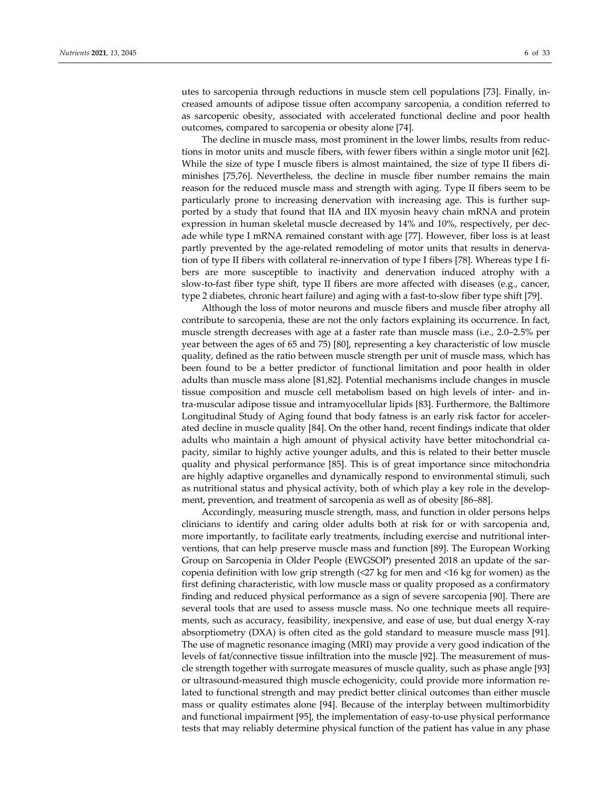utes to sarcopenia through reductions in muscle stem cell populations [73]. Finally, increased amounts of adipose tissue often accompany sarcopenia, a condition referred to as sarcopenic obesity, associated with accelerated functional decline and poor health outcomes, compared to sarcopenia or obesity alone [74].

The decline in muscle mass, most prominent in the lower limbs, results from reduc‐ tions in motor units and muscle fibers, with fewer fibers within a single motor unit [62]. While the size of type I muscle fibers is almost maintained, the size of type II fibers diminishes [75,76]. Nevertheless, the decline in muscle fiber number remains the main reason for the reduced muscle mass and strength with aging. Type II fibers seem to be particularly prone to increasing denervation with increasing age. This is further supported by a study that found that IIA and IIX myosin heavy chain mRNA and protein expression in human skeletal muscle decreased by 14% and 10%, respectively, per dec‐ ade while type I mRNA remained constant with age [77]. However, fiber loss is at least partly prevented by the age-related remodeling of motor units that results in denervation of type II fibers with collateral re-innervation of type I fibers [78]. Whereas type I fibers are more susceptible to inactivity and denervation induced atrophy with a slow-to-fast fiber type shift, type II fibers are more affected with diseases (e.g., cancer, type 2 diabetes, chronic heart failure) and aging with a fast-to-slow fiber type shift [79].

Although the loss of motor neurons and muscle fibers and muscle fiber atrophy all contribute to sarcopenia, these are not the only factors explaining its occurrence. In fact, muscle strength decreases with age at a faster rate than muscle mass (i.e., 2.0–2.5% per year between the ages of 65 and 75) [80], representing a key characteristic of low muscle quality, defined as the ratio between muscle strength per unit of muscle mass, which has been found to be a better predictor of functional limitation and poor health in older adults than muscle mass alone [81,82]. Potential mechanisms include changes in muscle tissue composition and muscle cell metabolism based on high levels of inter- and intra‐muscular adipose tissue and intramyocellular lipids [83]. Furthermore, the Baltimore Longitudinal Study of Aging found that body fatness is an early risk factor for acceler‐ ated decline in muscle quality [84]. On the other hand, recent findings indicate that older adults who maintain a high amount of physical activity have better mitochondrial capacity, similar to highly active younger adults, and this is related to their better muscle quality and physical performance [85]. This is of great importance since mitochondria are highly adaptive organelles and dynamically respond to environmental stimuli, such as nutritional status and physical activity, both of which play a key role in the develop‐ ment, prevention, and treatment of sarcopenia as well as of obesity [86–88].

Accordingly, measuring muscle strength, mass, and function in older persons helps clinicians to identify and caring older adults both at risk for or with sarcopenia and, more importantly, to facilitate early treatments, including exercise and nutritional inter‐ ventions, that can help preserve muscle mass and function [89]. The European Working Group on Sarcopenia in Older People (EWGSOP) presented 2018 an update of the sar‐ copenia definition with low grip strength (<27 kg for men and <16 kg for women) as the first defining characteristic, with low muscle mass or quality proposed as a confirmatory finding and reduced physical performance as a sign of severe sarcopenia [90]. There are several tools that are used to assess muscle mass. No one technique meets all requirements, such as accuracy, feasibility, inexpensive, and ease of use, but dual energy X-ray absorptiometry (DXA) is often cited as the gold standard to measure muscle mass [91]. The use of magnetic resonance imaging (MRI) may provide a very good indication of the levels of fat/connective tissue infiltration into the muscle [92]. The measurement of mus‐ cle strength together with surrogate measures of muscle quality, such as phase angle [93] or ultrasound‐measured thigh muscle echogenicity, could provide more information re‐ lated to functional strength and may predict better clinical outcomes than either muscle mass or quality estimates alone [94]. Because of the interplay between multimorbidity and functional impairment [95], the implementation of easy‐to‐use physical performance tests that may reliably determine physical function of the patient has value in any phase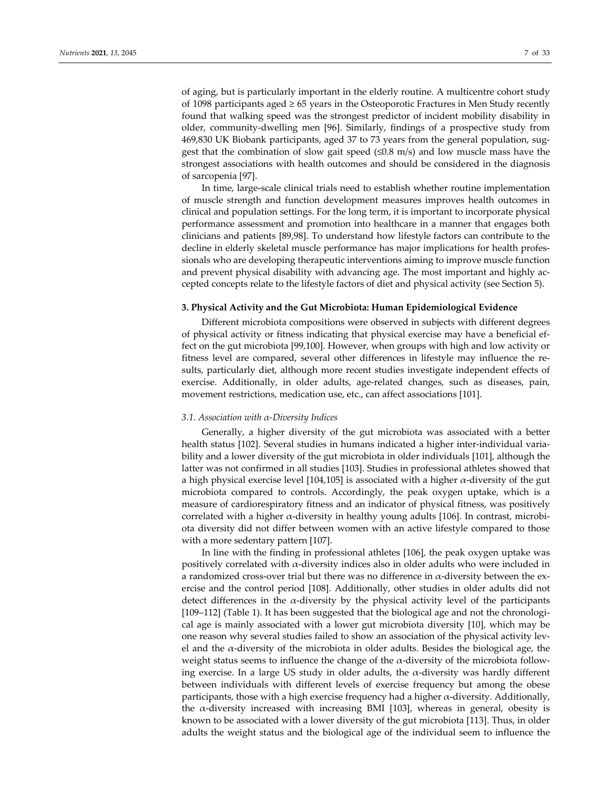of aging, but is particularly important in the elderly routine. A multicentre cohort study of 1098 participants aged ≥ 65 years in the Osteoporotic Fractures in Men Study recently found that walking speed was the strongest predictor of incident mobility disability in older, community‐dwelling men [96]. Similarly, findings of a prospective study from 469,830 UK Biobank participants, aged 37 to 73 years from the general population, sug‐ gest that the combination of slow gait speed  $(\leq 0.8 \text{ m/s})$  and low muscle mass have the strongest associations with health outcomes and should be considered in the diagnosis of sarcopenia [97].

In time, large‐scale clinical trials need to establish whether routine implementation of muscle strength and function development measures improves health outcomes in clinical and population settings. For the long term, it is important to incorporate physical performance assessment and promotion into healthcare in a manner that engages both clinicians and patients [89,98]. To understand how lifestyle factors can contribute to the decline in elderly skeletal muscle performance has major implications for health professionals who are developing therapeutic interventions aiming to improve muscle function and prevent physical disability with advancing age. The most important and highly ac‐ cepted concepts relate to the lifestyle factors of diet and physical activity (see Section 5).

## **3. Physical Activity and the Gut Microbiota: Human Epidemiological Evidence**

Different microbiota compositions were observed in subjects with different degrees of physical activity or fitness indicating that physical exercise may have a beneficial ef‐ fect on the gut microbiota [99,100]. However, when groups with high and low activity or fitness level are compared, several other differences in lifestyle may influence the results, particularly diet, although more recent studies investigate independent effects of exercise. Additionally, in older adults, age-related changes, such as diseases, pain, movement restrictions, medication use, etc., can affect associations [101].

## *3.1. Association with α‐Diversity Indices*

Generally, a higher diversity of the gut microbiota was associated with a better health status [102]. Several studies in humans indicated a higher inter-individual variability and a lower diversity of the gut microbiota in older individuals [101], although the latter was not confirmed in all studies [103]. Studies in professional athletes showed that a high physical exercise level [104,105] is associated with a higher  $\alpha$ -diversity of the gut microbiota compared to controls. Accordingly, the peak oxygen uptake, which is a measure of cardiorespiratory fitness and an indicator of physical fitness, was positively correlated with a higher  $\alpha$ -diversity in healthy young adults [106]. In contrast, microbiota diversity did not differ between women with an active lifestyle compared to those with a more sedentary pattern [107].

In line with the finding in professional athletes [106], the peak oxygen uptake was positively correlated with α‐diversity indices also in older adults who were included in a randomized cross-over trial but there was no difference in  $\alpha$ -diversity between the exercise and the control period [108]. Additionally, other studies in older adults did not detect differences in the  $\alpha$ -diversity by the physical activity level of the participants [109-112] (Table 1). It has been suggested that the biological age and not the chronological age is mainly associated with a lower gut microbiota diversity [10], which may be one reason why several studies failed to show an association of the physical activity lev‐ el and the  $\alpha$ -diversity of the microbiota in older adults. Besides the biological age, the weight status seems to influence the change of the  $\alpha$ -diversity of the microbiota following exercise. In a large US study in older adults, the  $\alpha$ -diversity was hardly different between individuals with different levels of exercise frequency but among the obese participants, those with a high exercise frequency had a higher  $\alpha$ -diversity. Additionally, the  $\alpha$ -diversity increased with increasing BMI [103], whereas in general, obesity is known to be associated with a lower diversity of the gut microbiota [113]. Thus, in older adults the weight status and the biological age of the individual seem to influence the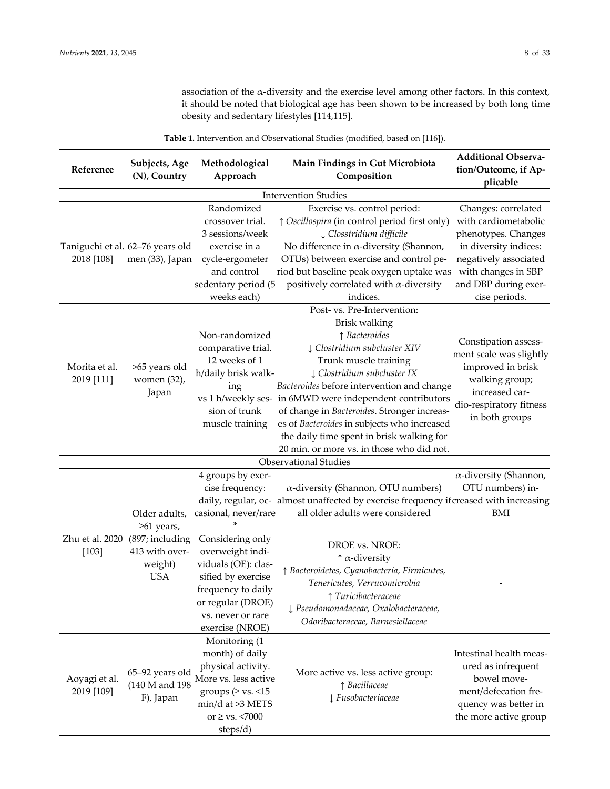association of the  $\alpha$ -diversity and the exercise level among other factors. In this context, it should be noted that biological age has been shown to be increased by both long time obesity and sedentary lifestyles [114,115].

**Table 1.** Intervention and Observational Studies (modified, based on [116]).

| Reference                   | Subjects, Age<br>(N), Country                              | Methodological<br>Approach                                                                                                                                           | Main Findings in Gut Microbiota<br>Composition                                                                                                                                                                                                                                                                                                                                                                                                          | <b>Additional Observa-</b><br>tion/Outcome, if Ap-<br>plicable                                                                                                                       |  |  |  |
|-----------------------------|------------------------------------------------------------|----------------------------------------------------------------------------------------------------------------------------------------------------------------------|---------------------------------------------------------------------------------------------------------------------------------------------------------------------------------------------------------------------------------------------------------------------------------------------------------------------------------------------------------------------------------------------------------------------------------------------------------|--------------------------------------------------------------------------------------------------------------------------------------------------------------------------------------|--|--|--|
| <b>Intervention Studies</b> |                                                            |                                                                                                                                                                      |                                                                                                                                                                                                                                                                                                                                                                                                                                                         |                                                                                                                                                                                      |  |  |  |
| 2018 [108]                  | Taniguchi et al. 62-76 years old<br>men (33), Japan        | Randomized<br>crossover trial.<br>3 sessions/week<br>exercise in a<br>cycle-ergometer<br>and control<br>sedentary period (5<br>weeks each)                           | Exercise vs. control period:<br>↑ Oscillospira (in control period first only)<br>↓ Closstridium difficile<br>No difference in $\alpha$ -diversity (Shannon,<br>OTUs) between exercise and control pe-<br>riod but baseline peak oxygen uptake was<br>positively correlated with $\alpha$ -diversity<br>indices.                                                                                                                                         | Changes: correlated<br>with cardiometabolic<br>phenotypes. Changes<br>in diversity indices:<br>negatively associated<br>with changes in SBP<br>and DBP during exer-<br>cise periods. |  |  |  |
| Morita et al.<br>2019 [111] | >65 years old<br>women (32),<br>Japan                      | Non-randomized<br>comparative trial.<br>12 weeks of 1<br>h/daily brisk walk-<br>ing<br>sion of trunk<br>muscle training                                              | Post- vs. Pre-Intervention:<br>Brisk walking<br>↑ Bacteroides<br>↓ Clostridium subcluster XIV<br>Trunk muscle training<br>↓ Clostridium subcluster IX<br>Bacteroides before intervention and change<br>vs 1 h/weekly ses- in 6MWD were independent contributors<br>of change in Bacteroides. Stronger increas-<br>es of Bacteroides in subjects who increased<br>the daily time spent in brisk walking for<br>20 min. or more vs. in those who did not. | Constipation assess-<br>ment scale was slightly<br>improved in brisk<br>walking group;<br>increased car-<br>dio-respiratory fitness<br>in both groups                                |  |  |  |
|                             |                                                            |                                                                                                                                                                      | <b>Observational Studies</b>                                                                                                                                                                                                                                                                                                                                                                                                                            |                                                                                                                                                                                      |  |  |  |
|                             | Older adults,<br>$≥61$ years,                              | 4 groups by exer-<br>cise frequency:<br>casional, never/rare                                                                                                         | $\alpha$ -diversity (Shannon, OTU numbers)<br>daily, regular, oc- almost unaffected by exercise frequency if creased with increasing<br>all older adults were considered                                                                                                                                                                                                                                                                                | $\alpha$ -diversity (Shannon,<br>OTU numbers) in-<br>BMI                                                                                                                             |  |  |  |
| Zhu et al. 2020<br>$[103]$  | (897; including<br>413 with over-<br>weight)<br><b>USA</b> | Considering only<br>overweight indi-<br>viduals (OE): clas-<br>sified by exercise<br>frequency to daily<br>or regular (DROE)<br>vs. never or rare<br>exercise (NROE) | DROE vs. NROE:<br>$\uparrow \alpha$ -diversity<br>↑ Bacteroidetes, Cyanobacteria, Firmicutes,<br>Tenericutes, Verrucomicrobia<br>$\uparrow$ Turicibacteraceae<br>↓ Pseudomonadaceae, Oxalobacteraceae,<br>Odoribacteraceae, Barnesiellaceae                                                                                                                                                                                                             |                                                                                                                                                                                      |  |  |  |
| Aoyagi et al.<br>2019 [109] | 65-92 years old<br>(140 M and 198)<br>F), Japan            | Monitoring (1<br>month) of daily<br>physical activity.<br>More vs. less active<br>groups ( $\ge$ vs. <15<br>min/d at >3 METS<br>or $\geq$ vs. <7000<br>steps/d)      | More active vs. less active group:<br>↑ Bacillaceae<br>$\downarrow$ Fusobacteriaceae                                                                                                                                                                                                                                                                                                                                                                    | Intestinal health meas-<br>ured as infrequent<br>bowel move-<br>ment/defecation fre-<br>quency was better in<br>the more active group                                                |  |  |  |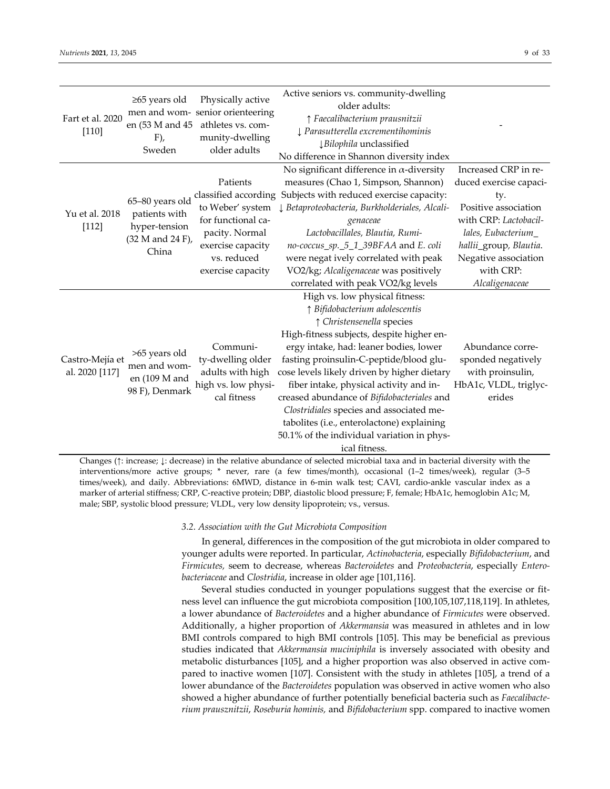| Fart et al. 2020<br>$[110]$       | $\geq 65$ years old<br>$F)$ ,<br>Sweden                                        | Physically active<br>men and wom- senior orienteering<br>en (53 M and 45 athletes vs. com-<br>munity-dwelling<br>older adults                         | Active seniors vs. community-dwelling<br>older adults:<br>↑ Faecalibacterium prausnitzii<br>I Parasutterella excrementihominis<br>↓Bilophila unclassified<br>No difference in Shannon diversity index                                                                                                                                                                                                                                                                                                                            |                                                                                                                                                                                                               |
|-----------------------------------|--------------------------------------------------------------------------------|-------------------------------------------------------------------------------------------------------------------------------------------------------|----------------------------------------------------------------------------------------------------------------------------------------------------------------------------------------------------------------------------------------------------------------------------------------------------------------------------------------------------------------------------------------------------------------------------------------------------------------------------------------------------------------------------------|---------------------------------------------------------------------------------------------------------------------------------------------------------------------------------------------------------------|
| Yu et al. 2018<br>[112]           | 65-80 years old<br>patients with<br>hyper-tension<br>(32 M and 24 F),<br>China | Patients<br>classified according<br>to Weber' system<br>for functional ca-<br>pacity. Normal<br>exercise capacity<br>vs. reduced<br>exercise capacity | No significant difference in $\alpha$ -diversity<br>measures (Chao 1, Simpson, Shannon)<br>Subjects with reduced exercise capacity:<br>↓ Betaproteobacteria, Burkholderiales, Alcali-<br>genaceae<br>Lactobacillales, Blautia, Rumi-<br>no-coccus_sp._5_1_39BFAA and E. coli<br>were negat ively correlated with peak<br>VO2/kg; Alcaligenaceae was positively<br>correlated with peak VO2/kg levels                                                                                                                             | Increased CRP in re-<br>duced exercise capaci-<br>ty.<br>Positive association<br>with CRP: Lactobacil-<br>lales, Eubacterium<br>hallii_group, Blautia.<br>Negative association<br>with CRP:<br>Alcaligenaceae |
| Castro-Mejía et<br>al. 2020 [117] | >65 years old<br>men and wom-<br>en (109 M and<br>98 F), Denmark               | Communi-<br>ty-dwelling older<br>adults with high<br>high vs. low physi-<br>cal fitness                                                               | High vs. low physical fitness:<br>↑ Bifidobacterium adolescentis<br>↑ Christensenella species<br>High-fitness subjects, despite higher en-<br>ergy intake, had: leaner bodies, lower<br>fasting proinsulin-C-peptide/blood glu-<br>cose levels likely driven by higher dietary<br>fiber intake, physical activity and in-<br>creased abundance of Bifidobacteriales and<br>Clostridiales species and associated me-<br>tabolites (i.e., enterolactone) explaining<br>50.1% of the individual variation in phys-<br>ical fitness. | Abundance corre-<br>sponded negatively<br>with proinsulin,<br>HbA1c, VLDL, triglyc-<br>erides                                                                                                                 |

Changes (↑: increase; ↓: decrease) in the relative abundance of selected microbial taxa and in bacterial diversity with the interventions/more active groups; \* never, rare (a few times/month), occasional (1–2 times/week), regular (3–5 times/week), and daily. Abbreviations: 6MWD, distance in 6-min walk test; CAVI, cardio-ankle vascular index as a marker of arterial stiffness; CRP, C-reactive protein; DBP, diastolic blood pressure; F, female; HbA1c, hemoglobin A1c; M, male; SBP, systolic blood pressure; VLDL, very low density lipoprotein; vs., versus.

## *3.2. Association with the Gut Microbiota Composition*

In general, differences in the composition of the gut microbiota in older compared to younger adults were reported. In particular, *Actinobacteria*, especially *Bifidobacterium*, and *Firmicutes,* seem to decrease, whereas *Bacteroidetes* and *Proteobacteria*, especially *Entero‐ bacteriaceae* and *Clostridia*, increase in older age [101,116].

Several studies conducted in younger populations suggest that the exercise or fit‐ ness level can influence the gut microbiota composition [100,105,107,118,119]. In athletes, a lower abundance of *Bacteroidetes* and a higher abundance of *Firmicutes* were observed. Additionally, a higher proportion of *Akkermansia* was measured in athletes and in low BMI controls compared to high BMI controls [105]. This may be beneficial as previous studies indicated that *Akkermansia muciniphila* is inversely associated with obesity and metabolic disturbances [105], and a higher proportion was also observed in active compared to inactive women [107]. Consistent with the study in athletes [105], a trend of a lower abundance of the *Bacteroidetes* population was observed in active women who also showed a higher abundance of further potentially beneficial bacteria such as *Faecalibacte‐ rium prausznitzii*, *Roseburia hominis,* and *Bifidobacterium* spp. compared to inactive women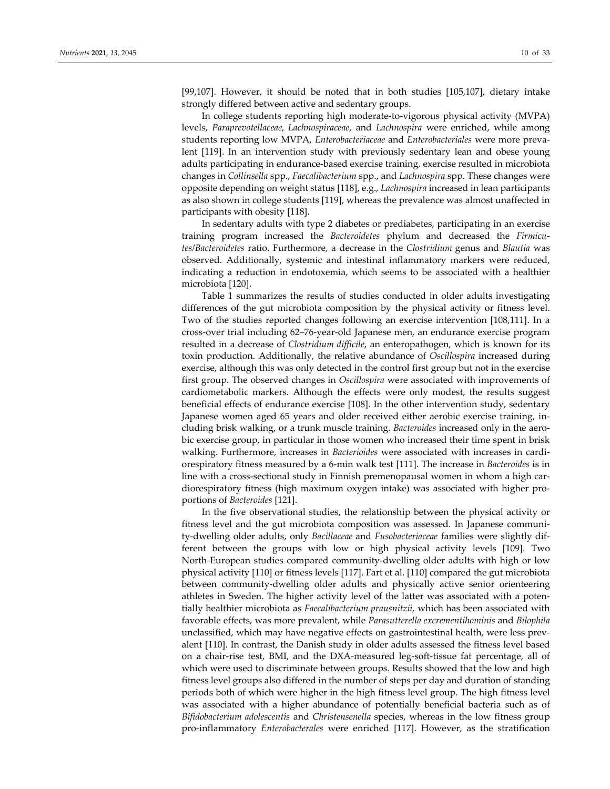[99,107]. However, it should be noted that in both studies [105,107], dietary intake strongly differed between active and sedentary groups.

In college students reporting high moderate‐to‐vigorous physical activity (MVPA) levels, *Paraprevotellaceae, Lachnospiraceae*, and *Lachnospira* were enriched, while among students reporting low MVPA, *Enterobacteriaceae* and *Enterobacteriales* were more preva‐ lent [119]. In an intervention study with previously sedentary lean and obese young adults participating in endurance‐based exercise training, exercise resulted in microbiota changes in *Collinsella* spp., *Faecalibacterium* spp., and *Lachnospira* spp. These changes were opposite depending on weight status [118], e.g., *Lachnospira* increased in lean participants as also shown in college students [119], whereas the prevalence was almost unaffected in participants with obesity [118].

In sedentary adults with type 2 diabetes or prediabetes, participating in an exercise training program increased the *Bacteroidetes* phylum and decreased the *Firmicu‐ tes/Bacteroidetes* ratio. Furthermore, a decrease in the *Clostridium* genus and *Blautia* was observed. Additionally, systemic and intestinal inflammatory markers were reduced, indicating a reduction in endotoxemia, which seems to be associated with a healthier microbiota [120].

Table 1 summarizes the results of studies conducted in older adults investigating differences of the gut microbiota composition by the physical activity or fitness level. Two of the studies reported changes following an exercise intervention [108,111]. In a cross‐over trial including 62–76‐year‐old Japanese men, an endurance exercise program resulted in a decrease of *Clostridium difficile*, an enteropathogen, which is known for its toxin production. Additionally, the relative abundance of *Oscillospira* increased during exercise, although this was only detected in the control first group but not in the exercise first group. The observed changes in *Oscillospira* were associated with improvements of cardiometabolic markers. Although the effects were only modest, the results suggest beneficial effects of endurance exercise [108]. In the other intervention study, sedentary Japanese women aged 65 years and older received either aerobic exercise training, including brisk walking, or a trunk muscle training. *Bacteroides* increased only in the aero‐ bic exercise group, in particular in those women who increased their time spent in brisk walking. Furthermore, increases in *Bacterioides* were associated with increases in cardiorespiratory fitness measured by a 6‐min walk test [111]. The increase in *Bacteroides* is in line with a cross-sectional study in Finnish premenopausal women in whom a high cardiorespiratory fitness (high maximum oxygen intake) was associated with higher pro‐ portions of *Bacteroides* [121].

In the five observational studies, the relationship between the physical activity or fitness level and the gut microbiota composition was assessed. In Japanese community‐dwelling older adults, only *Bacillaceae* and *Fusobacteriaceae* families were slightly dif‐ ferent between the groups with low or high physical activity levels [109]. Two North‐European studies compared community‐dwelling older adults with high or low physical activity [110] or fitness levels [117]. Fart et al. [110] compared the gut microbiota between community-dwelling older adults and physically active senior orienteering athletes in Sweden. The higher activity level of the latter was associated with a poten‐ tially healthier microbiota as *Faecalibacterium prausnitzii,* which has been associated with favorable effects, was more prevalent, while *Parasutterella excrementihominis* and *Bilophila* unclassified, which may have negative effects on gastrointestinal health, were less prev‐ alent [110]. In contrast, the Danish study in older adults assessed the fitness level based on a chair‐rise test, BMI, and the DXA‐measured leg‐soft‐tissue fat percentage, all of which were used to discriminate between groups. Results showed that the low and high fitness level groups also differed in the number of steps per day and duration of standing periods both of which were higher in the high fitness level group. The high fitness level was associated with a higher abundance of potentially beneficial bacteria such as of *Bifidobacterium adolescentis* and *Christensenella* species, whereas in the low fitness group pro‐inflammatory *Enterobacterales* were enriched [117]. However, as the stratification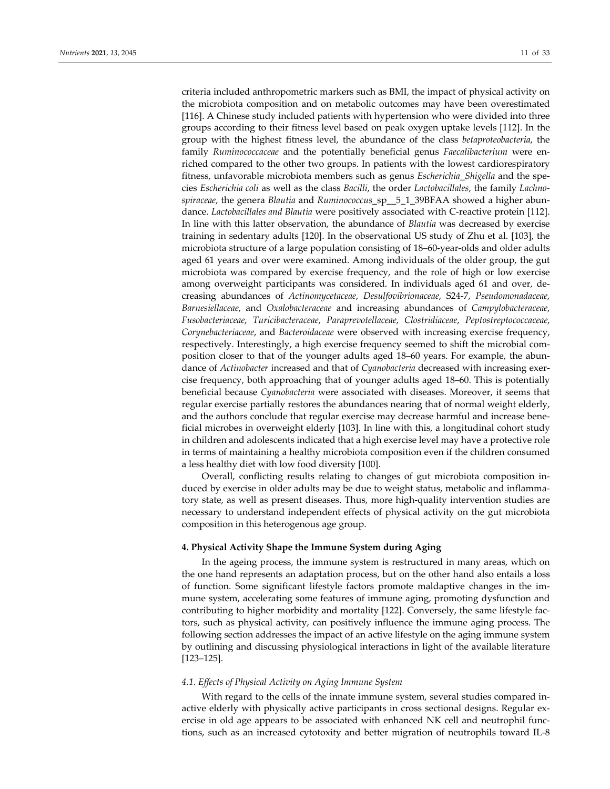criteria included anthropometric markers such as BMI, the impact of physical activity on the microbiota composition and on metabolic outcomes may have been overestimated [116]. A Chinese study included patients with hypertension who were divided into three groups according to their fitness level based on peak oxygen uptake levels [112]. In the group with the highest fitness level, the abundance of the class *betaproteobacteria*, the family *Ruminococcaceae* and the potentially beneficial genus *Faecalibacterium* were enriched compared to the other two groups. In patients with the lowest cardiorespiratory fitness, unfavorable microbiota members such as genus *Escherichia\_Shigella* and the spe‐ cies *Escherichia coli* as well as the class *Bacilli*, the order *Lactobacillales*, the family *Lachno‐ spiraceae*, the genera *Blautia* and *Ruminococcus*\_sp\_\_5\_1\_39BFAA showed a higher abun‐ dance. *Lactobacillales and Blautia* were positively associated with C‐reactive protein [112]. In line with this latter observation, the abundance of *Blautia* was decreased by exercise training in sedentary adults [120]. In the observational US study of Zhu et al. [103], the microbiota structure of a large population consisting of 18–60‐year‐olds and older adults aged 61 years and over were examined. Among individuals of the older group, the gut microbiota was compared by exercise frequency, and the role of high or low exercise among overweight participants was considered. In individuals aged 61 and over, decreasing abundances of *Actinomycetaceae*, *Desulfovibrionaceae*, S24‐7, *Pseudomonadaceae*, *Barnesiellaceae*, and *Oxalobacteraceae* and increasing abundances of *Campylobacteraceae*, *Fusobacteriaceae*, *Turicibacteraceae*, *Paraprevotellaceae*, *Clostridiaceae*, *Peptostreptococcaceae*, *Corynebacteriaceae*, and *Bacteroidaceae* were observed with increasing exercise frequency, respectively. Interestingly, a high exercise frequency seemed to shift the microbial composition closer to that of the younger adults aged 18–60 years. For example, the abun‐ dance of *Actinobacter* increased and that of *Cyanobacteria* decreased with increasing exer‐ cise frequency, both approaching that of younger adults aged 18–60. This is potentially beneficial because *Cyanobacteria* were associated with diseases. Moreover, it seems that regular exercise partially restores the abundances nearing that of normal weight elderly, and the authors conclude that regular exercise may decrease harmful and increase bene‐ ficial microbes in overweight elderly [103]. In line with this, a longitudinal cohort study in children and adolescents indicated that a high exercise level may have a protective role in terms of maintaining a healthy microbiota composition even if the children consumed a less healthy diet with low food diversity [100].

Overall, conflicting results relating to changes of gut microbiota composition in‐ duced by exercise in older adults may be due to weight status, metabolic and inflamma‐ tory state, as well as present diseases. Thus, more high‐quality intervention studies are necessary to understand independent effects of physical activity on the gut microbiota composition in this heterogenous age group.

## **4. Physical Activity Shape the Immune System during Aging**

In the ageing process, the immune system is restructured in many areas, which on the one hand represents an adaptation process, but on the other hand also entails a loss of function. Some significant lifestyle factors promote maldaptive changes in the im‐ mune system, accelerating some features of immune aging, promoting dysfunction and contributing to higher morbidity and mortality [122]. Conversely, the same lifestyle fac‐ tors, such as physical activity, can positively influence the immune aging process. The following section addresses the impact of an active lifestyle on the aging immune system by outlining and discussing physiological interactions in light of the available literature [123–125].

# *4.1. Effects of Physical Activity on Aging Immune System*

With regard to the cells of the innate immune system, several studies compared inactive elderly with physically active participants in cross sectional designs. Regular ex‐ ercise in old age appears to be associated with enhanced NK cell and neutrophil func‐ tions, such as an increased cytotoxity and better migration of neutrophils toward IL‐8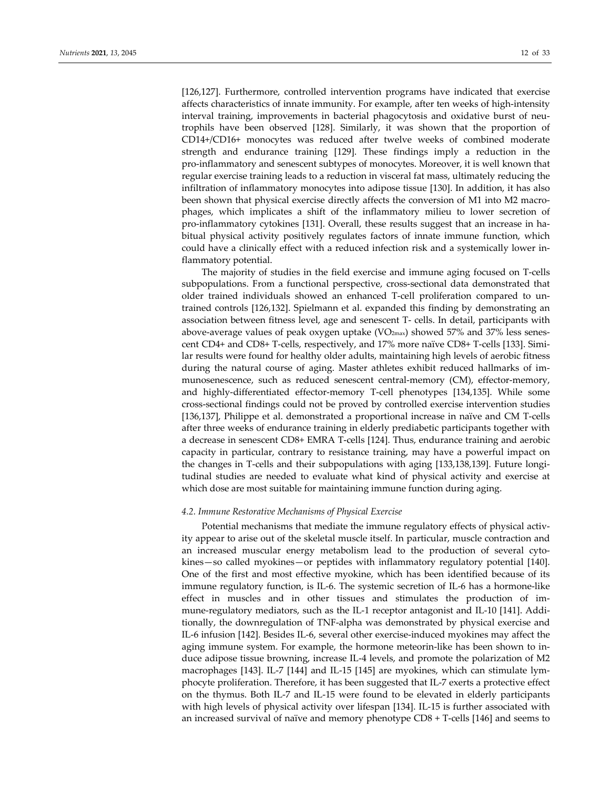[126,127]. Furthermore, controlled intervention programs have indicated that exercise affects characteristics of innate immunity. For example, after ten weeks of high‐intensity interval training, improvements in bacterial phagocytosis and oxidative burst of neutrophils have been observed [128]. Similarly, it was shown that the proportion of CD14+/CD16+ monocytes was reduced after twelve weeks of combined moderate strength and endurance training [129]. These findings imply a reduction in the pro‐inflammatory and senescent subtypes of monocytes. Moreover, it is well known that regular exercise training leads to a reduction in visceral fat mass, ultimately reducing the infiltration of inflammatory monocytes into adipose tissue [130]. In addition, it has also been shown that physical exercise directly affects the conversion of M1 into M2 macrophages, which implicates a shift of the inflammatory milieu to lower secretion of pro-inflammatory cytokines [131]. Overall, these results suggest that an increase in habitual physical activity positively regulates factors of innate immune function, which could have a clinically effect with a reduced infection risk and a systemically lower in‐ flammatory potential.

The majority of studies in the field exercise and immune aging focused on T‐cells subpopulations. From a functional perspective, cross-sectional data demonstrated that older trained individuals showed an enhanced T‐cell proliferation compared to un‐ trained controls [126,132]. Spielmann et al. expanded this finding by demonstrating an association between fitness level, age and senescent T‐ cells. In detail, participants with above-average values of peak oxygen uptake ( $VO_{2max}$ ) showed 57% and 37% less senescent CD4+ and CD8+ T-cells, respectively, and 17% more naïve CD8+ T-cells [133]. Similar results were found for healthy older adults, maintaining high levels of aerobic fitness during the natural course of aging. Master athletes exhibit reduced hallmarks of im‐ munosenescence, such as reduced senescent central-memory (CM), effector-memory, and highly-differentiated effector-memory T-cell phenotypes [134,135]. While some cross‐sectional findings could not be proved by controlled exercise intervention studies [136,137], Philippe et al. demonstrated a proportional increase in naïve and CM T‐cells after three weeks of endurance training in elderly prediabetic participants together with a decrease in senescent CD8+ EMRA T‐cells [124]. Thus, endurance training and aerobic capacity in particular, contrary to resistance training, may have a powerful impact on the changes in T-cells and their subpopulations with aging [133,138,139]. Future longitudinal studies are needed to evaluate what kind of physical activity and exercise at which dose are most suitable for maintaining immune function during aging.

## *4.2. Immune Restorative Mechanisms of Physical Exercise*

Potential mechanisms that mediate the immune regulatory effects of physical activ‐ ity appear to arise out of the skeletal muscle itself. In particular, muscle contraction and an increased muscular energy metabolism lead to the production of several cytokines—so called myokines—or peptides with inflammatory regulatory potential [140]. One of the first and most effective myokine, which has been identified because of its immune regulatory function, is IL‐6. The systemic secretion of IL‐6 has a hormone‐like effect in muscles and in other tissues and stimulates the production of im‐ mune-regulatory mediators, such as the IL-1 receptor antagonist and IL-10 [141]. Additionally, the downregulation of TNF‐alpha was demonstrated by physical exercise and IL‐6 infusion [142]. Besides IL‐6, several other exercise‐induced myokines may affect the aging immune system. For example, the hormone meteorin‐like has been shown to in‐ duce adipose tissue browning, increase IL‐4 levels, and promote the polarization of M2 macrophages [143]. IL‐7 [144] and IL‐15 [145] are myokines, which can stimulate lym‐ phocyte proliferation. Therefore, it has been suggested that IL‐7 exerts a protective effect on the thymus. Both IL‐7 and IL‐15 were found to be elevated in elderly participants with high levels of physical activity over lifespan [134]. IL-15 is further associated with an increased survival of naïve and memory phenotype CD8 + T‐cells [146] and seems to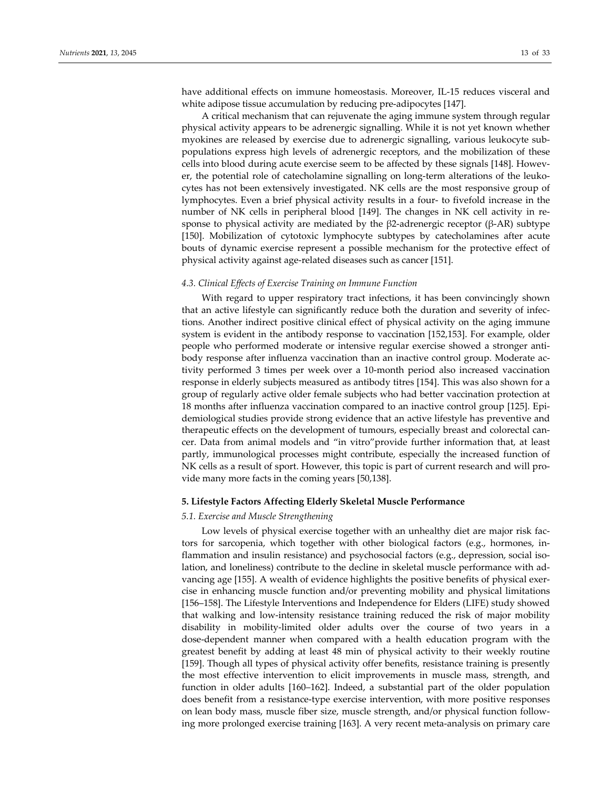have additional effects on immune homeostasis. Moreover, IL‐15 reduces visceral and white adipose tissue accumulation by reducing pre‐adipocytes [147].

A critical mechanism that can rejuvenate the aging immune system through regular physical activity appears to be adrenergic signalling. While it is not yet known whether myokines are released by exercise due to adrenergic signalling, various leukocyte sub‐ populations express high levels of adrenergic receptors, and the mobilization of these cells into blood during acute exercise seem to be affected by these signals [148]. However, the potential role of catecholamine signalling on long-term alterations of the leukocytes has not been extensively investigated. NK cells are the most responsive group of lymphocytes. Even a brief physical activity results in a four‐ to fivefold increase in the number of NK cells in peripheral blood [149]. The changes in NK cell activity in response to physical activity are mediated by the  $\beta$ 2-adrenergic receptor ( $\beta$ -AR) subtype [150]. Mobilization of cytotoxic lymphocyte subtypes by catecholamines after acute bouts of dynamic exercise represent a possible mechanism for the protective effect of physical activity against age‐related diseases such as cancer [151].

### *4.3. Clinical Effects of Exercise Training on Immune Function*

With regard to upper respiratory tract infections, it has been convincingly shown that an active lifestyle can significantly reduce both the duration and severity of infec‐ tions. Another indirect positive clinical effect of physical activity on the aging immune system is evident in the antibody response to vaccination [152,153]. For example, older people who performed moderate or intensive regular exercise showed a stronger antibody response after influenza vaccination than an inactive control group. Moderate ac‐ tivity performed 3 times per week over a 10‐month period also increased vaccination response in elderly subjects measured as antibody titres [154]. This was also shown for a group of regularly active older female subjects who had better vaccination protection at 18 months after influenza vaccination compared to an inactive control group [125]. Epi‐ demiological studies provide strong evidence that an active lifestyle has preventive and therapeutic effects on the development of tumours, especially breast and colorectal can‐ cer. Data from animal models and "in vitro"provide further information that, at least partly, immunological processes might contribute, especially the increased function of NK cells as a result of sport. However, this topic is part of current research and will provide many more facts in the coming years [50,138].

## **5. Lifestyle Factors Affecting Elderly Skeletal Muscle Performance**

## *5.1. Exercise and Muscle Strengthening*

Low levels of physical exercise together with an unhealthy diet are major risk factors for sarcopenia, which together with other biological factors (e.g., hormones, in‐ flammation and insulin resistance) and psychosocial factors (e.g., depression, social isolation, and loneliness) contribute to the decline in skeletal muscle performance with ad‐ vancing age [155]. A wealth of evidence highlights the positive benefits of physical exer‐ cise in enhancing muscle function and/or preventing mobility and physical limitations [156–158]. The Lifestyle Interventions and Independence for Elders (LIFE) study showed that walking and low‐intensity resistance training reduced the risk of major mobility disability in mobility‐limited older adults over the course of two years in a dose‐dependent manner when compared with a health education program with the greatest benefit by adding at least 48 min of physical activity to their weekly routine [159]. Though all types of physical activity offer benefits, resistance training is presently the most effective intervention to elicit improvements in muscle mass, strength, and function in older adults [160–162]. Indeed, a substantial part of the older population does benefit from a resistance‐type exercise intervention, with more positive responses on lean body mass, muscle fiber size, muscle strength, and/or physical function follow‐ ing more prolonged exercise training [163]. A very recent meta-analysis on primary care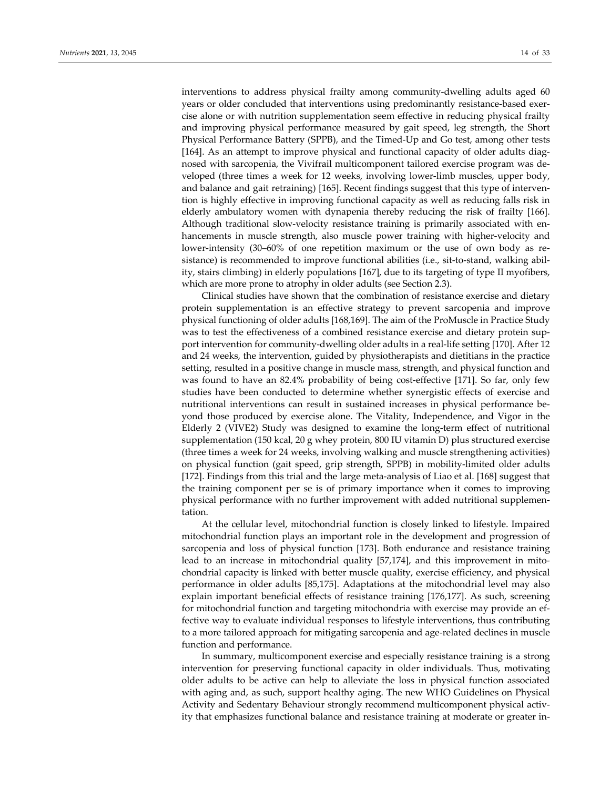interventions to address physical frailty among community-dwelling adults aged 60 years or older concluded that interventions using predominantly resistance-based exercise alone or with nutrition supplementation seem effective in reducing physical frailty and improving physical performance measured by gait speed, leg strength, the Short Physical Performance Battery (SPPB), and the Timed‐Up and Go test, among other tests [164]. As an attempt to improve physical and functional capacity of older adults diagnosed with sarcopenia, the Vivifrail multicomponent tailored exercise program was de‐ veloped (three times a week for 12 weeks, involving lower-limb muscles, upper body, and balance and gait retraining) [165]. Recent findings suggest that this type of interven‐ tion is highly effective in improving functional capacity as well as reducing falls risk in elderly ambulatory women with dynapenia thereby reducing the risk of frailty [166]. Although traditional slow-velocity resistance training is primarily associated with enhancements in muscle strength, also muscle power training with higher-velocity and lower-intensity (30–60% of one repetition maximum or the use of own body as resistance) is recommended to improve functional abilities (i.e., sit-to-stand, walking ability, stairs climbing) in elderly populations [167], due to its targeting of type II myofibers, which are more prone to atrophy in older adults (see Section 2.3).

Clinical studies have shown that the combination of resistance exercise and dietary protein supplementation is an effective strategy to prevent sarcopenia and improve physical functioning of older adults [168,169]. The aim of the ProMuscle in Practice Study was to test the effectiveness of a combined resistance exercise and dietary protein support intervention for community-dwelling older adults in a real-life setting [170]. After 12 and 24 weeks, the intervention, guided by physiotherapists and dietitians in the practice setting, resulted in a positive change in muscle mass, strength, and physical function and was found to have an 82.4% probability of being cost-effective [171]. So far, only few studies have been conducted to determine whether synergistic effects of exercise and nutritional interventions can result in sustained increases in physical performance be‐ yond those produced by exercise alone. The Vitality, Independence, and Vigor in the Elderly 2 (VIVE2) Study was designed to examine the long‐term effect of nutritional supplementation (150 kcal, 20 g whey protein, 800 IU vitamin D) plus structured exercise (three times a week for 24 weeks, involving walking and muscle strengthening activities) on physical function (gait speed, grip strength, SPPB) in mobility‐limited older adults [172]. Findings from this trial and the large meta‐analysis of Liao et al. [168] suggest that the training component per se is of primary importance when it comes to improving physical performance with no further improvement with added nutritional supplemen‐ tation.

At the cellular level, mitochondrial function is closely linked to lifestyle. Impaired mitochondrial function plays an important role in the development and progression of sarcopenia and loss of physical function [173]. Both endurance and resistance training lead to an increase in mitochondrial quality [57,174], and this improvement in mito‐ chondrial capacity is linked with better muscle quality, exercise efficiency, and physical performance in older adults [85,175]. Adaptations at the mitochondrial level may also explain important beneficial effects of resistance training [176,177]. As such, screening for mitochondrial function and targeting mitochondria with exercise may provide an ef‐ fective way to evaluate individual responses to lifestyle interventions, thus contributing to a more tailored approach for mitigating sarcopenia and age-related declines in muscle function and performance.

In summary, multicomponent exercise and especially resistance training is a strong intervention for preserving functional capacity in older individuals. Thus, motivating older adults to be active can help to alleviate the loss in physical function associated with aging and, as such, support healthy aging. The new WHO Guidelines on Physical Activity and Sedentary Behaviour strongly recommend multicomponent physical activ‐ ity that emphasizes functional balance and resistance training at moderate or greater in‐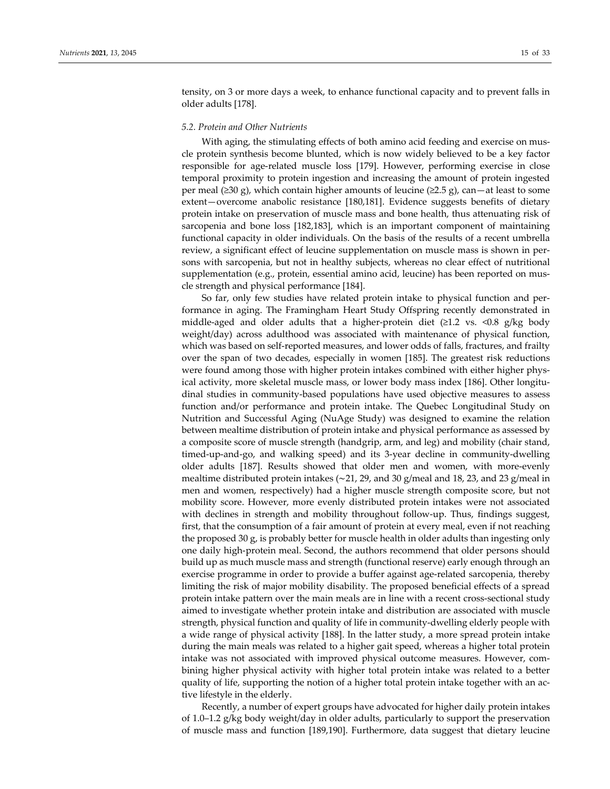tensity, on 3 or more days a week, to enhance functional capacity and to prevent falls in older adults [178].

## *5.2. Protein and Other Nutrients*

With aging, the stimulating effects of both amino acid feeding and exercise on muscle protein synthesis become blunted, which is now widely believed to be a key factor responsible for age-related muscle loss [179]. However, performing exercise in close temporal proximity to protein ingestion and increasing the amount of protein ingested per meal ( $\geq 30$  g), which contain higher amounts of leucine ( $\geq 2.5$  g), can—at least to some extent—overcome anabolic resistance [180,181]. Evidence suggests benefits of dietary protein intake on preservation of muscle mass and bone health, thus attenuating risk of sarcopenia and bone loss [182,183], which is an important component of maintaining functional capacity in older individuals. On the basis of the results of a recent umbrella review, a significant effect of leucine supplementation on muscle mass is shown in persons with sarcopenia, but not in healthy subjects, whereas no clear effect of nutritional supplementation (e.g., protein, essential amino acid, leucine) has been reported on muscle strength and physical performance [184].

So far, only few studies have related protein intake to physical function and per‐ formance in aging. The Framingham Heart Study Offspring recently demonstrated in middle-aged and older adults that a higher-protein diet ( $\geq 1.2$  vs. <0.8 g/kg body weight/day) across adulthood was associated with maintenance of physical function, which was based on self‐reported measures, and lower odds of falls, fractures, and frailty over the span of two decades, especially in women [185]. The greatest risk reductions were found among those with higher protein intakes combined with either higher physical activity, more skeletal muscle mass, or lower body mass index [186]. Other longitu‐ dinal studies in community‐based populations have used objective measures to assess function and/or performance and protein intake. The Quebec Longitudinal Study on Nutrition and Successful Aging (NuAge Study) was designed to examine the relation between mealtime distribution of protein intake and physical performance as assessed by a composite score of muscle strength (handgrip, arm, and leg) and mobility (chair stand, timed‐up‐and‐go, and walking speed) and its 3‐year decline in community‐dwelling older adults [187]. Results showed that older men and women, with more‐evenly mealtime distributed protein intakes (∼21, 29, and 30 g/meal and 18, 23, and 23 g/meal in men and women, respectively) had a higher muscle strength composite score, but not mobility score. However, more evenly distributed protein intakes were not associated with declines in strength and mobility throughout follow‐up. Thus, findings suggest, first, that the consumption of a fair amount of protein at every meal, even if not reaching the proposed 30 g, is probably better for muscle health in older adults than ingesting only one daily high‐protein meal. Second, the authors recommend that older persons should build up as much muscle mass and strength (functional reserve) early enough through an exercise programme in order to provide a buffer against age-related sarcopenia, thereby limiting the risk of major mobility disability. The proposed beneficial effects of a spread protein intake pattern over the main meals are in line with a recent cross-sectional study aimed to investigate whether protein intake and distribution are associated with muscle strength, physical function and quality of life in community-dwelling elderly people with a wide range of physical activity [188]. In the latter study, a more spread protein intake during the main meals was related to a higher gait speed, whereas a higher total protein intake was not associated with improved physical outcome measures. However, combining higher physical activity with higher total protein intake was related to a better quality of life, supporting the notion of a higher total protein intake together with an ac‐ tive lifestyle in the elderly.

Recently, a number of expert groups have advocated for higher daily protein intakes of 1.0–1.2 g/kg body weight/day in older adults, particularly to support the preservation of muscle mass and function [189,190]. Furthermore, data suggest that dietary leucine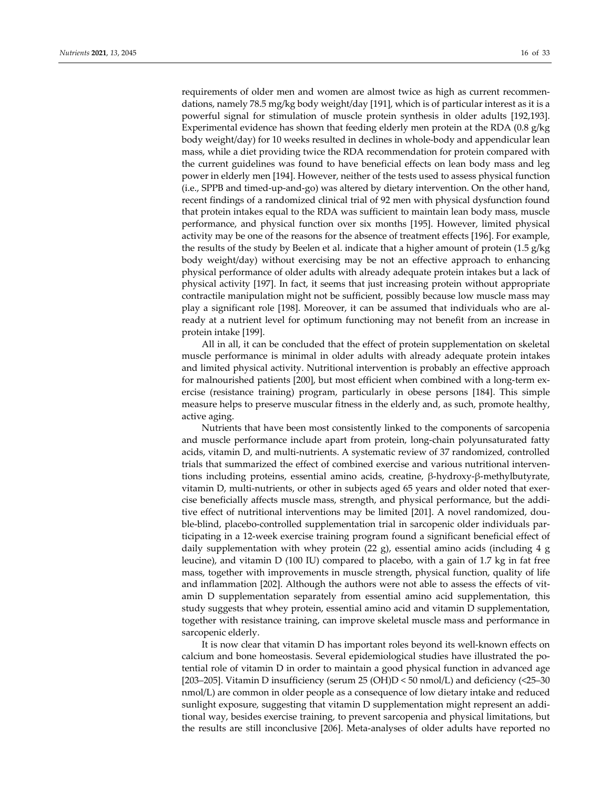requirements of older men and women are almost twice as high as current recommendations, namely 78.5 mg/kg body weight/day [191], which is of particular interest as it is a powerful signal for stimulation of muscle protein synthesis in older adults [192,193]. Experimental evidence has shown that feeding elderly men protein at the RDA (0.8 g/kg body weight/day) for 10 weeks resulted in declines in whole‐body and appendicular lean mass, while a diet providing twice the RDA recommendation for protein compared with the current guidelines was found to have beneficial effects on lean body mass and leg power in elderly men [194]. However, neither of the tests used to assess physical function (i.e., SPPB and timed‐up‐and‐go) was altered by dietary intervention. On the other hand, recent findings of a randomized clinical trial of 92 men with physical dysfunction found that protein intakes equal to the RDA was sufficient to maintain lean body mass, muscle performance, and physical function over six months [195]. However, limited physical activity may be one of the reasons for the absence of treatment effects [196]. For example, the results of the study by Beelen et al. indicate that a higher amount of protein (1.5 g/kg body weight/day) without exercising may be not an effective approach to enhancing physical performance of older adults with already adequate protein intakes but a lack of physical activity [197]. In fact, it seems that just increasing protein without appropriate contractile manipulation might not be sufficient, possibly because low muscle mass may play a significant role [198]. Moreover, it can be assumed that individuals who are al‐ ready at a nutrient level for optimum functioning may not benefit from an increase in protein intake [199].

All in all, it can be concluded that the effect of protein supplementation on skeletal muscle performance is minimal in older adults with already adequate protein intakes and limited physical activity. Nutritional intervention is probably an effective approach for malnourished patients [200], but most efficient when combined with a long-term exercise (resistance training) program, particularly in obese persons [184]. This simple measure helps to preserve muscular fitness in the elderly and, as such, promote healthy, active aging.

Nutrients that have been most consistently linked to the components of sarcopenia and muscle performance include apart from protein, long‐chain polyunsaturated fatty acids, vitamin D, and multi‐nutrients. A systematic review of 37 randomized, controlled trials that summarized the effect of combined exercise and various nutritional interven‐ tions including proteins, essential amino acids, creatine, β‐hydroxy‐β‐methylbutyrate, vitamin D, multi‐nutrients, or other in subjects aged 65 years and older noted that exer‐ cise beneficially affects muscle mass, strength, and physical performance, but the addi‐ tive effect of nutritional interventions may be limited [201]. A novel randomized, double-blind, placebo-controlled supplementation trial in sarcopenic older individuals participating in a 12‐week exercise training program found a significant beneficial effect of daily supplementation with whey protein  $(22 g)$ , essential amino acids (including 4 g leucine), and vitamin D (100 IU) compared to placebo, with a gain of 1.7 kg in fat free mass, together with improvements in muscle strength, physical function, quality of life and inflammation [202]. Although the authors were not able to assess the effects of vit‐ amin D supplementation separately from essential amino acid supplementation, this study suggests that whey protein, essential amino acid and vitamin D supplementation, together with resistance training, can improve skeletal muscle mass and performance in sarcopenic elderly.

It is now clear that vitamin D has important roles beyond its well-known effects on calcium and bone homeostasis. Several epidemiological studies have illustrated the po‐ tential role of vitamin D in order to maintain a good physical function in advanced age [203–205]. Vitamin D insufficiency (serum 25 (OH)D < 50 nmol/L) and deficiency (<25–30 nmol/L) are common in older people as a consequence of low dietary intake and reduced sunlight exposure, suggesting that vitamin D supplementation might represent an additional way, besides exercise training, to prevent sarcopenia and physical limitations, but the results are still inconclusive [206]. Meta‐analyses of older adults have reported no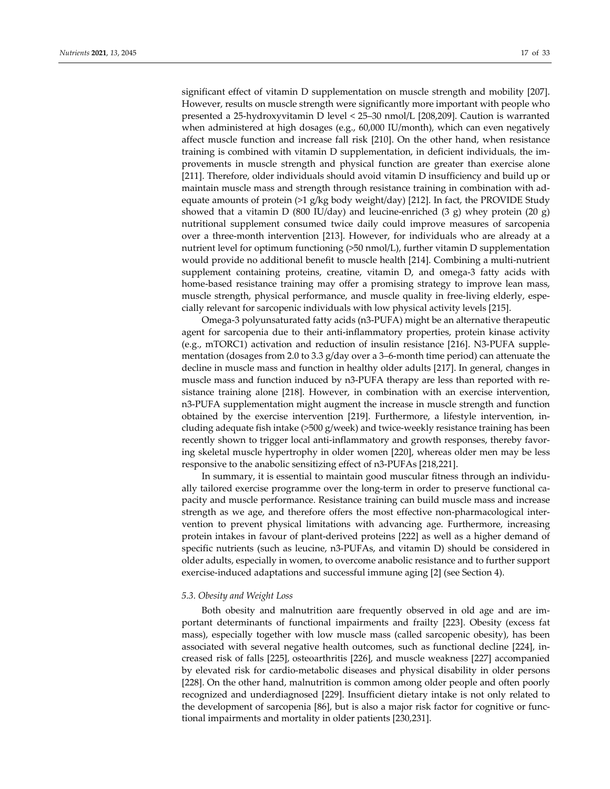significant effect of vitamin D supplementation on muscle strength and mobility [207]. However, results on muscle strength were significantly more important with people who presented a 25‐hydroxyvitamin D level < 25–30 nmol/L [208,209]. Caution is warranted when administered at high dosages (e.g., 60,000 IU/month), which can even negatively affect muscle function and increase fall risk [210]. On the other hand, when resistance training is combined with vitamin D supplementation, in deficient individuals, the im‐ provements in muscle strength and physical function are greater than exercise alone [211]. Therefore, older individuals should avoid vitamin D insufficiency and build up or maintain muscle mass and strength through resistance training in combination with ad‐ equate amounts of protein (>1 g/kg body weight/day) [212]. In fact, the PROVIDE Study showed that a vitamin D (800 IU/day) and leucine-enriched (3 g) whey protein (20 g) nutritional supplement consumed twice daily could improve measures of sarcopenia over a three‐month intervention [213]. However, for individuals who are already at a nutrient level for optimum functioning (>50 nmol/L), further vitamin D supplementation would provide no additional benefit to muscle health [214]. Combining a multi‐nutrient supplement containing proteins, creatine, vitamin D, and omega-3 fatty acids with home-based resistance training may offer a promising strategy to improve lean mass, muscle strength, physical performance, and muscle quality in free-living elderly, especially relevant for sarcopenic individuals with low physical activity levels [215].

Omega‐3 polyunsaturated fatty acids (n3‐PUFA) might be an alternative therapeutic agent for sarcopenia due to their anti-inflammatory properties, protein kinase activity (e.g., mTORC1) activation and reduction of insulin resistance [216]. N3‐PUFA supple‐ mentation (dosages from 2.0 to 3.3 g/day over a 3–6-month time period) can attenuate the decline in muscle mass and function in healthy older adults [217]. In general, changes in muscle mass and function induced by n3-PUFA therapy are less than reported with resistance training alone [218]. However, in combination with an exercise intervention, n3-PUFA supplementation might augment the increase in muscle strength and function obtained by the exercise intervention [219]. Furthermore, a lifestyle intervention, in‐ cluding adequate fish intake ( $>500$  g/week) and twice-weekly resistance training has been recently shown to trigger local anti-inflammatory and growth responses, thereby favoring skeletal muscle hypertrophy in older women [220], whereas older men may be less responsive to the anabolic sensitizing effect of n3‐PUFAs [218,221].

In summary, it is essential to maintain good muscular fitness through an individually tailored exercise programme over the long-term in order to preserve functional capacity and muscle performance. Resistance training can build muscle mass and increase strength as we age, and therefore offers the most effective non-pharmacological intervention to prevent physical limitations with advancing age. Furthermore, increasing protein intakes in favour of plant‐derived proteins [222] as well as a higher demand of specific nutrients (such as leucine, n3‐PUFAs, and vitamin D) should be considered in older adults, especially in women, to overcome anabolic resistance and to further support exercise-induced adaptations and successful immune aging [2] (see Section 4).

#### *5.3. Obesity and Weight Loss*

Both obesity and malnutrition aare frequently observed in old age and are im‐ portant determinants of functional impairments and frailty [223]. Obesity (excess fat mass), especially together with low muscle mass (called sarcopenic obesity), has been associated with several negative health outcomes, such as functional decline [224], in‐ creased risk of falls [225], osteoarthritis [226], and muscle weakness [227] accompanied by elevated risk for cardio‐metabolic diseases and physical disability in older persons [228]. On the other hand, malnutrition is common among older people and often poorly recognized and underdiagnosed [229]. Insufficient dietary intake is not only related to the development of sarcopenia [86], but is also a major risk factor for cognitive or func‐ tional impairments and mortality in older patients [230,231].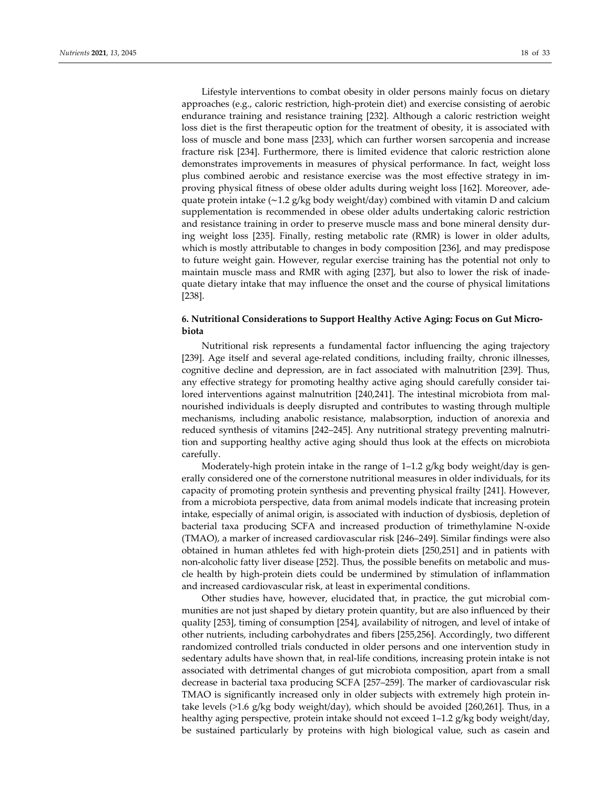Lifestyle interventions to combat obesity in older persons mainly focus on dietary approaches (e.g., caloric restriction, high‐protein diet) and exercise consisting of aerobic endurance training and resistance training [232]. Although a caloric restriction weight loss diet is the first therapeutic option for the treatment of obesity, it is associated with loss of muscle and bone mass [233], which can further worsen sarcopenia and increase fracture risk [234]. Furthermore, there is limited evidence that caloric restriction alone demonstrates improvements in measures of physical performance. In fact, weight loss plus combined aerobic and resistance exercise was the most effective strategy in im‐ proving physical fitness of obese older adults during weight loss [162]. Moreover, ade‐ quate protein intake (∼1.2 g/kg body weight/day) combined with vitamin D and calcium supplementation is recommended in obese older adults undertaking caloric restriction and resistance training in order to preserve muscle mass and bone mineral density dur‐ ing weight loss [235]. Finally, resting metabolic rate (RMR) is lower in older adults, which is mostly attributable to changes in body composition [236], and may predispose to future weight gain. However, regular exercise training has the potential not only to maintain muscle mass and RMR with aging [237], but also to lower the risk of inade‐ quate dietary intake that may influence the onset and the course of physical limitations [238].

# **6. Nutritional Considerations to Support Healthy Active Aging: Focus on Gut Micro‐ biota**

Nutritional risk represents a fundamental factor influencing the aging trajectory [239]. Age itself and several age-related conditions, including frailty, chronic illnesses, cognitive decline and depression, are in fact associated with malnutrition [239]. Thus, any effective strategy for promoting healthy active aging should carefully consider tailored interventions against malnutrition [240,241]. The intestinal microbiota from malnourished individuals is deeply disrupted and contributes to wasting through multiple mechanisms, including anabolic resistance, malabsorption, induction of anorexia and reduced synthesis of vitamins [242–245]. Any nutritional strategy preventing malnutri‐ tion and supporting healthy active aging should thus look at the effects on microbiota carefully.

Moderately-high protein intake in the range of  $1-1.2$  g/kg body weight/day is generally considered one of the cornerstone nutritional measures in older individuals, for its capacity of promoting protein synthesis and preventing physical frailty [241]. However, from a microbiota perspective, data from animal models indicate that increasing protein intake, especially of animal origin, is associated with induction of dysbiosis, depletion of bacterial taxa producing SCFA and increased production of trimethylamine N‐oxide (TMAO), a marker of increased cardiovascular risk [246–249]. Similar findings were also obtained in human athletes fed with high‐protein diets [250,251] and in patients with non-alcoholic fatty liver disease [252]. Thus, the possible benefits on metabolic and muscle health by high‐protein diets could be undermined by stimulation of inflammation and increased cardiovascular risk, at least in experimental conditions.

Other studies have, however, elucidated that, in practice, the gut microbial communities are not just shaped by dietary protein quantity, but are also influenced by their quality [253], timing of consumption [254], availability of nitrogen, and level of intake of other nutrients, including carbohydrates and fibers [255,256]. Accordingly, two different randomized controlled trials conducted in older persons and one intervention study in sedentary adults have shown that, in real-life conditions, increasing protein intake is not associated with detrimental changes of gut microbiota composition, apart from a small decrease in bacterial taxa producing SCFA [257–259]. The marker of cardiovascular risk TMAO is significantly increased only in older subjects with extremely high protein in‐ take levels  $(>1.6 \text{ g/kg}$  body weight/day), which should be avoided  $[260,261]$ . Thus, in a healthy aging perspective, protein intake should not exceed 1–1.2 g/kg body weight/day, be sustained particularly by proteins with high biological value, such as casein and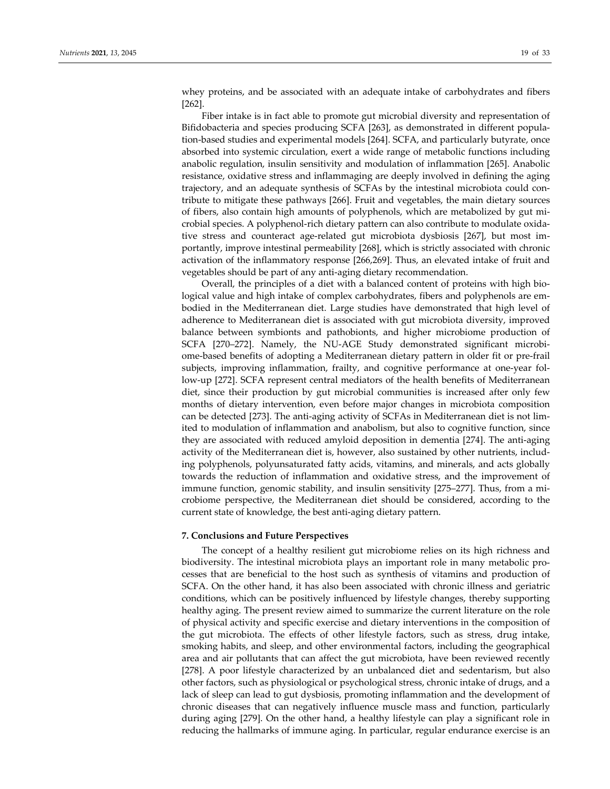whey proteins, and be associated with an adequate intake of carbohydrates and fibers [262].

Fiber intake is in fact able to promote gut microbial diversity and representation of Bifidobacteria and species producing SCFA [263], as demonstrated in different popula‐ tion‐based studies and experimental models [264]. SCFA, and particularly butyrate, once absorbed into systemic circulation, exert a wide range of metabolic functions including anabolic regulation, insulin sensitivity and modulation of inflammation [265]. Anabolic resistance, oxidative stress and inflammaging are deeply involved in defining the aging trajectory, and an adequate synthesis of SCFAs by the intestinal microbiota could con‐ tribute to mitigate these pathways [266]. Fruit and vegetables, the main dietary sources of fibers, also contain high amounts of polyphenols, which are metabolized by gut mi‐ crobial species. A polyphenol‐rich dietary pattern can also contribute to modulate oxida‐ tive stress and counteract age-related gut microbiota dysbiosis [267], but most importantly, improve intestinal permeability [268], which is strictly associated with chronic activation of the inflammatory response [266,269]. Thus, an elevated intake of fruit and vegetables should be part of any anti‐aging dietary recommendation.

Overall, the principles of a diet with a balanced content of proteins with high biological value and high intake of complex carbohydrates, fibers and polyphenols are embodied in the Mediterranean diet. Large studies have demonstrated that high level of adherence to Mediterranean diet is associated with gut microbiota diversity, improved balance between symbionts and pathobionts, and higher microbiome production of SCFA [270–272]. Namely, the NU-AGE Study demonstrated significant microbiome‐based benefits of adopting a Mediterranean dietary pattern in older fit or pre‐frail subjects, improving inflammation, frailty, and cognitive performance at one-year follow‐up [272]. SCFA represent central mediators of the health benefits of Mediterranean diet, since their production by gut microbial communities is increased after only few months of dietary intervention, even before major changes in microbiota composition can be detected [273]. The anti-aging activity of SCFAs in Mediterranean diet is not limited to modulation of inflammation and anabolism, but also to cognitive function, since they are associated with reduced amyloid deposition in dementia [274]. The anti‐aging activity of the Mediterranean diet is, however, also sustained by other nutrients, includ‐ ing polyphenols, polyunsaturated fatty acids, vitamins, and minerals, and acts globally towards the reduction of inflammation and oxidative stress, and the improvement of immune function, genomic stability, and insulin sensitivity [275–277]. Thus, from a microbiome perspective, the Mediterranean diet should be considered, according to the current state of knowledge, the best anti‐aging dietary pattern.

## **7. Conclusions and Future Perspectives**

The concept of a healthy resilient gut microbiome relies on its high richness and biodiversity. The intestinal microbiota plays an important role in many metabolic pro‐ cesses that are beneficial to the host such as synthesis of vitamins and production of SCFA. On the other hand, it has also been associated with chronic illness and geriatric conditions, which can be positively influenced by lifestyle changes, thereby supporting healthy aging. The present review aimed to summarize the current literature on the role of physical activity and specific exercise and dietary interventions in the composition of the gut microbiota. The effects of other lifestyle factors, such as stress, drug intake, smoking habits, and sleep, and other environmental factors, including the geographical area and air pollutants that can affect the gut microbiota, have been reviewed recently [278]. A poor lifestyle characterized by an unbalanced diet and sedentarism, but also other factors, such as physiological or psychological stress, chronic intake of drugs, and a lack of sleep can lead to gut dysbiosis, promoting inflammation and the development of chronic diseases that can negatively influence muscle mass and function, particularly during aging [279]. On the other hand, a healthy lifestyle can play a significant role in reducing the hallmarks of immune aging. In particular, regular endurance exercise is an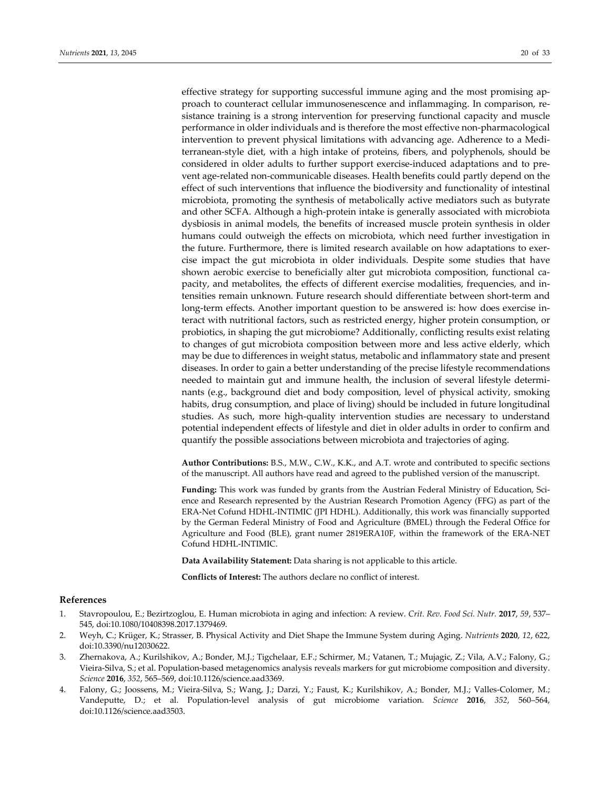effective strategy for supporting successful immune aging and the most promising ap‐ proach to counteract cellular immunosenescence and inflammaging. In comparison, resistance training is a strong intervention for preserving functional capacity and muscle performance in older individuals and is therefore the most effective non‐pharmacological intervention to prevent physical limitations with advancing age. Adherence to a Mediterranean‐style diet, with a high intake of proteins, fibers, and polyphenols, should be considered in older adults to further support exercise-induced adaptations and to prevent age‐related non‐communicable diseases. Health benefits could partly depend on the effect of such interventions that influence the biodiversity and functionality of intestinal microbiota, promoting the synthesis of metabolically active mediators such as butyrate and other SCFA. Although a high‐protein intake is generally associated with microbiota dysbiosis in animal models, the benefits of increased muscle protein synthesis in older humans could outweigh the effects on microbiota, which need further investigation in the future. Furthermore, there is limited research available on how adaptations to exercise impact the gut microbiota in older individuals. Despite some studies that have shown aerobic exercise to beneficially alter gut microbiota composition, functional capacity, and metabolites, the effects of different exercise modalities, frequencies, and in‐ tensities remain unknown. Future research should differentiate between short‐term and long-term effects. Another important question to be answered is: how does exercise interact with nutritional factors, such as restricted energy, higher protein consumption, or probiotics, in shaping the gut microbiome? Additionally, conflicting results exist relating to changes of gut microbiota composition between more and less active elderly, which may be due to differences in weight status, metabolic and inflammatory state and present diseases. In order to gain a better understanding of the precise lifestyle recommendations needed to maintain gut and immune health, the inclusion of several lifestyle determinants (e.g., background diet and body composition, level of physical activity, smoking habits, drug consumption, and place of living) should be included in future longitudinal studies. As such, more high‐quality intervention studies are necessary to understand potential independent effects of lifestyle and diet in older adults in order to confirm and quantify the possible associations between microbiota and trajectories of aging.

**Author Contributions:** B.S., M.W., C.W., K.K., and A.T. wrote and contributed to specific sections of the manuscript. All authors have read and agreed to the published version of the manuscript.

Funding: This work was funded by grants from the Austrian Federal Ministry of Education, Science and Research represented by the Austrian Research Promotion Agency (FFG) as part of the ERA‐Net Cofund HDHL‐INTIMIC (JPI HDHL). Additionally, this work was financially supported by the German Federal Ministry of Food and Agriculture (BMEL) through the Federal Office for Agriculture and Food (BLE), grant numer 2819ERA10F, within the framework of the ERA‐NET Cofund HDHL‐INTIMIC.

**Data Availability Statement:** Data sharing is not applicable to this article.

**Conflicts of Interest:** The authors declare no conflict of interest.

## **References**

- 1. Stavropoulou, E.; Bezirtzoglou, E. Human microbiota in aging and infection: A review. *Crit. Rev. Food Sci. Nutr.* **2017**, *59*, 537– 545, doi:10.1080/10408398.2017.1379469.
- 2. Weyh, C.; Krüger, K.; Strasser, B. Physical Activity and Diet Shape the Immune System during Aging. *Nutrients* **2020**, *12*, 622, doi:10.3390/nu12030622.
- 3. Zhernakova, A.; Kurilshikov, A.; Bonder, M.J.; Tigchelaar, E.F.; Schirmer, M.; Vatanen, T.; Mujagic, Z.; Vila, A.V.; Falony, G.; Vieira‐Silva, S.; et al. Population‐based metagenomics analysis reveals markers for gut microbiome composition and diversity. *Science* **2016**, *352*, 565–569, doi:10.1126/science.aad3369.
- 4. Falony, G.; Joossens, M.; Vieira‐Silva, S.; Wang, J.; Darzi, Y.; Faust, K.; Kurilshikov, A.; Bonder, M.J.; Valles‐Colomer, M.; Vandeputte, D.; et al. Population‐level analysis of gut microbiome variation. *Science* **2016**, *352*, 560–564, doi:10.1126/science.aad3503.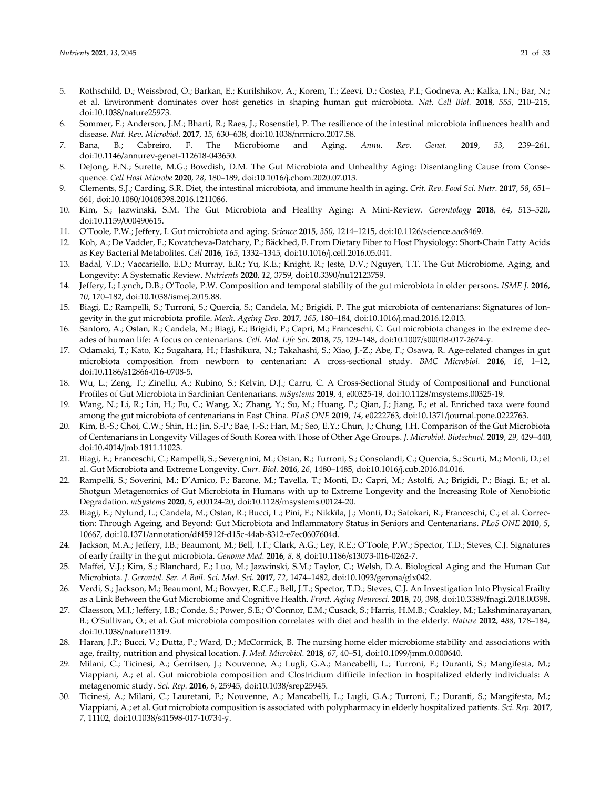- 5. Rothschild, D.; Weissbrod, O.; Barkan, E.; Kurilshikov, A.; Korem, T.; Zeevi, D.; Costea, P.I.; Godneva, A.; Kalka, I.N.; Bar, N.; et al. Environment dominates over host genetics in shaping human gut microbiota. *Nat. Cell Biol.* **2018**, *555*, 210–215, doi:10.1038/nature25973.
- 6. Sommer, F.; Anderson, J.M.; Bharti, R.; Raes, J.; Rosenstiel, P. The resilience of the intestinal microbiota influences health and disease. *Nat. Rev. Microbiol.* **2017**, *15*, 630–638, doi:10.1038/nrmicro.2017.58.
- 7. Bana, B.; Cabreiro, F. The Microbiome and Aging. *Annu. Rev. Genet.* **2019**, *53*, 239–261, doi:10.1146/annurev‐genet‐112618‐043650.
- 8. DeJong, E.N.; Surette, M.G.; Bowdish, D.M. The Gut Microbiota and Unhealthy Aging: Disentangling Cause from Consequence. *Cell Host Microbe* **2020**, *28*, 180–189, doi:10.1016/j.chom.2020.07.013.
- 9. Clements, S.J.; Carding, S.R. Diet, the intestinal microbiota, and immune health in aging. *Crit. Rev. Food Sci. Nutr.* **2017**, *58*, 651– 661, doi:10.1080/10408398.2016.1211086.
- 10. Kim, S.; Jazwinski, S.M. The Gut Microbiota and Healthy Aging: A Mini‐Review. *Gerontology* **2018**, *64*, 513–520, doi:10.1159/000490615.
- 11. O'Toole, P.W.; Jeffery, I. Gut microbiota and aging. *Science* **2015**, *350*, 1214–1215, doi:10.1126/science.aac8469.
- 12. Koh, A.; De Vadder, F.; Kovatcheva‐Datchary, P.; Bäckhed, F. From Dietary Fiber to Host Physiology: Short‐Chain Fatty Acids as Key Bacterial Metabolites. *Cell* **2016**, *165*, 1332–1345, doi:10.1016/j.cell.2016.05.041.
- 13. Badal, V.D.; Vaccariello, E.D.; Murray, E.R.; Yu, K.E.; Knight, R.; Jeste, D.V.; Nguyen, T.T. The Gut Microbiome, Aging, and Longevity: A Systematic Review. *Nutrients* **2020**, *12*, 3759, doi:10.3390/nu12123759.
- 14. Jeffery, I.; Lynch, D.B.; O'Toole, P.W. Composition and temporal stability of the gut microbiota in older persons. *ISME J.* **2016**, *10*, 170–182, doi:10.1038/ismej.2015.88.
- 15. Biagi, E.; Rampelli, S.; Turroni, S.; Quercia, S.; Candela, M.; Brigidi, P. The gut microbiota of centenarians: Signatures of lon‐ gevity in the gut microbiota profile. *Mech. Ageing Dev.* **2017**, *165*, 180–184, doi:10.1016/j.mad.2016.12.013.
- 16. Santoro, A.; Ostan, R.; Candela, M.; Biagi, E.; Brigidi, P.; Capri, M.; Franceschi, C. Gut microbiota changes in the extreme dec‐ ades of human life: A focus on centenarians. *Cell. Mol. Life Sci.* **2018**, *75*, 129–148, doi:10.1007/s00018‐017‐2674‐y.
- 17. Odamaki, T.; Kato, K.; Sugahara, H.; Hashikura, N.; Takahashi, S.; Xiao, J.-Z.; Abe, F.; Osawa, R. Age-related changes in gut microbiota composition from newborn to centenarian: A cross‐sectional study. *BMC Microbiol.* **2016**, *16*, 1–12, doi:10.1186/s12866‐016‐0708‐5.
- 18. Wu, L.; Zeng, T.; Zinellu, A.; Rubino, S.; Kelvin, D.J.; Carru, C. A Cross-Sectional Study of Compositional and Functional Profiles of Gut Microbiota in Sardinian Centenarians. *mSystems* **2019**, *4*, e00325‐19, doi:10.1128/msystems.00325‐19.
- 19. Wang, N.; Li, R.; Lin, H.; Fu, C.; Wang, X.; Zhang, Y.; Su, M.; Huang, P.; Qian, J.; Jiang, F.; et al. Enriched taxa were found among the gut microbiota of centenarians in East China. *PLoS ONE* **2019**, *14*, e0222763, doi:10.1371/journal.pone.0222763.
- 20. Kim, B.‐S.; Choi, C.W.; Shin, H.; Jin, S.‐P.; Bae, J.‐S.; Han, M.; Seo, E.Y.; Chun, J.; Chung, J.H. Comparison of the Gut Microbiota of Centenarians in Longevity Villages of South Korea with Those of Other Age Groups. *J. Microbiol. Biotechnol.* **2019**, *29*, 429–440, doi:10.4014/jmb.1811.11023.
- 21. Biagi, E.; Franceschi, C.; Rampelli, S.; Severgnini, M.; Ostan, R.; Turroni, S.; Consolandi, C.; Quercia, S.; Scurti, M.; Monti, D.; et al. Gut Microbiota and Extreme Longevity. *Curr. Biol.* **2016**, *26*, 1480–1485, doi:10.1016/j.cub.2016.04.016.
- 22. Rampelli, S.; Soverini, M.; D'Amico, F.; Barone, M.; Tavella, T.; Monti, D.; Capri, M.; Astolfi, A.; Brigidi, P.; Biagi, E.; et al. Shotgun Metagenomics of Gut Microbiota in Humans with up to Extreme Longevity and the Increasing Role of Xenobiotic Degradation. *mSystems* **2020**, *5*, e00124‐20, doi:10.1128/msystems.00124‐20.
- 23. Biagi, E.; Nylund, L.; Candela, M.; Ostan, R.; Bucci, L.; Pini, E.; Nikkïla, J.; Monti, D.; Satokari, R.; Franceschi, C.; et al. Correc‐ tion: Through Ageing, and Beyond: Gut Microbiota and Inflammatory Status in Seniors and Centenarians. *PLoS ONE* **2010**, *5*, 10667, doi:10.1371/annotation/df45912f‐d15c‐44ab‐8312‐e7ec0607604d.
- 24. Jackson, M.A.; Jeffery, I.B.; Beaumont, M.; Bell, J.T.; Clark, A.G.; Ley, R.E.; O'Toole, P.W.; Spector, T.D.; Steves, C.J. Signatures of early frailty in the gut microbiota. *Genome Med.* **2016**, *8*, 8, doi:10.1186/s13073‐016‐0262‐7.
- 25. Maffei, V.J.; Kim, S.; Blanchard, E.; Luo, M.; Jazwinski, S.M.; Taylor, C.; Welsh, D.A. Biological Aging and the Human Gut Microbiota. *J. Gerontol. Ser. A Boil. Sci. Med. Sci.* **2017**, *72*, 1474–1482, doi:10.1093/gerona/glx042.
- 26. Verdi, S.; Jackson, M.; Beaumont, M.; Bowyer, R.C.E.; Bell, J.T.; Spector, T.D.; Steves, C.J. An Investigation Into Physical Frailty as a Link Between the Gut Microbiome and Cognitive Health. *Front. Aging Neurosci.* **2018**, *10*, 398, doi:10.3389/fnagi.2018.00398.
- 27. Claesson, M.J.; Jeffery, I.B.; Conde, S.; Power, S.E.; O'Connor, E.M.; Cusack, S.; Harris, H.M.B.; Coakley, M.; Lakshminarayanan, B.; O'Sullivan, O.; et al. Gut microbiota composition correlates with diet and health in the elderly. *Nature* **2012**, *488*, 178–184, doi:10.1038/nature11319.
- 28. Haran, J.P.; Bucci, V.; Dutta, P.; Ward, D.; McCormick, B. The nursing home elder microbiome stability and associations with age, frailty, nutrition and physical location. *J. Med. Microbiol.* **2018**, *67*, 40–51, doi:10.1099/jmm.0.000640.
- 29. Milani, C.; Ticinesi, A.; Gerritsen, J.; Nouvenne, A.; Lugli, G.A.; Mancabelli, L.; Turroni, F.; Duranti, S.; Mangifesta, M.; Viappiani, A.; et al. Gut microbiota composition and Clostridium difficile infection in hospitalized elderly individuals: A metagenomic study. *Sci. Rep.* **2016**, *6*, 25945, doi:10.1038/srep25945.
- 30. Ticinesi, A.; Milani, C.; Lauretani, F.; Nouvenne, A.; Mancabelli, L.; Lugli, G.A.; Turroni, F.; Duranti, S.; Mangifesta, M.; Viappiani, A.; et al. Gut microbiota composition is associated with polypharmacy in elderly hospitalized patients. *Sci. Rep.* **2017**, *7*, 11102, doi:10.1038/s41598‐017‐10734‐y.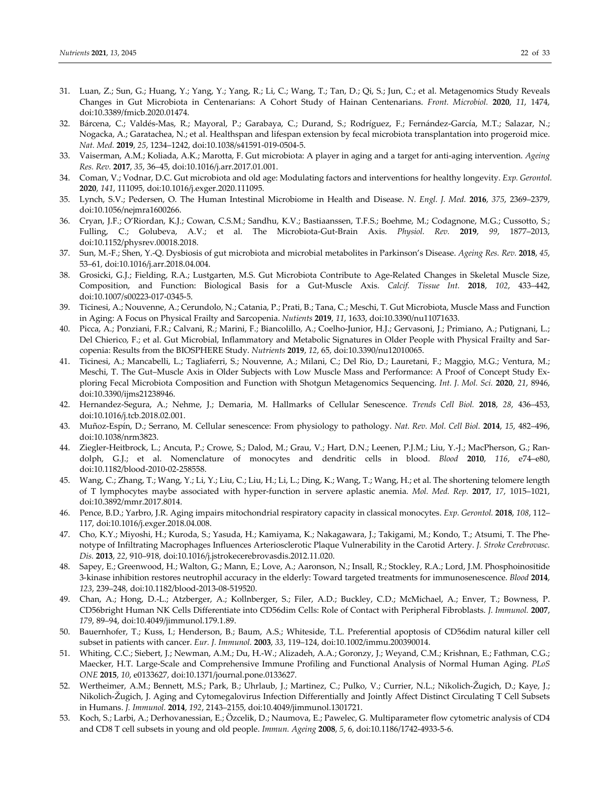- 31. Luan, Z.; Sun, G.; Huang, Y.; Yang, Y.; Yang, R.; Li, C.; Wang, T.; Tan, D.; Qi, S.; Jun, C.; et al. Metagenomics Study Reveals Changes in Gut Microbiota in Centenarians: A Cohort Study of Hainan Centenarians. *Front. Microbiol.* **2020**, *11*, 1474, doi:10.3389/fmicb.2020.01474.
- 32. Bárcena, C.; Valdés‐Mas, R.; Mayoral, P.; Garabaya, C.; Durand, S.; Rodríguez, F.; Fernández‐García, M.T.; Salazar, N.; Nogacka, A.; Garatachea, N.; et al. Healthspan and lifespan extension by fecal microbiota transplantation into progeroid mice. *Nat. Med.* **2019**, *25*, 1234–1242, doi:10.1038/s41591‐019‐0504‐5.
- 33. Vaiserman, A.M.; Koliada, A.K.; Marotta, F. Gut microbiota: A player in aging and a target for anti‐aging intervention. *Ageing Res. Rev.* **2017**, *35*, 36–45, doi:10.1016/j.arr.2017.01.001.
- 34. Coman, V.; Vodnar, D.C. Gut microbiota and old age: Modulating factors and interventions for healthy longevity. *Exp. Gerontol.* **2020**, *141*, 111095, doi:10.1016/j.exger.2020.111095.
- 35. Lynch, S.V.; Pedersen, O. The Human Intestinal Microbiome in Health and Disease. *N. Engl. J. Med.* **2016**, *375*, 2369–2379, doi:10.1056/nejmra1600266.
- 36. Cryan, J.F.; O'Riordan, K.J.; Cowan, C.S.M.; Sandhu, K.V.; Bastiaanssen, T.F.S.; Boehme, M.; Codagnone, M.G.; Cussotto, S.; Fulling, C.; Golubeva, A.V.; et al. The Microbiota‐Gut‐Brain Axis. *Physiol. Rev.* **2019**, *99*, 1877–2013, doi:10.1152/physrev.00018.2018.
- 37. Sun, M.‐F.; Shen, Y.‐Q. Dysbiosis of gut microbiota and microbial metabolites in Parkinson's Disease. *Ageing Res. Rev.* **2018**, *45*, 53–61, doi:10.1016/j.arr.2018.04.004.
- 38. Grosicki, G.J.; Fielding, R.A.; Lustgarten, M.S. Gut Microbiota Contribute to Age-Related Changes in Skeletal Muscle Size, Composition, and Function: Biological Basis for a Gut‐Muscle Axis. *Calcif. Tissue Int.* **2018**, *102*, 433–442, doi:10.1007/s00223‐017‐0345‐5.
- 39. Ticinesi, A.; Nouvenne, A.; Cerundolo, N.; Catania, P.; Prati, B.; Tana, C.; Meschi, T. Gut Microbiota, Muscle Mass and Function in Aging: A Focus on Physical Frailty and Sarcopenia. *Nutients* **2019**, *11*, 1633, doi:10.3390/nu11071633.
- 40. Picca, A.; Ponziani, F.R.; Calvani, R.; Marini, F.; Biancolillo, A.; Coelho‐Junior, H.J.; Gervasoni, J.; Primiano, A.; Putignani, L.; Del Chierico, F.; et al. Gut Microbial, Inflammatory and Metabolic Signatures in Older People with Physical Frailty and Sarcopenia: Results from the BIOSPHERE Study. *Nutrients* **2019**, *12*, 65, doi:10.3390/nu12010065.
- 41. Ticinesi, A.; Mancabelli, L.; Tagliaferri, S.; Nouvenne, A.; Milani, C.; Del Rio, D.; Lauretani, F.; Maggio, M.G.; Ventura, M.; Meschi, T. The Gut–Muscle Axis in Older Subjects with Low Muscle Mass and Performance: A Proof of Concept Study Ex‐ ploring Fecal Microbiota Composition and Function with Shotgun Metagenomics Sequencing. *Int. J. Mol. Sci.* **2020**, *21*, 8946, doi:10.3390/ijms21238946.
- 42. Hernandez‐Segura, A.; Nehme, J.; Demaria, M. Hallmarks of Cellular Senescence. *Trends Cell Biol.* **2018**, *28*, 436–453, doi:10.1016/j.tcb.2018.02.001.
- 43. Muñoz‐Espín, D.; Serrano, M. Cellular senescence: From physiology to pathology. *Nat. Rev. Mol. Cell Biol.* **2014**, *15*, 482–496, doi:10.1038/nrm3823.
- 44. Ziegler-Heitbrock, L.; Ancuta, P.; Crowe, S.; Dalod, M.; Grau, V.; Hart, D.N.; Leenen, P.J.M.; Liu, Y.-J.; MacPherson, G.; Randolph, G.J.; et al. Nomenclature of monocytes and dendritic cells in blood. *Blood* **2010**, *116*, e74–e80, doi:10.1182/blood‐2010‐02‐258558.
- 45. Wang, C.; Zhang, T.; Wang, Y.; Li, Y.; Liu, C.; Liu, H.; Li, L.; Ding, K.; Wang, T.; Wang, H.; et al. The shortening telomere length of T lymphocytes maybe associated with hyper‐function in servere aplastic anemia. *Mol. Med. Rep.* **2017**, *17*, 1015–1021, doi:10.3892/mmr.2017.8014.
- 46. Pence, B.D.; Yarbro, J.R. Aging impairs mitochondrial respiratory capacity in classical monocytes. *Exp. Gerontol.* **2018**, *108*, 112– 117, doi:10.1016/j.exger.2018.04.008.
- 47. Cho, K.Y.; Miyoshi, H.; Kuroda, S.; Yasuda, H.; Kamiyama, K.; Nakagawara, J.; Takigami, M.; Kondo, T.; Atsumi, T. The Phe‐ notype of Infiltrating Macrophages Influences Arteriosclerotic Plaque Vulnerability in the Carotid Artery. *J. Stroke Cerebrovasc. Dis.* **2013**, *22*, 910–918, doi:10.1016/j.jstrokecerebrovasdis.2012.11.020.
- 48. Sapey, E.; Greenwood, H.; Walton, G.; Mann, E.; Love, A.; Aaronson, N.; Insall, R.; Stockley, R.A.; Lord, J.M. Phosphoinositide 3‐kinase inhibition restores neutrophil accuracy in the elderly: Toward targeted treatments for immunosenescence. *Blood* **2014**, *123*, 239–248, doi:10.1182/blood‐2013‐08‐519520.
- 49. Chan, A.; Hong, D.‐L.; Atzberger, A.; Kollnberger, S.; Filer, A.D.; Buckley, C.D.; McMichael, A.; Enver, T.; Bowness, P. CD56bright Human NK Cells Differentiate into CD56dim Cells: Role of Contact with Peripheral Fibroblasts. *J. Immunol.* **2007**, *179*, 89–94, doi:10.4049/jimmunol.179.1.89.
- 50. Bauernhofer, T.; Kuss, I.; Henderson, B.; Baum, A.S.; Whiteside, T.L. Preferential apoptosis of CD56dim natural killer cell subset in patients with cancer. *Eur. J. Immunol.* **2003**, *33*, 119–124, doi:10.1002/immu.200390014.
- 51. Whiting, C.C.; Siebert, J.; Newman, A.M.; Du, H.‐W.; Alizadeh, A.A.; Goronzy, J.; Weyand, C.M.; Krishnan, E.; Fathman, C.G.; Maecker, H.T. Large‐Scale and Comprehensive Immune Profiling and Functional Analysis of Normal Human Aging. *PLoS ONE* **2015**, *10*, e0133627, doi:10.1371/journal.pone.0133627.
- 52. Wertheimer, A.M.; Bennett, M.S.; Park, B.; Uhrlaub, J.; Martinez, C.; Pulko, V.; Currier, N.L.; Nikolich‐Žugich, D.; Kaye, J.; Nikolich‐Žugich, J. Aging and Cytomegalovirus Infection Differentially and Jointly Affect Distinct Circulating T Cell Subsets in Humans. *J. Immunol.* **2014**, *192*, 2143–2155, doi:10.4049/jimmunol.1301721.
- 53. Koch, S.; Larbi, A.; Derhovanessian, E.; Özcelik, D.; Naumova, E.; Pawelec, G. Multiparameter flow cytometric analysis of CD4 and CD8 T cell subsets in young and old people. *Immun. Ageing* **2008**, *5*, 6, doi:10.1186/1742‐4933‐5‐6.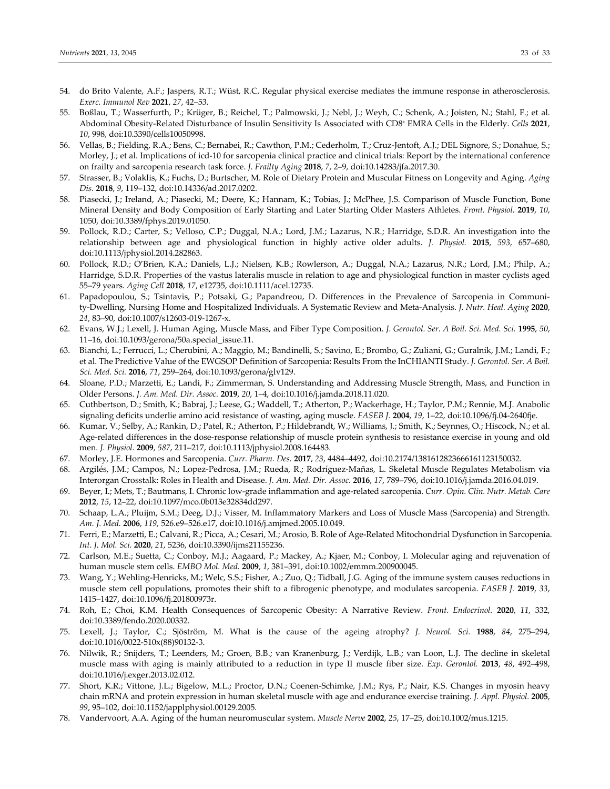- 54. do Brito Valente, A.F.; Jaspers, R.T.; Wüst, R.C. Regular physical exercise mediates the immune response in atherosclerosis. *Exerc. Immunol Rev* **2021**, *27*, 42–53.
- 55. Boßlau, T.; Wasserfurth, P.; Krüger, B.; Reichel, T.; Palmowski, J.; Nebl, J.; Weyh, C.; Schenk, A.; Joisten, N.; Stahl, F.; et al. Abdominal Obesity‐Related Disturbance of Insulin Sensitivity Is Associated with CD8+ EMRA Cells in the Elderly. *Cells* **2021**, *10*, 998, doi:10.3390/cells10050998.
- 56. Vellas, B.; Fielding, R.A.; Bens, C.; Bernabei, R.; Cawthon, P.M.; Cederholm, T.; Cruz‐Jentoft, A.J.; DEL Signore, S.; Donahue, S.; Morley, J.; et al. Implications of icd‐10 for sarcopenia clinical practice and clinical trials: Report by the international conference on frailty and sarcopenia research task force. *J. Frailty Aging* **2018**, *7*, 2–9, doi:10.14283/jfa.2017.30.
- 57. Strasser, B.; Volaklis, K.; Fuchs, D.; Burtscher, M. Role of Dietary Protein and Muscular Fitness on Longevity and Aging. *Aging Dis.* **2018**, *9*, 119–132, doi:10.14336/ad.2017.0202.
- 58. Piasecki, J.; Ireland, A.; Piasecki, M.; Deere, K.; Hannam, K.; Tobias, J.; McPhee, J.S. Comparison of Muscle Function, Bone Mineral Density and Body Composition of Early Starting and Later Starting Older Masters Athletes. *Front. Physiol.* **2019**, *10*, 1050, doi:10.3389/fphys.2019.01050.
- 59. Pollock, R.D.; Carter, S.; Velloso, C.P.; Duggal, N.A.; Lord, J.M.; Lazarus, N.R.; Harridge, S.D.R. An investigation into the relationship between age and physiological function in highly active older adults. *J. Physiol.* **2015**, *593*, 657–680, doi:10.1113/jphysiol.2014.282863.
- 60. Pollock, R.D.; O'Brien, K.A.; Daniels, L.J.; Nielsen, K.B.; Rowlerson, A.; Duggal, N.A.; Lazarus, N.R.; Lord, J.M.; Philp, A.; Harridge, S.D.R. Properties of the vastus lateralis muscle in relation to age and physiological function in master cyclists aged 55–79 years. *Aging Cell* **2018**, *17*, e12735, doi:10.1111/acel.12735.
- 61. Papadopoulou, S.; Tsintavis, P.; Potsaki, G.; Papandreou, D. Differences in the Prevalence of Sarcopenia in Communi‐ ty‐Dwelling, Nursing Home and Hospitalized Individuals. A Systematic Review and Meta‐Analysis. *J. Nutr. Heal. Aging* **2020**, *24*, 83–90, doi:10.1007/s12603‐019‐1267‐x.
- 62. Evans, W.J.; Lexell, J. Human Aging, Muscle Mass, and Fiber Type Composition. *J. Gerontol. Ser. A Boil. Sci. Med. Sci.* **1995**, *50*, 11–16, doi:10.1093/gerona/50a.special\_issue.11.
- 63. Bianchi, L.; Ferrucci, L.; Cherubini, A.; Maggio, M.; Bandinelli, S.; Savino, E.; Brombo, G.; Zuliani, G.; Guralnik, J.M.; Landi, F.; et al. The Predictive Value of the EWGSOP Definition of Sarcopenia: Results From the InCHIANTI Study. *J. Gerontol. Ser. A Boil. Sci. Med. Sci.* **2016**, *71*, 259–264, doi:10.1093/gerona/glv129.
- 64. Sloane, P.D.; Marzetti, E.; Landi, F.; Zimmerman, S. Understanding and Addressing Muscle Strength, Mass, and Function in Older Persons. *J. Am. Med. Dir. Assoc.* **2019**, *20*, 1–4, doi:10.1016/j.jamda.2018.11.020.
- 65. Cuthbertson, D.; Smith, K.; Babraj, J.; Leese, G.; Waddell, T.; Atherton, P.; Wackerhage, H.; Taylor, P.M.; Rennie, M.J. Anabolic signaling deficits underlie amino acid resistance of wasting, aging muscle. *FASEB J.* **2004**, *19*, 1–22, doi:10.1096/fj.04‐2640fje.
- 66. Kumar, V.; Selby, A.; Rankin, D.; Patel, R.; Atherton, P.; Hildebrandt, W.; Williams, J.; Smith, K.; Seynnes, O.; Hiscock, N.; et al. Age-related differences in the dose-response relationship of muscle protein synthesis to resistance exercise in young and old men. *J. Physiol.* **2009**, *587*, 211–217, doi:10.1113/jphysiol.2008.164483.
- 67. Morley, J.E. Hormones and Sarcopenia. *Curr. Pharm. Des.* **2017**, *23*, 4484–4492, doi:10.2174/1381612823666161123150032.
- 68. Argilés, J.M.; Campos, N.; Lopez‐Pedrosa, J.M.; Rueda, R.; Rodríguez‐Mañas, L. Skeletal Muscle Regulates Metabolism via Interorgan Crosstalk: Roles in Health and Disease. *J. Am. Med. Dir. Assoc.* **2016**, *17*, 789–796, doi:10.1016/j.jamda.2016.04.019.
- 69. Beyer, I.; Mets, T.; Bautmans, I. Chronic low‐grade inflammation and age‐related sarcopenia. *Curr. Opin. Clin. Nutr. Metab. Care* **2012**, *15*, 12–22, doi:10.1097/mco.0b013e32834dd297.
- 70. Schaap, L.A.; Pluijm, S.M.; Deeg, D.J.; Visser, M. Inflammatory Markers and Loss of Muscle Mass (Sarcopenia) and Strength. *Am. J. Med.* **2006**, *119*, 526.e9–526.e17, doi:10.1016/j.amjmed.2005.10.049.
- 71. Ferri, E.; Marzetti, E.; Calvani, R.; Picca, A.; Cesari, M.; Arosio, B. Role of Age‐Related Mitochondrial Dysfunction in Sarcopenia. *Int. J. Mol. Sci.* **2020**, *21*, 5236, doi:10.3390/ijms21155236.
- 72. Carlson, M.E.; Suetta, C.; Conboy, M.J.; Aagaard, P.; Mackey, A.; Kjaer, M.; Conboy, I. Molecular aging and rejuvenation of human muscle stem cells. *EMBO Mol. Med.* **2009**, *1*, 381–391, doi:10.1002/emmm.200900045.
- 73. Wang, Y.; Wehling‐Henricks, M.; Welc, S.S.; Fisher, A.; Zuo, Q.; Tidball, J.G. Aging of the immune system causes reductions in muscle stem cell populations, promotes their shift to a fibrogenic phenotype, and modulates sarcopenia. *FASEB J.* **2019**, *33*, 1415–1427, doi:10.1096/fj.201800973r.
- 74. Roh, E.; Choi, K.M. Health Consequences of Sarcopenic Obesity: A Narrative Review. *Front. Endocrinol.* **2020**, *11*, 332, doi:10.3389/fendo.2020.00332.
- 75. Lexell, J.; Taylor, C.; Sjöström, M. What is the cause of the ageing atrophy? *J. Neurol. Sci.* **1988**, *84*, 275–294, doi:10.1016/0022‐510x(88)90132‐3.
- 76. Nilwik, R.; Snijders, T.; Leenders, M.; Groen, B.B.; van Kranenburg, J.; Verdijk, L.B.; van Loon, L.J. The decline in skeletal muscle mass with aging is mainly attributed to a reduction in type II muscle fiber size. *Exp. Gerontol.* **2013**, *48*, 492–498, doi:10.1016/j.exger.2013.02.012.
- 77. Short, K.R.; Vittone, J.L.; Bigelow, M.L.; Proctor, D.N.; Coenen‐Schimke, J.M.; Rys, P.; Nair, K.S. Changes in myosin heavy chain mRNA and protein expression in human skeletal muscle with age and endurance exercise training. *J. Appl. Physiol.* **2005**, *99*, 95–102, doi:10.1152/japplphysiol.00129.2005.
- 78. Vandervoort, A.A. Aging of the human neuromuscular system. *Muscle Nerve* **2002**, *25*, 17–25, doi:10.1002/mus.1215.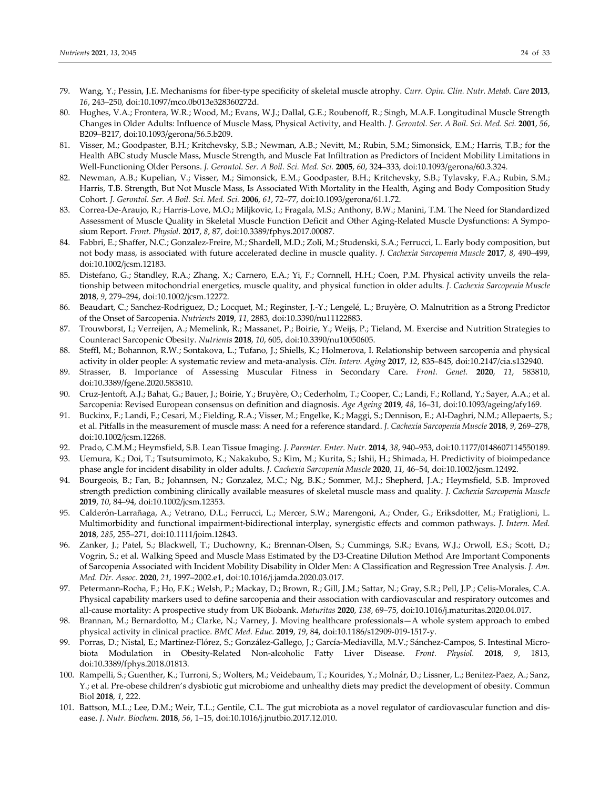- 79. Wang, Y.; Pessin, J.E. Mechanisms for fiber‐type specificity of skeletal muscle atrophy. *Curr. Opin. Clin. Nutr. Metab. Care* **2013**, *16*, 243–250, doi:10.1097/mco.0b013e328360272d.
- 80. Hughes, V.A.; Frontera, W.R.; Wood, M.; Evans, W.J.; Dallal, G.E.; Roubenoff, R.; Singh, M.A.F. Longitudinal Muscle Strength Changes in Older Adults: Influence of Muscle Mass, Physical Activity, and Health. *J. Gerontol. Ser. A Boil. Sci. Med. Sci.* **2001**, *56*, B209–B217, doi:10.1093/gerona/56.5.b209.
- 81. Visser, M.; Goodpaster, B.H.; Kritchevsky, S.B.; Newman, A.B.; Nevitt, M.; Rubin, S.M.; Simonsick, E.M.; Harris, T.B.; for the Health ABC study Muscle Mass, Muscle Strength, and Muscle Fat Infiltration as Predictors of Incident Mobility Limitations in Well‐Functioning Older Persons. *J. Gerontol. Ser. A Boil. Sci. Med. Sci.* **2005**, *60*, 324–333, doi:10.1093/gerona/60.3.324.
- 82. Newman, A.B.; Kupelian, V.; Visser, M.; Simonsick, E.M.; Goodpaster, B.H.; Kritchevsky, S.B.; Tylavsky, F.A.; Rubin, S.M.; Harris, T.B. Strength, But Not Muscle Mass, Is Associated With Mortality in the Health, Aging and Body Composition Study Cohort. *J. Gerontol. Ser. A Boil. Sci. Med. Sci.* **2006**, *61*, 72–77, doi:10.1093/gerona/61.1.72.
- 83. Correa‐De‐Araujo, R.; Harris‐Love, M.O.; Miljkovic, I.; Fragala, M.S.; Anthony, B.W.; Manini, T.M. The Need for Standardized Assessment of Muscle Quality in Skeletal Muscle Function Deficit and Other Aging‐Related Muscle Dysfunctions: A Sympo‐ sium Report. *Front. Physiol.* **2017**, *8*, 87, doi:10.3389/fphys.2017.00087.
- 84. Fabbri, E.; Shaffer, N.C.; Gonzalez‐Freire, M.; Shardell, M.D.; Zoli, M.; Studenski, S.A.; Ferrucci, L. Early body composition, but not body mass, is associated with future accelerated decline in muscle quality. *J. Cachexia Sarcopenia Muscle* **2017**, *8*, 490–499, doi:10.1002/jcsm.12183.
- 85. Distefano, G.; Standley, R.A.; Zhang, X.; Carnero, E.A.; Yi, F.; Cornnell, H.H.; Coen, P.M. Physical activity unveils the relationship between mitochondrial energetics, muscle quality, and physical function in older adults. *J. Cachexia Sarcopenia Muscle* **2018**, *9*, 279–294, doi:10.1002/jcsm.12272.
- 86. Beaudart, C.; Sanchez-Rodriguez, D.; Locquet, M.; Reginster, J.-Y.; Lengelé, L.; Bruyère, O. Malnutrition as a Strong Predictor of the Onset of Sarcopenia. *Nutrients* **2019**, *11*, 2883, doi:10.3390/nu11122883.
- 87. Trouwborst, I.; Verreijen, A.; Memelink, R.; Massanet, P.; Boirie, Y.; Weijs, P.; Tieland, M. Exercise and Nutrition Strategies to Counteract Sarcopenic Obesity. *Nutrients* **2018**, *10*, 605, doi:10.3390/nu10050605.
- 88. Steffl, M.; Bohannon, R.W.; Sontakova, L.; Tufano, J.; Shiells, K.; Holmerova, I. Relationship between sarcopenia and physical activity in older people: A systematic review and meta‐analysis. *Clin. Interv. Aging* **2017**, *12*, 835–845, doi:10.2147/cia.s132940.
- 89. Strasser, B. Importance of Assessing Muscular Fitness in Secondary Care. *Front. Genet.* **2020**, *11*, 583810, doi:10.3389/fgene.2020.583810.
- 90. Cruz-Jentoft, A.J.; Bahat, G.; Bauer, J.; Boirie, Y.; Bruyère, O.; Cederholm, T.; Cooper, C.; Landi, F.; Rolland, Y.; Sayer, A.A.; et al. Sarcopenia: Revised European consensus on definition and diagnosis. *Age Ageing* **2019**, *48*, 16–31, doi:10.1093/ageing/afy169.
- 91. Buckinx, F.; Landi, F.; Cesari, M.; Fielding, R.A.; Visser, M.; Engelke, K.; Maggi, S.; Dennison, E.; Al-Daghri, N.M.; Allepaerts, S.; et al. Pitfalls in the measurement of muscle mass: A need for a reference standard. *J. Cachexia Sarcopenia Muscle* **2018**, *9*, 269–278, doi:10.1002/jcsm.12268.
- 92. Prado, C.M.M.; Heymsfield, S.B. Lean Tissue Imaging. *J. Parenter. Enter. Nutr.* **2014**, *38*, 940–953, doi:10.1177/0148607114550189.
- 93. Uemura, K.; Doi, T.; Tsutsumimoto, K.; Nakakubo, S.; Kim, M.; Kurita, S.; Ishii, H.; Shimada, H. Predictivity of bioimpedance phase angle for incident disability in older adults. *J. Cachexia Sarcopenia Muscle* **2020**, *11*, 46–54, doi:10.1002/jcsm.12492.
- 94. Bourgeois, B.; Fan, B.; Johannsen, N.; Gonzalez, M.C.; Ng, B.K.; Sommer, M.J.; Shepherd, J.A.; Heymsfield, S.B. Improved strength prediction combining clinically available measures of skeletal muscle mass and quality. *J. Cachexia Sarcopenia Muscle* **2019**, *10*, 84–94, doi:10.1002/jcsm.12353.
- 95. Calderón‐Larrañaga, A.; Vetrano, D.L.; Ferrucci, L.; Mercer, S.W.; Marengoni, A.; Onder, G.; Eriksdotter, M.; Fratiglioni, L. Multimorbidity and functional impairment‐bidirectional interplay, synergistic effects and common pathways. *J. Intern. Med.* **2018**, *285*, 255–271, doi:10.1111/joim.12843.
- 96. Zanker, J.; Patel, S.; Blackwell, T.; Duchowny, K.; Brennan-Olsen, S.; Cummings, S.R.; Evans, W.J.; Orwoll, E.S.; Scott, D.; Vogrin, S.; et al. Walking Speed and Muscle Mass Estimated by the D3‐Creatine Dilution Method Are Important Components of Sarcopenia Associated with Incident Mobility Disability in Older Men: A Classification and Regression Tree Analysis. *J. Am. Med. Dir. Assoc.* **2020**, *21*, 1997–2002.e1, doi:10.1016/j.jamda.2020.03.017.
- 97. Petermann-Rocha, F.; Ho, F.K.; Welsh, P.; Mackay, D.; Brown, R.; Gill, J.M.; Sattar, N.; Gray, S.R.; Pell, J.P.; Celis-Morales, C.A. Physical capability markers used to define sarcopenia and their association with cardiovascular and respiratory outcomes and all‐cause mortality: A prospective study from UK Biobank. *Maturitas* **2020**, *138*, 69–75, doi:10.1016/j.maturitas.2020.04.017.
- 98. Brannan, M.; Bernardotto, M.; Clarke, N.; Varney, J. Moving healthcare professionals—A whole system approach to embed physical activity in clinical practice. *BMC Med. Educ.* **2019**, *19*, 84, doi:10.1186/s12909‐019‐1517‐y.
- 99. Porras, D.; Nistal, E.; Martínez-Flórez, S.; González-Gallego, J.; García-Mediavilla, M.V.; Sánchez-Campos, S. Intestinal Microbiota Modulation in Obesity‐Related Non‐alcoholic Fatty Liver Disease. *Front. Physiol.* **2018**, *9*, 1813, doi:10.3389/fphys.2018.01813.
- 100. Rampelli, S.; Guenther, K.; Turroni, S.; Wolters, M.; Veidebaum, T.; Kourides, Y.; Molnár, D.; Lissner, L.; Benitez-Paez, A.; Sanz, Y.; et al. Pre‐obese children's dysbiotic gut microbiome and unhealthy diets may predict the development of obesity. Commun Biol **2018**, *1*, 222.
- 101. Battson, M.L.; Lee, D.M.; Weir, T.L.; Gentile, C.L. The gut microbiota as a novel regulator of cardiovascular function and dis‐ ease. *J. Nutr. Biochem.* **2018**, *56*, 1–15, doi:10.1016/j.jnutbio.2017.12.010.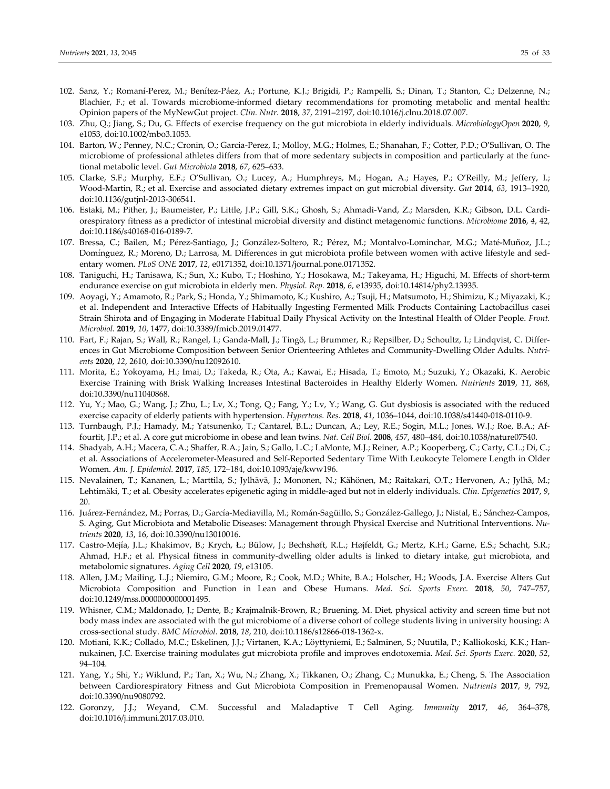- 102. Sanz, Y.; Romaní‐Perez, M.; Benítez‐Páez, A.; Portune, K.J.; Brigidi, P.; Rampelli, S.; Dinan, T.; Stanton, C.; Delzenne, N.; Blachier, F.; et al. Towards microbiome‐informed dietary recommendations for promoting metabolic and mental health: Opinion papers of the MyNewGut project. *Clin. Nutr.* **2018**, *37*, 2191–2197, doi:10.1016/j.clnu.2018.07.007.
- 103. Zhu, Q.; Jiang, S.; Du, G. Effects of exercise frequency on the gut microbiota in elderly individuals. *MicrobiologyOpen* **2020**, *9*, e1053, doi:10.1002/mbo3.1053.
- 104. Barton, W.; Penney, N.C.; Cronin, O.; Garcia‐Perez, I.; Molloy, M.G.; Holmes, E.; Shanahan, F.; Cotter, P.D.; O'Sullivan, O. The microbiome of professional athletes differs from that of more sedentary subjects in composition and particularly at the func‐ tional metabolic level. *Gut Microbiota* **2018**, *67*, 625–633.
- 105. Clarke, S.F.; Murphy, E.F.; O'Sullivan, O.; Lucey, A.; Humphreys, M.; Hogan, A.; Hayes, P.; O'Reilly, M.; Jeffery, I.; Wood‐Martin, R.; et al. Exercise and associated dietary extremes impact on gut microbial diversity. *Gut* **2014**, *63*, 1913–1920, doi:10.1136/gutjnl‐2013‐306541.
- 106. Estaki, M.; Pither, J.; Baumeister, P.; Little, J.P.; Gill, S.K.; Ghosh, S.; Ahmadi‐Vand, Z.; Marsden, K.R.; Gibson, D.L. Cardi‐ orespiratory fitness as a predictor of intestinal microbial diversity and distinct metagenomic functions. *Microbiome* **2016**, *4*, 42, doi:10.1186/s40168‐016‐0189‐7.
- 107. Bressa, C.; Bailen, M.; Pérez‐Santiago, J.; González‐Soltero, R.; Pérez, M.; Montalvo‐Lominchar, M.G.; Maté‐Muñoz, J.L.; Domínguez, R.; Moreno, D.; Larrosa, M. Differences in gut microbiota profile between women with active lifestyle and sed‐ entary women. *PLoS ONE* **2017**, *12*, e0171352, doi:10.1371/journal.pone.0171352.
- 108. Taniguchi, H.; Tanisawa, K.; Sun, X.; Kubo, T.; Hoshino, Y.; Hosokawa, M.; Takeyama, H.; Higuchi, M. Effects of short‐term endurance exercise on gut microbiota in elderly men. *Physiol. Rep.* **2018**, *6*, e13935, doi:10.14814/phy2.13935.
- 109. Aoyagi, Y.; Amamoto, R.; Park, S.; Honda, Y.; Shimamoto, K.; Kushiro, A.; Tsuji, H.; Matsumoto, H.; Shimizu, K.; Miyazaki, K.; et al. Independent and Interactive Effects of Habitually Ingesting Fermented Milk Products Containing Lactobacillus casei Strain Shirota and of Engaging in Moderate Habitual Daily Physical Activity on the Intestinal Health of Older People. *Front. Microbiol.* **2019**, *10*, 1477, doi:10.3389/fmicb.2019.01477.
- 110. Fart, F.; Rajan, S.; Wall, R.; Rangel, I.; Ganda‐Mall, J.; Tingö, L.; Brummer, R.; Repsilber, D.; Schoultz, I.; Lindqvist, C. Differ‐ ences in Gut Microbiome Composition between Senior Orienteering Athletes and Community‐Dwelling Older Adults. *Nutri‐ ents* **2020**, *12*, 2610, doi:10.3390/nu12092610.
- 111. Morita, E.; Yokoyama, H.; Imai, D.; Takeda, R.; Ota, A.; Kawai, E.; Hisada, T.; Emoto, M.; Suzuki, Y.; Okazaki, K. Aerobic Exercise Training with Brisk Walking Increases Intestinal Bacteroides in Healthy Elderly Women. *Nutrients* **2019**, *11*, 868, doi:10.3390/nu11040868.
- 112. Yu, Y.; Mao, G.; Wang, J.; Zhu, L.; Lv, X.; Tong, Q.; Fang, Y.; Lv, Y.; Wang, G. Gut dysbiosis is associated with the reduced exercise capacity of elderly patients with hypertension. *Hypertens. Res.* **2018**, *41*, 1036–1044, doi:10.1038/s41440‐018‐0110‐9.
- 113. Turnbaugh, P.J.; Hamady, M.; Yatsunenko, T.; Cantarel, B.L.; Duncan, A.; Ley, R.E.; Sogin, M.L.; Jones, W.J.; Roe, B.A.; Af‐ fourtit, J.P.; et al. A core gut microbiome in obese and lean twins. *Nat. Cell Biol.* **2008**, *457*, 480–484, doi:10.1038/nature07540.
- 114. Shadyab, A.H.; Macera, C.A.; Shaffer, R.A.; Jain, S.; Gallo, L.C.; LaMonte, M.J.; Reiner, A.P.; Kooperberg, C.; Carty, C.L.; Di, C.; et al. Associations of Accelerometer‐Measured and Self‐Reported Sedentary Time With Leukocyte Telomere Length in Older Women. *Am. J. Epidemiol.* **2017**, *185*, 172–184, doi:10.1093/aje/kww196.
- 115. Nevalainen, T.; Kananen, L.; Marttila, S.; Jylhävä, J.; Mononen, N.; Kähönen, M.; Raitakari, O.T.; Hervonen, A.; Jylhä, M.; Lehtimäki, T.; et al. Obesity accelerates epigenetic aging in middle‐aged but not in elderly individuals. *Clin. Epigenetics* **2017**, *9*, 20.
- 116. Juárez‐Fernández, M.; Porras, D.; García‐Mediavilla, M.; Román‐Sagüillo, S.; González‐Gallego, J.; Nistal, E.; Sánchez‐Campos, S. Aging, Gut Microbiota and Metabolic Diseases: Management through Physical Exercise and Nutritional Interventions. *Nu‐ trients* **2020**, *13*, 16, doi:10.3390/nu13010016.
- 117. Castro‐Mejía, J.L.; Khakimov, B.; Krych, Ł.; Bülow, J.; Bechshøft, R.L.; Højfeldt, G.; Mertz, K.H.; Garne, E.S.; Schacht, S.R.; Ahmad, H.F.; et al. Physical fitness in community‐dwelling older adults is linked to dietary intake, gut microbiota, and metabolomic signatures. *Aging Cell* **2020**, *19*, e13105.
- 118. Allen, J.M.; Mailing, L.J.; Niemiro, G.M.; Moore, R.; Cook, M.D.; White, B.A.; Holscher, H.; Woods, J.A. Exercise Alters Gut Microbiota Composition and Function in Lean and Obese Humans. *Med. Sci. Sports Exerc.* **2018**, *50*, 747–757, doi:10.1249/mss.0000000000001495.
- 119. Whisner, C.M.; Maldonado, J.; Dente, B.; Krajmalnik‐Brown, R.; Bruening, M. Diet, physical activity and screen time but not body mass index are associated with the gut microbiome of a diverse cohort of college students living in university housing: A cross‐sectional study. *BMC Microbiol.* **2018**, *18*, 210, doi:10.1186/s12866‐018‐1362‐x.
- 120. Motiani, K.K.; Collado, M.C.; Eskelinen, J.J.; Virtanen, K.A.; Löyttyniemi, E.; Salminen, S.; Nuutila, P.; Kalliokoski, K.K.; Han‐ nukainen, J.C. Exercise training modulates gut microbiota profile and improves endotoxemia. *Med. Sci. Sports Exerc.* **2020**, *52*, 94–104.
- 121. Yang, Y.; Shi, Y.; Wiklund, P.; Tan, X.; Wu, N.; Zhang, X.; Tikkanen, O.; Zhang, C.; Munukka, E.; Cheng, S. The Association between Cardiorespiratory Fitness and Gut Microbiota Composition in Premenopausal Women. *Nutrients* **2017**, *9*, 792, doi:10.3390/nu9080792.
- 122. Goronzy, J.J.; Weyand, C.M. Successful and Maladaptive T Cell Aging. *Immunity* **2017**, *46*, 364–378, doi:10.1016/j.immuni.2017.03.010.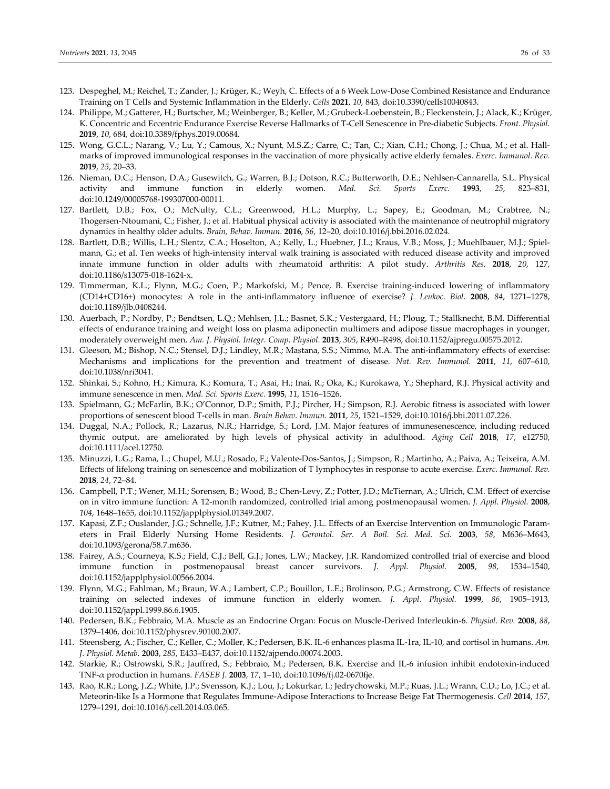- 123. Despeghel, M.; Reichel, T.; Zander, J.; Krüger, K.; Weyh, C. Effects of a 6 Week Low‐Dose Combined Resistance and Endurance Training on T Cells and Systemic Inflammation in the Elderly. *Cells* **2021**, *10*, 843, doi:10.3390/cells10040843.
- 124. Philippe, M.; Gatterer, H.; Burtscher, M.; Weinberger, B.; Keller, M.; Grubeck‐Loebenstein, B.; Fleckenstein, J.; Alack, K.; Krüger, K. Concentric and Eccentric Endurance Exercise Reverse Hallmarks of T‐Cell Senescence in Pre‐diabetic Subjects. *Front. Physiol.* **2019**, *10*, 684, doi:10.3389/fphys.2019.00684.
- 125. Wong, G.C.L.; Narang, V.; Lu, Y.; Camous, X.; Nyunt, M.S.Z.; Carre, C.; Tan, C.; Xian, C.H.; Chong, J.; Chua, M.; et al. Hall‐ marks of improved immunological responses in the vaccination of more physically active elderly females. *Exerc. Immunol. Rev.* **2019**, *25*, 20–33.
- 126. Nieman, D.C.; Henson, D.A.; Gusewitch, G.; Warren, B.J.; Dotson, R.C.; Butterworth, D.E.; Nehlsen‐Cannarella, S.L. Physical activity and immune function in elderly women. *Med. Sci. Sports Exerc.* **1993**, *25*, 823–831, doi:10.1249/00005768‐199307000‐00011.
- 127. Bartlett, D.B.; Fox, O.; McNulty, C.L.; Greenwood, H.L.; Murphy, L.; Sapey, E.; Goodman, M.; Crabtree, N.; Thogersen‐Ntoumani, C.; Fisher, J.; et al. Habitual physical activity is associated with the maintenance of neutrophil migratory dynamics in healthy older adults. *Brain, Behav. Immun.* **2016**, *56*, 12–20, doi:10.1016/j.bbi.2016.02.024.
- 128. Bartlett, D.B.; Willis, L.H.; Slentz, C.A.; Hoselton, A.; Kelly, L.; Huebner, J.L.; Kraus, V.B.; Moss, J.; Muehlbauer, M.J.; Spiel‐ mann, G.; et al. Ten weeks of high-intensity interval walk training is associated with reduced disease activity and improved innate immune function in older adults with rheumatoid arthritis: A pilot study. *Arthritis Res.* **2018**, *20*, 127, doi:10.1186/s13075‐018‐1624‐x.
- 129. Timmerman, K.L.; Flynn, M.G.; Coen, P.; Markofski, M.; Pence, B. Exercise training‐induced lowering of inflammatory (CD14+CD16+) monocytes: A role in the anti‐inflammatory influence of exercise? *J. Leukoc. Biol.* **2008**, *84*, 1271–1278, doi:10.1189/jlb.0408244.
- 130. Auerbach, P.; Nordby, P.; Bendtsen, L.Q.; Mehlsen, J.L.; Basnet, S.K.; Vestergaard, H.; Ploug, T.; Stallknecht, B.M. Differential effects of endurance training and weight loss on plasma adiponectin multimers and adipose tissue macrophages in younger, moderately overweight men. *Am. J. Physiol. Integr. Comp. Physiol.* **2013**, *305*, R490–R498, doi:10.1152/ajpregu.00575.2012.
- 131. Gleeson, M.; Bishop, N.C.; Stensel, D.J.; Lindley, M.R.; Mastana, S.S.; Nimmo, M.A. The anti-inflammatory effects of exercise: Mechanisms and implications for the prevention and treatment of disease. *Nat. Rev. Immunol.* **2011**, *11*, 607–610, doi:10.1038/nri3041.
- 132. Shinkai, S.; Kohno, H.; Kimura, K.; Komura, T.; Asai, H.; Inai, R.; Oka, K.; Kurokawa, Y.; Shephard, R.J. Physical activity and immune senescence in men. *Med. Sci. Sports Exerc.* **1995**, *11*, 1516–1526.
- 133. Spielmann, G.; McFarlin, B.K.; O'Connor, D.P.; Smith, P.J.; Pircher, H.; Simpson, R.J. Aerobic fitness is associated with lower proportions of senescent blood T‐cells in man. *Brain Behav. Immun.* **2011**, *25*, 1521–1529, doi:10.1016/j.bbi.2011.07.226.
- 134. Duggal, N.A.; Pollock, R.; Lazarus, N.R.; Harridge, S.; Lord, J.M. Major features of immunesenescence, including reduced thymic output, are ameliorated by high levels of physical activity in adulthood. *Aging Cell* **2018**, *17*, e12750, doi:10.1111/acel.12750.
- 135. Minuzzi, L.G.; Rama, L.; Chupel, M.U.; Rosado, F.; Valente‐Dos‐Santos, J.; Simpson, R.; Martinho, A.; Paiva, A.; Teixeira, A.M. Effects of lifelong training on senescence and mobilization of T lymphocytes in response to acute exercise. *Exerc. Immunol. Rev.* **2018**, *24*, 72–84.
- 136. Campbell, P.T.; Wener, M.H.; Sorensen, B.; Wood, B.; Chen‐Levy, Z.; Potter, J.D.; McTiernan, A.; Ulrich, C.M. Effect of exercise on in vitro immune function: A 12‐month randomized, controlled trial among postmenopausal women. *J. Appl. Physiol.* **2008**, *104*, 1648–1655, doi:10.1152/japplphysiol.01349.2007.
- 137. Kapasi, Z.F.; Ouslander, J.G.; Schnelle, J.F.; Kutner, M.; Fahey, J.L. Effects of an Exercise Intervention on Immunologic Param‐ eters in Frail Elderly Nursing Home Residents. *J. Gerontol. Ser. A Boil. Sci. Med. Sci.* **2003**, *58*, M636–M643, doi:10.1093/gerona/58.7.m636.
- 138. Fairey, A.S.; Courneya, K.S.; Field, C.J.; Bell, G.J.; Jones, L.W.; Mackey, J.R. Randomized controlled trial of exercise and blood immune function in postmenopausal breast cancer survivors. *J. Appl. Physiol.* **2005**, *98*, 1534–1540, doi:10.1152/japplphysiol.00566.2004.
- 139. Flynn, M.G.; Fahlman, M.; Braun, W.A.; Lambert, C.P.; Bouillon, L.E.; Brolinson, P.G.; Armstrong, C.W. Effects of resistance training on selected indexes of immune function in elderly women. *J. Appl. Physiol.* **1999**, *86*, 1905–1913, doi:10.1152/jappl.1999.86.6.1905.
- 140. Pedersen, B.K.; Febbraio, M.A. Muscle as an Endocrine Organ: Focus on Muscle‐Derived Interleukin‐6. *Physiol. Rev.* **2008**, *88*, 1379–1406, doi:10.1152/physrev.90100.2007.
- 141. Steensberg, A.; Fischer, C.; Keller, C.; Moller, K.; Pedersen, B.K. IL‐6 enhances plasma IL‐1ra, IL‐10, and cortisol in humans. *Am. J. Physiol. Metab.* **2003**, *285*, E433–E437, doi:10.1152/ajpendo.00074.2003.
- 142. Starkie, R.; Ostrowski, S.R.; Jauffred, S.; Febbraio, M.; Pedersen, B.K. Exercise and IL‐6 infusion inhibit endotoxin‐induced TNF‐α production in humans. *FASEB J.* **2003**, *17*, 1–10, doi:10.1096/fj.02‐0670fje.
- 143. Rao, R.R.; Long, J.Z.; White, J.P.; Svensson, K.J.; Lou, J.; Lokurkar, I.; Jedrychowski, M.P.; Ruas, J.L.; Wrann, C.D.; Lo, J.C.; et al. Meteorin‐like Is a Hormone that Regulates Immune‐Adipose Interactions to Increase Beige Fat Thermogenesis. *Cell* **2014**, *157*, 1279–1291, doi:10.1016/j.cell.2014.03.065.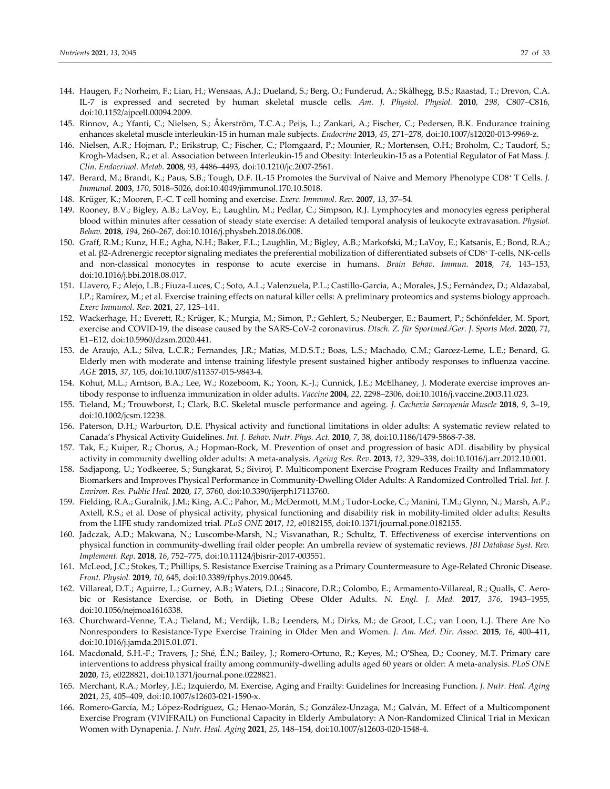- 144. Haugen, F.; Norheim, F.; Lian, H.; Wensaas, A.J.; Dueland, S.; Berg, O.; Funderud, A.; Skålhegg, B.S.; Raastad, T.; Drevon, C.A. IL‐7 is expressed and secreted by human skeletal muscle cells. *Am. J. Physiol. Physiol.* **2010**, *298*, C807–C816, doi:10.1152/ajpcell.00094.2009.
- 145. Rinnov, A.; Yfanti, C.; Nielsen, S.; Åkerström, T.C.A.; Peijs, L.; Zankari, A.; Fischer, C.; Pedersen, B.K. Endurance training enhances skeletal muscle interleukin‐15 in human male subjects. *Endocrine* **2013**, *45*, 271–278, doi:10.1007/s12020‐013‐9969‐z.
- 146. Nielsen, A.R.; Hojman, P.; Erikstrup, C.; Fischer, C.; Plomgaard, P.; Mounier, R.; Mortensen, O.H.; Broholm, C.; Taudorf, S.; Krogh‐Madsen, R.; et al. Association between Interleukin‐15 and Obesity: Interleukin‐15 as a Potential Regulator of Fat Mass. *J. Clin. Endocrinol. Metab.* **2008**, *93*, 4486–4493, doi:10.1210/jc.2007‐2561.
- 147. Berard, M.; Brandt, K.; Paus, S.B.; Tough, D.F. IL‐15 Promotes the Survival of Naive and Memory Phenotype CD8+ T Cells. *J. Immunol.* **2003**, *170*, 5018–5026, doi:10.4049/jimmunol.170.10.5018.
- 148. Krüger, K.; Mooren, F.‐C. T cell homing and exercise. *Exerc. Immunol. Rev.* **2007**, *13*, 37–54.
- 149. Rooney, B.V.; Bigley, A.B.; LaVoy, E.; Laughlin, M.; Pedlar, C.; Simpson, R.J. Lymphocytes and monocytes egress peripheral blood within minutes after cessation of steady state exercise: A detailed temporal analysis of leukocyte extravasation. *Physiol. Behav.* **2018**, *194*, 260–267, doi:10.1016/j.physbeh.2018.06.008.
- 150. Graff, R.M.; Kunz, H.E.; Agha, N.H.; Baker, F.L.; Laughlin, M.; Bigley, A.B.; Markofski, M.; LaVoy, E.; Katsanis, E.; Bond, R.A.; et al. β2-Adrenergic receptor signaling mediates the preferential mobilization of differentiated subsets of CD8<sup>+</sup> T-cells, NK-cells and non‐classical monocytes in response to acute exercise in humans. *Brain Behav. Immun.* **2018**, *74*, 143–153, doi:10.1016/j.bbi.2018.08.017.
- 151. Llavero, F.; Alejo, L.B.; Fiuza‐Luces, C.; Soto, A.L.; Valenzuela, P.L.; Castillo‐García, A.; Morales, J.S.; Fernández, D.; Aldazabal, I.P.; Ramírez, M.; et al. Exercise training effects on natural killer cells: A preliminary proteomics and systems biology approach. *Exerc Immunol. Rev.* **2021**, *27*, 125–141.
- 152. Wackerhage, H.; Everett, R.; Krüger, K.; Murgia, M.; Simon, P.; Gehlert, S.; Neuberger, E.; Baumert, P.; Schönfelder, M. Sport, exercise and COVID‐19, the disease caused by the SARS‐CoV‐2 coronavirus. *Dtsch. Z. für Sportmed./Ger. J. Sports Med.* **2020**, *71*, E1–E12, doi:10.5960/dzsm.2020.441.
- 153. de Araujo, A.L.; Silva, L.C.R.; Fernandes, J.R.; Matias, M.D.S.T.; Boas, L.S.; Machado, C.M.; Garcez-Leme, L.E.; Benard, G. Elderly men with moderate and intense training lifestyle present sustained higher antibody responses to influenza vaccine. *AGE* **2015**, *37*, 105, doi:10.1007/s11357‐015‐9843‐4.
- 154. Kohut, M.L.; Arntson, B.A.; Lee, W.; Rozeboom, K.; Yoon, K.‐J.; Cunnick, J.E.; McElhaney, J. Moderate exercise improves an‐ tibody response to influenza immunization in older adults. *Vaccine* **2004**, *22*, 2298–2306, doi:10.1016/j.vaccine.2003.11.023.
- 155. Tieland, M.; Trouwborst, I.; Clark, B.C. Skeletal muscle performance and ageing. *J. Cachexia Sarcopenia Muscle* **2018**, *9*, 3–19, doi:10.1002/jcsm.12238.
- 156. Paterson, D.H.; Warburton, D.E. Physical activity and functional limitations in older adults: A systematic review related to Canada's Physical Activity Guidelines. *Int. J. Behav. Nutr. Phys. Act.* **2010**, *7*, 38, doi:10.1186/1479‐5868‐7‐38.
- 157. Tak, E.; Kuiper, R.; Chorus, A.; Hopman‐Rock, M. Prevention of onset and progression of basic ADL disability by physical activity in community dwelling older adults: A meta‐analysis. *Ageing Res. Rev.* **2013**, *12*, 329–338, doi:10.1016/j.arr.2012.10.001.
- 158. Sadjapong, U.; Yodkeeree, S.; Sungkarat, S.; Siviroj, P. Multicomponent Exercise Program Reduces Frailty and Inflammatory Biomarkers and Improves Physical Performance in Community‐Dwelling Older Adults: A Randomized Controlled Trial. *Int. J. Environ. Res. Public Heal.* **2020**, *17*, 3760, doi:10.3390/ijerph17113760.
- 159. Fielding, R.A.; Guralnik, J.M.; King, A.C.; Pahor, M.; McDermott, M.M.; Tudor‐Locke, C.; Manini, T.M.; Glynn, N.; Marsh, A.P.; Axtell, R.S.; et al. Dose of physical activity, physical functioning and disability risk in mobility‐limited older adults: Results from the LIFE study randomized trial. *PLoS ONE* **2017**, *12*, e0182155, doi:10.1371/journal.pone.0182155.
- 160. Jadczak, A.D.; Makwana, N.; Luscombe‐Marsh, N.; Visvanathan, R.; Schultz, T. Effectiveness of exercise interventions on physical function in community‐dwelling frail older people: An umbrella review of systematic reviews. *JBI Database Syst. Rev. Implement. Rep.* **2018**, *16*, 752–775, doi:10.11124/jbisrir‐2017‐003551.
- 161. McLeod, J.C.; Stokes, T.; Phillips, S. Resistance Exercise Training as a Primary Countermeasure to Age‐Related Chronic Disease. *Front. Physiol.* **2019**, *10*, 645, doi:10.3389/fphys.2019.00645.
- 162. Villareal, D.T.; Aguirre, L.; Gurney, A.B.; Waters, D.L.; Sinacore, D.R.; Colombo, E.; Armamento‐Villareal, R.; Qualls, C. Aero‐ bic or Resistance Exercise, or Both, in Dieting Obese Older Adults. *N. Engl. J. Med.* **2017**, *376*, 1943–1955, doi:10.1056/nejmoa1616338.
- 163. Churchward‐Venne, T.A.; Tieland, M.; Verdijk, L.B.; Leenders, M.; Dirks, M.; de Groot, L.C.; van Loon, L.J. There Are No Nonresponders to Resistance‐Type Exercise Training in Older Men and Women. *J. Am. Med. Dir. Assoc.* **2015**, *16*, 400–411, doi:10.1016/j.jamda.2015.01.071.
- 164. Macdonald, S.H.‐F.; Travers, J.; Shé, É.N.; Bailey, J.; Romero‐Ortuno, R.; Keyes, M.; O'Shea, D.; Cooney, M.T. Primary care interventions to address physical frailty among community‐dwelling adults aged 60 years or older: A meta‐analysis. *PLoS ONE* **2020**, *15*, e0228821, doi:10.1371/journal.pone.0228821.
- 165. Merchant, R.A.; Morley, J.E.; Izquierdo, M. Exercise, Aging and Frailty: Guidelines for Increasing Function. *J. Nutr. Heal. Aging* **2021**, *25*, 405–409, doi:10.1007/s12603‐021‐1590‐x.
- 166. Romero‐García, M.; López‐Rodríguez, G.; Henao‐Morán, S.; González‐Unzaga, M.; Galván, M. Effect of a Multicomponent Exercise Program (VIVIFRAIL) on Functional Capacity in Elderly Ambulatory: A Non‐Randomized Clinical Trial in Mexican Women with Dynapenia. *J. Nutr. Heal. Aging* **2021**, *25*, 148–154, doi:10.1007/s12603‐020‐1548‐4.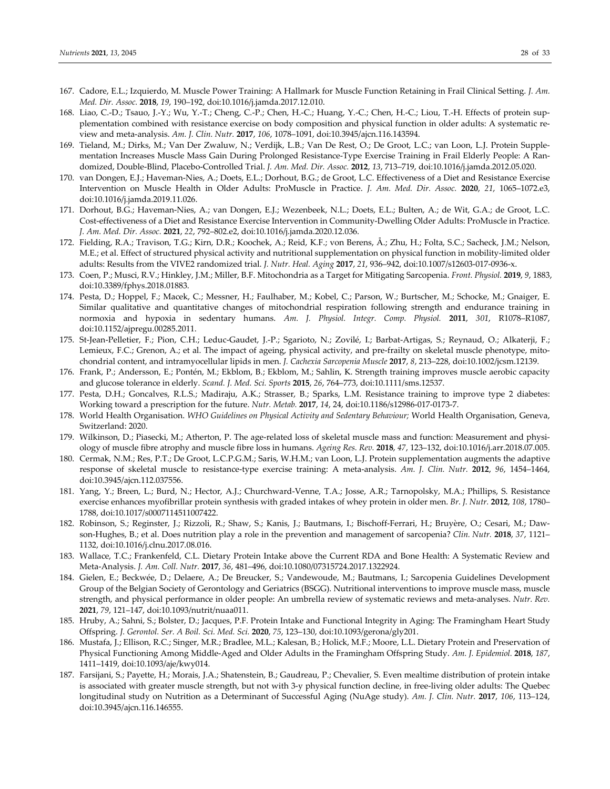- 167. Cadore, E.L.; Izquierdo, M. Muscle Power Training: A Hallmark for Muscle Function Retaining in Frail Clinical Setting. *J. Am. Med. Dir. Assoc.* **2018**, *19*, 190–192, doi:10.1016/j.jamda.2017.12.010.
- 168. Liao, C.‐D.; Tsauo, J.‐Y.; Wu, Y.‐T.; Cheng, C.‐P.; Chen, H.‐C.; Huang, Y.‐C.; Chen, H.‐C.; Liou, T.‐H. Effects of protein sup‐ plementation combined with resistance exercise on body composition and physical function in older adults: A systematic re‐ view and meta‐analysis. *Am. J. Clin. Nutr.* **2017**, *106*, 1078–1091, doi:10.3945/ajcn.116.143594.
- 169. Tieland, M.; Dirks, M.; Van Der Zwaluw, N.; Verdijk, L.B.; Van De Rest, O.; De Groot, L.C.; van Loon, L.J. Protein Supple‐ mentation Increases Muscle Mass Gain During Prolonged Resistance‐Type Exercise Training in Frail Elderly People: A Ran‐ domized, Double‐Blind, Placebo‐Controlled Trial. *J. Am. Med. Dir. Assoc.* **2012**, *13*, 713–719, doi:10.1016/j.jamda.2012.05.020.
- 170. van Dongen, E.J.; Haveman‐Nies, A.; Doets, E.L.; Dorhout, B.G.; de Groot, L.C. Effectiveness of a Diet and Resistance Exercise Intervention on Muscle Health in Older Adults: ProMuscle in Practice. *J. Am. Med. Dir. Assoc.* **2020**, *21*, 1065–1072.e3, doi:10.1016/j.jamda.2019.11.026.
- 171. Dorhout, B.G.; Haveman‐Nies, A.; van Dongen, E.J.; Wezenbeek, N.L.; Doets, E.L.; Bulten, A.; de Wit, G.A.; de Groot, L.C. Cost‐effectiveness of a Diet and Resistance Exercise Intervention in Community‐Dwelling Older Adults: ProMuscle in Practice. *J. Am. Med. Dir. Assoc.* **2021**, *22*, 792–802.e2, doi:10.1016/j.jamda.2020.12.036.
- 172. Fielding, R.A.; Travison, T.G.; Kirn, D.R.; Koochek, A.; Reid, K.F.; von Berens, Å.; Zhu, H.; Folta, S.C.; Sacheck, J.M.; Nelson, M.E.; et al. Effect of structured physical activity and nutritional supplementation on physical function in mobility‐limited older adults: Results from the VIVE2 randomized trial. *J. Nutr. Heal. Aging* **2017**, *21*, 936–942, doi:10.1007/s12603‐017‐0936‐x.
- 173. Coen, P.; Musci, R.V.; Hinkley, J.M.; Miller, B.F. Mitochondria as a Target for Mitigating Sarcopenia. *Front. Physiol.* **2019**, *9*, 1883, doi:10.3389/fphys.2018.01883.
- 174. Pesta, D.; Hoppel, F.; Macek, C.; Messner, H.; Faulhaber, M.; Kobel, C.; Parson, W.; Burtscher, M.; Schocke, M.; Gnaiger, E. Similar qualitative and quantitative changes of mitochondrial respiration following strength and endurance training in normoxia and hypoxia in sedentary humans. *Am. J. Physiol. Integr. Comp. Physiol.* **2011**, *301*, R1078–R1087, doi:10.1152/ajpregu.00285.2011.
- 175. St‐Jean‐Pelletier, F.; Pion, C.H.; Leduc‐Gaudet, J.‐P.; Sgarioto, N.; Zovilé, I.; Barbat‐Artigas, S.; Reynaud, O.; Alkaterji, F.; Lemieux, F.C.; Grenon, A.; et al. The impact of ageing, physical activity, and pre-frailty on skeletal muscle phenotype, mitochondrial content, and intramyocellular lipids in men. *J. Cachexia Sarcopenia Muscle* **2017**, *8*, 213–228, doi:10.1002/jcsm.12139.
- 176. Frank, P.; Andersson, E.; Pontén, M.; Ekblom, B.; Ekblom, M.; Sahlin, K. Strength training improves muscle aerobic capacity and glucose tolerance in elderly. *Scand. J. Med. Sci. Sports* **2015**, *26*, 764–773, doi:10.1111/sms.12537.
- 177. Pesta, D.H.; Goncalves, R.L.S.; Madiraju, A.K.; Strasser, B.; Sparks, L.M. Resistance training to improve type 2 diabetes: Working toward a prescription for the future. *Nutr. Metab.* **2017**, *14*, 24, doi:10.1186/s12986‐017‐0173‐7.
- 178. World Health Organisation. *WHO Guidelines on Physical Activity and Sedentary Behaviour;* World Health Organisation, Geneva, Switzerland: 2020.
- 179. Wilkinson, D.; Piasecki, M.; Atherton, P. The age-related loss of skeletal muscle mass and function: Measurement and physiology of muscle fibre atrophy and muscle fibre loss in humans. *Ageing Res. Rev.* **2018**, *47*, 123–132, doi:10.1016/j.arr.2018.07.005.
- 180. Cermak, N.M.; Res, P.T.; De Groot, L.C.P.G.M.; Saris, W.H.M.; van Loon, L.J. Protein supplementation augments the adaptive response of skeletal muscle to resistance‐type exercise training: A meta‐analysis. *Am. J. Clin. Nutr.* **2012**, *96*, 1454–1464, doi:10.3945/ajcn.112.037556.
- 181. Yang, Y.; Breen, L.; Burd, N.; Hector, A.J.; Churchward‐Venne, T.A.; Josse, A.R.; Tarnopolsky, M.A.; Phillips, S. Resistance exercise enhances myofibrillar protein synthesis with graded intakes of whey protein in older men. *Br. J. Nutr.* **2012**, *108*, 1780– 1788, doi:10.1017/s0007114511007422.
- 182. Robinson, S.; Reginster, J.; Rizzoli, R.; Shaw, S.; Kanis, J.; Bautmans, I.; Bischoff-Ferrari, H.; Bruyère, O.; Cesari, M.; Dawson‐Hughes, B.; et al. Does nutrition play a role in the prevention and management of sarcopenia? *Clin. Nutr.* **2018**, *37*, 1121– 1132, doi:10.1016/j.clnu.2017.08.016.
- 183. Wallace, T.C.; Frankenfeld, C.L. Dietary Protein Intake above the Current RDA and Bone Health: A Systematic Review and Meta‐Analysis. *J. Am. Coll. Nutr.* **2017**, *36*, 481–496, doi:10.1080/07315724.2017.1322924.
- 184. Gielen, E.; Beckwée, D.; Delaere, A.; De Breucker, S.; Vandewoude, M.; Bautmans, I.; Sarcopenia Guidelines Development Group of the Belgian Society of Gerontology and Geriatrics (BSGG). Nutritional interventions to improve muscle mass, muscle strength, and physical performance in older people: An umbrella review of systematic reviews and meta‐analyses. *Nutr. Rev.* **2021**, *79*, 121–147, doi:10.1093/nutrit/nuaa011.
- 185. Hruby, A.; Sahni, S.; Bolster, D.; Jacques, P.F. Protein Intake and Functional Integrity in Aging: The Framingham Heart Study Offspring. *J. Gerontol. Ser. A Boil. Sci. Med. Sci.* **2020**, *75*, 123–130, doi:10.1093/gerona/gly201.
- 186. Mustafa, J.; Ellison, R.C.; Singer, M.R.; Bradlee, M.L.; Kalesan, B.; Holick, M.F.; Moore, L.L. Dietary Protein and Preservation of Physical Functioning Among Middle‐Aged and Older Adults in the Framingham Offspring Study. *Am. J. Epidemiol.* **2018**, *187*, 1411–1419, doi:10.1093/aje/kwy014.
- 187. Farsijani, S.; Payette, H.; Morais, J.A.; Shatenstein, B.; Gaudreau, P.; Chevalier, S. Even mealtime distribution of protein intake is associated with greater muscle strength, but not with 3‐y physical function decline, in free‐living older adults: The Quebec longitudinal study on Nutrition as a Determinant of Successful Aging (NuAge study). *Am. J. Clin. Nutr.* **2017**, *106*, 113–124, doi:10.3945/ajcn.116.146555.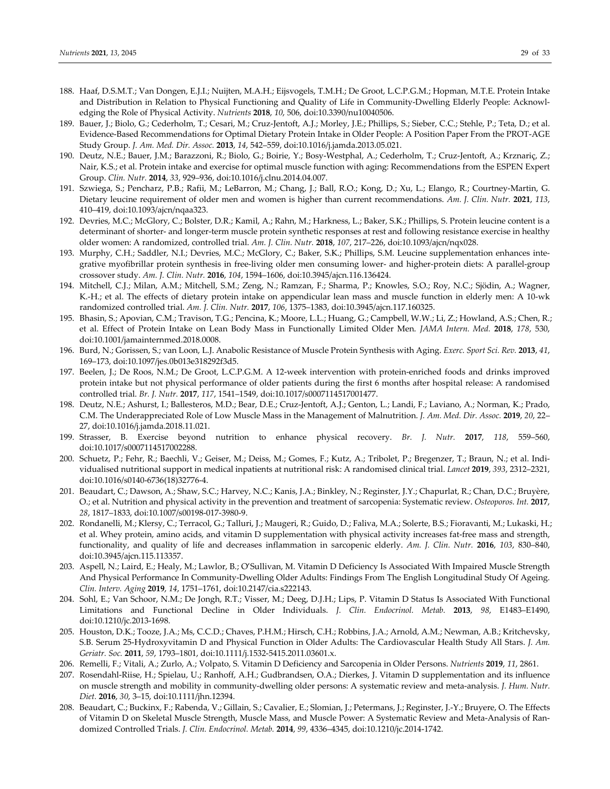- 188. Haaf, D.S.M.T.; Van Dongen, E.J.I.; Nuijten, M.A.H.; Eijsvogels, T.M.H.; De Groot, L.C.P.G.M.; Hopman, M.T.E. Protein Intake and Distribution in Relation to Physical Functioning and Quality of Life in Community-Dwelling Elderly People: Acknowledging the Role of Physical Activity. *Nutrients* **2018**, *10*, 506, doi:10.3390/nu10040506.
- 189. Bauer, J.; Biolo, G.; Cederholm, T.; Cesari, M.; Cruz‐Jentoft, A.J.; Morley, J.E.; Phillips, S.; Sieber, C.C.; Stehle, P.; Teta, D.; et al. Evidence‐Based Recommendations for Optimal Dietary Protein Intake in Older People: A Position Paper From the PROT‐AGE Study Group. *J. Am. Med. Dir. Assoc.* **2013**, *14*, 542–559, doi:10.1016/j.jamda.2013.05.021.
- 190. Deutz, N.E.; Bauer, J.M.; Barazzoni, R.; Biolo, G.; Boirie, Y.; Bosy‐Westphal, A.; Cederholm, T.; Cruz‐Jentoft, A.; Krznariç, Z.; Nair, K.S.; et al. Protein intake and exercise for optimal muscle function with aging: Recommendations from the ESPEN Expert Group. *Clin. Nutr.* **2014**, *33*, 929–936, doi:10.1016/j.clnu.2014.04.007.
- 191. Szwiega, S.; Pencharz, P.B.; Rafii, M.; LeBarron, M.; Chang, J.; Ball, R.O.; Kong, D.; Xu, L.; Elango, R.; Courtney‐Martin, G. Dietary leucine requirement of older men and women is higher than current recommendations. *Am. J. Clin. Nutr.* **2021**, *113*, 410–419, doi:10.1093/ajcn/nqaa323.
- 192. Devries, M.C.; McGlory, C.; Bolster, D.R.; Kamil, A.; Rahn, M.; Harkness, L.; Baker, S.K.; Phillips, S. Protein leucine content is a determinant of shorter‐ and longer‐term muscle protein synthetic responses at rest and following resistance exercise in healthy older women: A randomized, controlled trial. *Am. J. Clin. Nutr.* **2018**, *107*, 217–226, doi:10.1093/ajcn/nqx028.
- 193. Murphy, C.H.; Saddler, N.I.; Devries, M.C.; McGlory, C.; Baker, S.K.; Phillips, S.M. Leucine supplementation enhances inte‐ grative myofibrillar protein synthesis in free-living older men consuming lower- and higher-protein diets: A parallel-group crossover study. *Am. J. Clin. Nutr.* **2016**, *104*, 1594–1606, doi:10.3945/ajcn.116.136424.
- 194. Mitchell, C.J.; Milan, A.M.; Mitchell, S.M.; Zeng, N.; Ramzan, F.; Sharma, P.; Knowles, S.O.; Roy, N.C.; Sjödin, A.; Wagner, K.‐H.; et al. The effects of dietary protein intake on appendicular lean mass and muscle function in elderly men: A 10‐wk randomized controlled trial. *Am. J. Clin. Nutr.* **2017**, *106*, 1375–1383, doi:10.3945/ajcn.117.160325.
- 195. Bhasin, S.; Apovian, C.M.; Travison, T.G.; Pencina, K.; Moore, L.L.; Huang, G.; Campbell, W.W.; Li, Z.; Howland, A.S.; Chen, R.; et al. Effect of Protein Intake on Lean Body Mass in Functionally Limited Older Men. *JAMA Intern. Med.* **2018**, *178*, 530, doi:10.1001/jamainternmed.2018.0008.
- 196. Burd, N.; Gorissen, S.; van Loon, L.J. Anabolic Resistance of Muscle Protein Synthesis with Aging. *Exerc. Sport Sci. Rev.* **2013**, *41*, 169–173, doi:10.1097/jes.0b013e318292f3d5.
- 197. Beelen, J.; De Roos, N.M.; De Groot, L.C.P.G.M. A 12-week intervention with protein-enriched foods and drinks improved protein intake but not physical performance of older patients during the first 6 months after hospital release: A randomised controlled trial. *Br. J. Nutr.* **2017**, *117*, 1541–1549, doi:10.1017/s0007114517001477.
- 198. Deutz, N.E.; Ashurst, I.; Ballesteros, M.D.; Bear, D.E.; Cruz‐Jentoft, A.J.; Genton, L.; Landi, F.; Laviano, A.; Norman, K.; Prado, C.M. The Underappreciated Role of Low Muscle Mass in the Management of Malnutrition. *J. Am. Med. Dir. Assoc.* **2019**, *20*, 22– 27, doi:10.1016/j.jamda.2018.11.021.
- 199. Strasser, B. Exercise beyond nutrition to enhance physical recovery. *Br. J. Nutr.* **2017**, *118*, 559–560, doi:10.1017/s0007114517002288.
- 200. Schuetz, P.; Fehr, R.; Baechli, V.; Geiser, M.; Deiss, M.; Gomes, F.; Kutz, A.; Tribolet, P.; Bregenzer, T.; Braun, N.; et al. Individualised nutritional support in medical inpatients at nutritional risk: A randomised clinical trial. *Lancet* **2019**, *393*, 2312–2321, doi:10.1016/s0140‐6736(18)32776‐4.
- 201. Beaudart, C.; Dawson, A.; Shaw, S.C.; Harvey, N.C.; Kanis, J.A.; Binkley, N.; Reginster, J.Y.; Chapurlat, R.; Chan, D.C.; Bruyère, O.; et al. Nutrition and physical activity in the prevention and treatment of sarcopenia: Systematic review. *Osteoporos. Int.* **2017**, *28*, 1817–1833, doi:10.1007/s00198‐017‐3980‐9.
- 202. Rondanelli, M.; Klersy, C.; Terracol, G.; Talluri, J.; Maugeri, R.; Guido, D.; Faliva, M.A.; Solerte, B.S.; Fioravanti, M.; Lukaski, H.; et al. Whey protein, amino acids, and vitamin D supplementation with physical activity increases fat-free mass and strength, functionality, and quality of life and decreases inflammation in sarcopenic elderly. *Am. J. Clin. Nutr.* **2016**, *103*, 830–840, doi:10.3945/ajcn.115.113357.
- 203. Aspell, N.; Laird, E.; Healy, M.; Lawlor, B.; O'Sullivan, M. Vitamin D Deficiency Is Associated With Impaired Muscle Strength And Physical Performance In Community‐Dwelling Older Adults: Findings From The English Longitudinal Study Of Ageing. *Clin. Interv. Aging* **2019**, *14*, 1751–1761, doi:10.2147/cia.s222143.
- 204. Sohl, E.; Van Schoor, N.M.; De Jongh, R.T.; Visser, M.; Deeg, D.J.H.; Lips, P. Vitamin D Status Is Associated With Functional Limitations and Functional Decline in Older Individuals. *J. Clin. Endocrinol. Metab.* **2013**, *98*, E1483–E1490, doi:10.1210/jc.2013‐1698.
- 205. Houston, D.K.; Tooze, J.A.; Ms, C.C.D.; Chaves, P.H.M.; Hirsch, C.H.; Robbins, J.A.; Arnold, A.M.; Newman, A.B.; Kritchevsky, S.B. Serum 25‐Hydroxyvitamin D and Physical Function in Older Adults: The Cardiovascular Health Study All Stars. *J. Am. Geriatr. Soc.* **2011**, *59*, 1793–1801, doi:10.1111/j.1532‐5415.2011.03601.x.
- 206. Remelli, F.; Vitali, A.; Zurlo, A.; Volpato, S. Vitamin D Deficiency and Sarcopenia in Older Persons. *Nutrients* **2019**, *11*, 2861.
- 207. Rosendahl‐Riise, H.; Spielau, U.; Ranhoff, A.H.; Gudbrandsen, O.A.; Dierkes, J. Vitamin D supplementation and its influence on muscle strength and mobility in community‐dwelling older persons: A systematic review and meta‐analysis. *J. Hum. Nutr. Diet.* **2016**, *30*, 3–15, doi:10.1111/jhn.12394.
- 208. Beaudart, C.; Buckinx, F.; Rabenda, V.; Gillain, S.; Cavalier, E.; Slomian, J.; Petermans, J.; Reginster, J.‐Y.; Bruyere, O. The Effects of Vitamin D on Skeletal Muscle Strength, Muscle Mass, and Muscle Power: A Systematic Review and Meta‐Analysis of Ran‐ domized Controlled Trials. *J. Clin. Endocrinol. Metab.* **2014**, *99*, 4336–4345, doi:10.1210/jc.2014‐1742.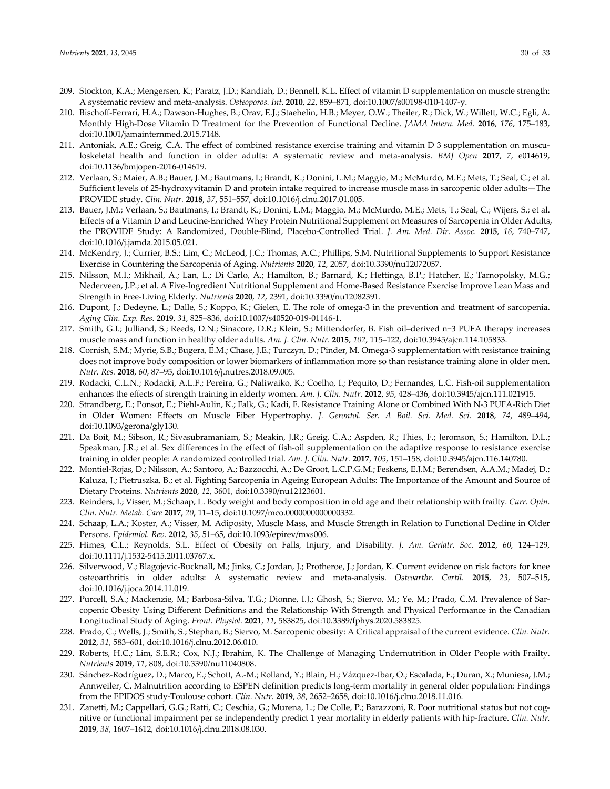- 209. Stockton, K.A.; Mengersen, K.; Paratz, J.D.; Kandiah, D.; Bennell, K.L. Effect of vitamin D supplementation on muscle strength: A systematic review and meta‐analysis. *Osteoporos. Int.* **2010**, *22*, 859–871, doi:10.1007/s00198‐010‐1407‐y.
- 210. Bischoff-Ferrari, H.A.; Dawson-Hughes, B.; Orav, E.J.; Staehelin, H.B.; Meyer, O.W.; Theiler, R.; Dick, W.; Willett, W.C.; Egli, A. Monthly High‐Dose Vitamin D Treatment for the Prevention of Functional Decline. *JAMA Intern. Med.* **2016**, *176*, 175–183, doi:10.1001/jamainternmed.2015.7148.
- 211. Antoniak, A.E.; Greig, C.A. The effect of combined resistance exercise training and vitamin D 3 supplementation on musculoskeletal health and function in older adults: A systematic review and meta‐analysis. *BMJ Open* **2017**, *7*, e014619, doi:10.1136/bmjopen‐2016‐014619.
- 212. Verlaan, S.; Maier, A.B.; Bauer, J.M.; Bautmans, I.; Brandt, K.; Donini, L.M.; Maggio, M.; McMurdo, M.E.; Mets, T.; Seal, C.; et al. Sufficient levels of 25‐hydroxyvitamin D and protein intake required to increase muscle mass in sarcopenic older adults—The PROVIDE study. *Clin. Nutr.* **2018**, *37*, 551–557, doi:10.1016/j.clnu.2017.01.005.
- 213. Bauer, J.M.; Verlaan, S.; Bautmans, I.; Brandt, K.; Donini, L.M.; Maggio, M.; McMurdo, M.E.; Mets, T.; Seal, C.; Wijers, S.; et al. Effects of a Vitamin D and Leucine‐Enriched Whey Protein Nutritional Supplement on Measures of Sarcopenia in Older Adults, the PROVIDE Study: A Randomized, Double‐Blind, Placebo‐Controlled Trial. *J. Am. Med. Dir. Assoc.* **2015**, *16*, 740–747, doi:10.1016/j.jamda.2015.05.021.
- 214. McKendry, J.; Currier, B.S.; Lim, C.; McLeod, J.C.; Thomas, A.C.; Phillips, S.M. Nutritional Supplements to Support Resistance Exercise in Countering the Sarcopenia of Aging. *Nutrients* **2020**, *12*, 2057, doi:10.3390/nu12072057.
- 215. Nilsson, M.I.; Mikhail, A.; Lan, L.; Di Carlo, A.; Hamilton, B.; Barnard, K.; Hettinga, B.P.; Hatcher, E.; Tarnopolsky, M.G.; Nederveen, J.P.; et al. A Five‐Ingredient Nutritional Supplement and Home‐Based Resistance Exercise Improve Lean Mass and Strength in Free‐Living Elderly. *Nutrients* **2020**, *12*, 2391, doi:10.3390/nu12082391.
- 216. Dupont, J.; Dedeyne, L.; Dalle, S.; Koppo, K.; Gielen, E. The role of omega‐3 in the prevention and treatment of sarcopenia. *Aging Clin. Exp. Res.* **2019**, *31*, 825–836, doi:10.1007/s40520‐019‐01146‐1.
- 217. Smith, G.I.; Julliand, S.; Reeds, D.N.; Sinacore, D.R.; Klein, S.; Mittendorfer, B. Fish oil–derived n−3 PUFA therapy increases muscle mass and function in healthy older adults. *Am. J. Clin. Nutr.* **2015**, *102*, 115–122, doi:10.3945/ajcn.114.105833.
- 218. Cornish, S.M.; Myrie, S.B.; Bugera, E.M.; Chase, J.E.; Turczyn, D.; Pinder, M. Omega‐3 supplementation with resistance training does not improve body composition or lower biomarkers of inflammation more so than resistance training alone in older men. *Nutr. Res.* **2018**, *60*, 87–95, doi:10.1016/j.nutres.2018.09.005.
- 219. Rodacki, C.L.N.; Rodacki, A.L.F.; Pereira, G.; Naliwaiko, K.; Coelho, I.; Pequito, D.; Fernandes, L.C. Fish‐oil supplementation enhances the effects of strength training in elderly women. *Am. J. Clin. Nutr.* **2012**, *95*, 428–436, doi:10.3945/ajcn.111.021915.
- 220. Strandberg, E.; Ponsot, E.; Piehl‐Aulin, K.; Falk, G.; Kadi, F. Resistance Training Alone or Combined With N‐3 PUFA‐Rich Diet in Older Women: Effects on Muscle Fiber Hypertrophy. *J. Gerontol. Ser. A Boil. Sci. Med. Sci.* **2018**, *74*, 489–494, doi:10.1093/gerona/gly130.
- 221. Da Boit, M.; Sibson, R.; Sivasubramaniam, S.; Meakin, J.R.; Greig, C.A.; Aspden, R.; Thies, F.; Jeromson, S.; Hamilton, D.L.; Speakman, J.R.; et al. Sex differences in the effect of fish‐oil supplementation on the adaptive response to resistance exercise training in older people: A randomized controlled trial. *Am. J. Clin. Nutr.* **2017**, *105*, 151–158, doi:10.3945/ajcn.116.140780.
- 222. Montiel‐Rojas, D.; Nilsson, A.; Santoro, A.; Bazzocchi, A.; De Groot, L.C.P.G.M.; Feskens, E.J.M.; Berendsen, A.A.M.; Madej, D.; Kaluza, J.; Pietruszka, B.; et al. Fighting Sarcopenia in Ageing European Adults: The Importance of the Amount and Source of Dietary Proteins. *Nutrients* **2020**, *12*, 3601, doi:10.3390/nu12123601.
- 223. Reinders, I.; Visser, M.; Schaap, L. Body weight and body composition in old age and their relationship with frailty. *Curr. Opin. Clin. Nutr. Metab. Care* **2017**, *20*, 11–15, doi:10.1097/mco.0000000000000332.
- 224. Schaap, L.A.; Koster, A.; Visser, M. Adiposity, Muscle Mass, and Muscle Strength in Relation to Functional Decline in Older Persons. *Epidemiol. Rev.* **2012**, *35*, 51–65, doi:10.1093/epirev/mxs006.
- 225. Himes, C.L.; Reynolds, S.L. Effect of Obesity on Falls, Injury, and Disability. *J. Am. Geriatr. Soc.* **2012**, *60*, 124–129, doi:10.1111/j.1532‐5415.2011.03767.x.
- 226. Silverwood, V.; Blagojevic‐Bucknall, M.; Jinks, C.; Jordan, J.; Protheroe, J.; Jordan, K. Current evidence on risk factors for knee osteoarthritis in older adults: A systematic review and meta‐analysis. *Osteoarthr. Cartil.* **2015**, *23*, 507–515, doi:10.1016/j.joca.2014.11.019.
- 227. Purcell, S.A.; Mackenzie, M.; Barbosa‐Silva, T.G.; Dionne, I.J.; Ghosh, S.; Siervo, M.; Ye, M.; Prado, C.M. Prevalence of Sar‐ copenic Obesity Using Different Definitions and the Relationship With Strength and Physical Performance in the Canadian Longitudinal Study of Aging. *Front. Physiol.* **2021**, *11*, 583825, doi:10.3389/fphys.2020.583825.
- 228. Prado, C.; Wells, J.; Smith, S.; Stephan, B.; Siervo, M. Sarcopenic obesity: A Critical appraisal of the current evidence. *Clin. Nutr.* **2012**, *31*, 583–601, doi:10.1016/j.clnu.2012.06.010.
- 229. Roberts, H.C.; Lim, S.E.R.; Cox, N.J.; Ibrahim, K. The Challenge of Managing Undernutrition in Older People with Frailty. *Nutrients* **2019**, *11*, 808, doi:10.3390/nu11040808.
- 230. Sánchez‐Rodríguez, D.; Marco, E.; Schott, A.‐M.; Rolland, Y.; Blain, H.; Vázquez‐Ibar, O.; Escalada, F.; Duran, X.; Muniesa, J.M.; Annweiler, C. Malnutrition according to ESPEN definition predicts long‐term mortality in general older population: Findings from the EPIDOS study‐Toulouse cohort. *Clin. Nutr.* **2019**, *38*, 2652–2658, doi:10.1016/j.clnu.2018.11.016.
- 231. Zanetti, M.; Cappellari, G.G.; Ratti, C.; Ceschia, G.; Murena, L.; De Colle, P.; Barazzoni, R. Poor nutritional status but not cog‐ nitive or functional impairment per se independently predict 1 year mortality in elderly patients with hip‐fracture. *Clin. Nutr.* **2019**, *38*, 1607–1612, doi:10.1016/j.clnu.2018.08.030.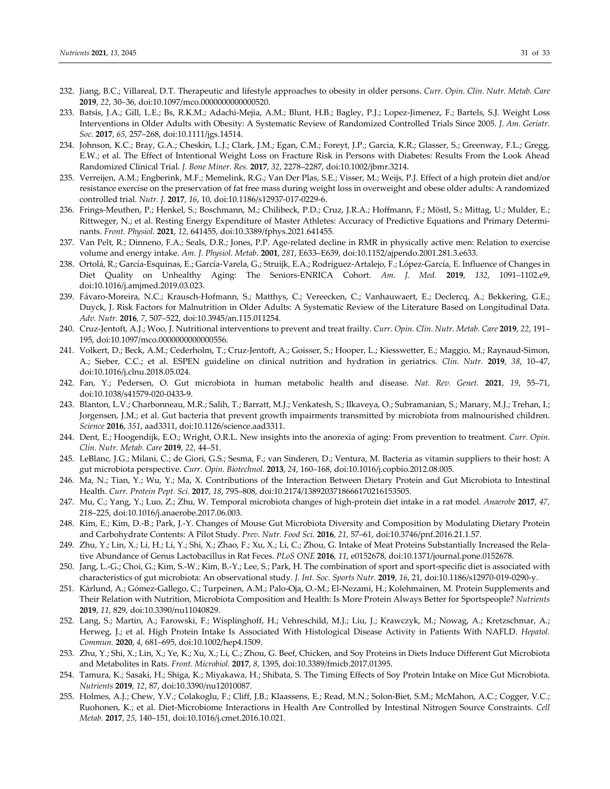- 232. Jiang, B.C.; Villareal, D.T. Therapeutic and lifestyle approaches to obesity in older persons. *Curr. Opin. Clin. Nutr. Metab. Care* **2019**, *22*, 30–36, doi:10.1097/mco.0000000000000520.
- 233. Batsis, J.A.; Gill, L.E.; Bs, R.K.M.; Adachi‐Mejia, A.M.; Blunt, H.B.; Bagley, P.J.; Lopez‐Jimenez, F.; Bartels, S.J. Weight Loss Interventions in Older Adults with Obesity: A Systematic Review of Randomized Controlled Trials Since 2005. *J. Am. Geriatr. Soc.* **2017**, *65*, 257–268, doi:10.1111/jgs.14514.
- 234. Johnson, K.C.; Bray, G.A.; Cheskin, L.J.; Clark, J.M.; Egan, C.M.; Foreyt, J.P.; Garcia, K.R.; Glasser, S.; Greenway, F.L.; Gregg, E.W.; et al. The Effect of Intentional Weight Loss on Fracture Risk in Persons with Diabetes: Results From the Look Ahead Randomized Clinical Trial. *J. Bone Miner. Res.* **2017**, *32*, 2278–2287, doi:10.1002/jbmr.3214.
- 235. Verreijen, A.M.; Engberink, M.F.; Memelink, R.G.; Van Der Plas, S.E.; Visser, M.; Weijs, P.J. Effect of a high protein diet and/or resistance exercise on the preservation of fat free mass during weight loss in overweight and obese older adults: A randomized controlled trial. *Nutr. J.* **2017**, *16*, 10, doi:10.1186/s12937‐017‐0229‐6.
- 236. Frings‐Meuthen, P.; Henkel, S.; Boschmann, M.; Chilibeck, P.D.; Cruz, J.R.A.; Hoffmann, F.; Möstl, S.; Mittag, U.; Mulder, E.; Rittweger, N.; et al. Resting Energy Expenditure of Master Athletes: Accuracy of Predictive Equations and Primary Determi‐ nants. *Front. Physiol.* **2021**, *12*, 641455, doi:10.3389/fphys.2021.641455.
- 237. Van Pelt, R.; Dinneno, F.A.; Seals, D.R.; Jones, P.P. Age-related decline in RMR in physically active men: Relation to exercise volume and energy intake. *Am. J. Physiol. Metab.* **2001**, *281*, E633–E639, doi:10.1152/ajpendo.2001.281.3.e633.
- 238. Ortolá, R.; García‐Esquinas, E.; García‐Varela, G.; Struijk, E.A.; Rodríguez‐Artalejo, F.; López‐García, E. Influence of Changes in Diet Quality on Unhealthy Aging: The Seniors‐ENRICA Cohort. *Am. J. Med.* **2019**, *132*, 1091–1102.e9, doi:10.1016/j.amjmed.2019.03.023.
- 239. Fávaro‐Moreira, N.C.; Krausch‐Hofmann, S.; Matthys, C.; Vereecken, C.; Vanhauwaert, E.; Declercq, A.; Bekkering, G.E.; Duyck, J. Risk Factors for Malnutrition in Older Adults: A Systematic Review of the Literature Based on Longitudinal Data. *Adv. Nutr.* **2016**, *7*, 507–522, doi:10.3945/an.115.011254.
- 240. Cruz‐Jentoft, A.J.; Woo, J. Nutritional interventions to prevent and treat frailty. *Curr. Opin. Clin. Nutr. Metab. Care* **2019**, *22*, 191– 195, doi:10.1097/mco.0000000000000556.
- 241. Volkert, D.; Beck, A.M.; Cederholm, T.; Cruz‐Jentoft, A.; Goisser, S.; Hooper, L.; Kiesswetter, E.; Maggio, M.; Raynaud‐Simon, A.; Sieber, C.C.; et al. ESPEN guideline on clinical nutrition and hydration in geriatrics. *Clin. Nutr.* **2019**, *38*, 10–47, doi:10.1016/j.clnu.2018.05.024.
- 242. Fan, Y.; Pedersen, O. Gut microbiota in human metabolic health and disease. *Nat. Rev. Genet.* **2021**, *19*, 55–71, doi:10.1038/s41579‐020‐0433‐9.
- 243. Blanton, L.V.; Charbonneau, M.R.; Salih, T.; Barratt, M.J.; Venkatesh, S.; Ilkaveya, O.; Subramanian, S.; Manary, M.J.; Trehan, I.; Jorgensen, J.M.; et al. Gut bacteria that prevent growth impairments transmitted by microbiota from malnourished children. *Science* **2016**, *351*, aad3311, doi:10.1126/science.aad3311.
- 244. Dent, E.; Hoogendijk, E.O.; Wright, O.R.L. New insights into the anorexia of aging: From prevention to treatment. *Curr. Opin. Clin. Nutr. Metab. Care* **2019**, *22*, 44–51.
- 245. LeBlanc, J.G.; Milani, C.; de Giori, G.S.; Sesma, F.; van Sinderen, D.; Ventura, M. Bacteria as vitamin suppliers to their host: A gut microbiota perspective. *Curr. Opin. Biotechnol.* **2013**, *24*, 160–168, doi:10.1016/j.copbio.2012.08.005.
- 246. Ma, N.; Tian, Y.; Wu, Y.; Ma, X. Contributions of the Interaction Between Dietary Protein and Gut Microbiota to Intestinal Health. *Curr. Protein Pept. Sci.* **2017**, *18*, 795–808, doi:10.2174/1389203718666170216153505.
- 247. Mu, C.; Yang, Y.; Luo, Z.; Zhu, W. Temporal microbiota changes of high‐protein diet intake in a rat model. *Anaerobe* **2017**, *47*, 218–225, doi:10.1016/j.anaerobe.2017.06.003.
- 248. Kim, E.; Kim, D.‐B.; Park, J.‐Y. Changes of Mouse Gut Microbiota Diversity and Composition by Modulating Dietary Protein and Carbohydrate Contents: A Pilot Study. *Prev. Nutr. Food Sci.* **2016**, *21*, 57–61, doi:10.3746/pnf.2016.21.1.57.
- 249. Zhu, Y.; Lin, X.; Li, H.; Li, Y.; Shi, X.; Zhao, F.; Xu, X.; Li, C.; Zhou, G. Intake of Meat Proteins Substantially Increased the Rela‐ tive Abundance of Genus Lactobacillus in Rat Feces. *PLoS ONE* **2016**, *11*, e0152678, doi:10.1371/journal.pone.0152678.
- 250. Jang, L.‐G.; Choi, G.; Kim, S.‐W.; Kim, B.‐Y.; Lee, S.; Park, H. The combination of sport and sport‐specific diet is associated with characteristics of gut microbiota: An observational study. *J. Int. Soc. Sports Nutr.* **2019**, *16*, 21, doi:10.1186/s12970‐019‐0290‐y.
- 251. Kårlund, A.; Gómez‐Gallego, C.; Turpeinen, A.M.; Palo‐Oja, O.‐M.; El‐Nezami, H.; Kolehmainen, M. Protein Supplements and Their Relation with Nutrition, Microbiota Composition and Health: Is More Protein Always Better for Sportspeople? *Nutrients* **2019**, *11*, 829, doi:10.3390/nu11040829.
- 252. Lang, S.; Martin, A.; Farowski, F.; Wisplinghoff, H.; Vehreschild, M.J.; Liu, J.; Krawczyk, M.; Nowag, A.; Kretzschmar, A.; Herweg, J.; et al. High Protein Intake Is Associated With Histological Disease Activity in Patients With NAFLD. *Hepatol. Commun.* **2020**, *4*, 681–695, doi:10.1002/hep4.1509.
- 253. Zhu, Y.; Shi, X.; Lin, X.; Ye, K.; Xu, X.; Li, C.; Zhou, G. Beef, Chicken, and Soy Proteins in Diets Induce Different Gut Microbiota and Metabolites in Rats. *Front. Microbiol.* **2017**, *8*, 1395, doi:10.3389/fmicb.2017.01395.
- 254. Tamura, K.; Sasaki, H.; Shiga, K.; Miyakawa, H.; Shibata, S. The Timing Effects of Soy Protein Intake on Mice Gut Microbiota. *Nutrients* **2019**, *12*, 87, doi:10.3390/nu12010087.
- 255. Holmes, A.J.; Chew, Y.V.; Colakoglu, F.; Cliff, J.B.; Klaassens, E.; Read, M.N.; Solon‐Biet, S.M.; McMahon, A.C.; Cogger, V.C.; Ruohonen, K.; et al. Diet‐Microbiome Interactions in Health Are Controlled by Intestinal Nitrogen Source Constraints. *Cell Metab.* **2017**, *25*, 140–151, doi:10.1016/j.cmet.2016.10.021.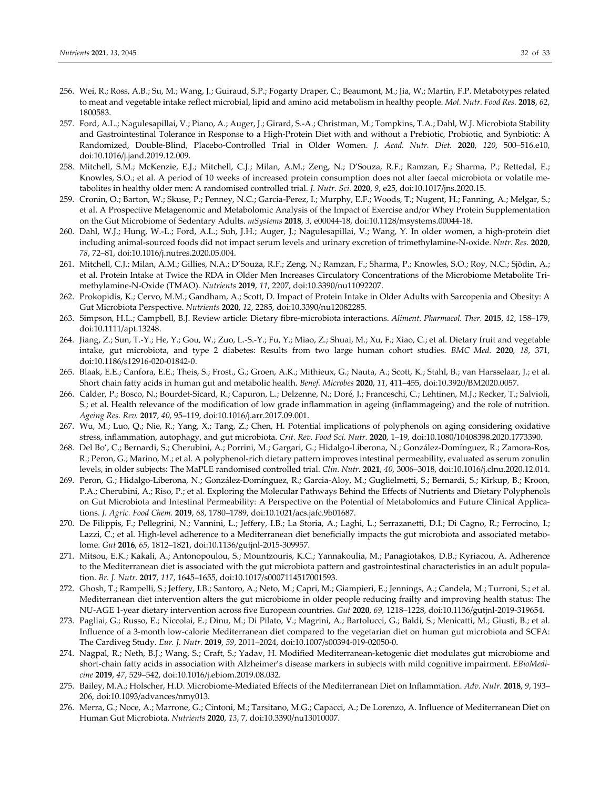- 256. Wei, R.; Ross, A.B.; Su, M.; Wang, J.; Guiraud, S.P.; Fogarty Draper, C.; Beaumont, M.; Jia, W.; Martin, F.P. Metabotypes related to meat and vegetable intake reflect microbial, lipid and amino acid metabolism in healthy people. *Mol. Nutr. Food Res.* **2018**, *62*, 1800583.
- 257. Ford, A.L.; Nagulesapillai, V.; Piano, A.; Auger, J.; Girard, S.‐A.; Christman, M.; Tompkins, T.A.; Dahl, W.J. Microbiota Stability and Gastrointestinal Tolerance in Response to a High‐Protein Diet with and without a Prebiotic, Probiotic, and Synbiotic: A Randomized, Double‐Blind, Placebo‐Controlled Trial in Older Women. *J. Acad. Nutr. Diet.* **2020**, *120*, 500–516.e10, doi:10.1016/j.jand.2019.12.009.
- 258. Mitchell, S.M.; McKenzie, E.J.; Mitchell, C.J.; Milan, A.M.; Zeng, N.; D'Souza, R.F.; Ramzan, F.; Sharma, P.; Rettedal, E.; Knowles, S.O.; et al. A period of 10 weeks of increased protein consumption does not alter faecal microbiota or volatile me‐ tabolites in healthy older men: A randomised controlled trial. *J. Nutr. Sci.* **2020**, *9*, e25, doi:10.1017/jns.2020.15.
- 259. Cronin, O.; Barton, W.; Skuse, P.; Penney, N.C.; Garcia‐Perez, I.; Murphy, E.F.; Woods, T.; Nugent, H.; Fanning, A.; Melgar, S.; et al. A Prospective Metagenomic and Metabolomic Analysis of the Impact of Exercise and/or Whey Protein Supplementation on the Gut Microbiome of Sedentary Adults. *mSystems* **2018**, *3*, e00044‐18, doi:10.1128/msystems.00044‐18.
- 260. Dahl, W.J.; Hung, W.‐L.; Ford, A.L.; Suh, J.H.; Auger, J.; Nagulesapillai, V.; Wang, Y. In older women, a high‐protein diet including animal‐sourced foods did not impact serum levels and urinary excretion of trimethylamine‐N‐oxide. *Nutr. Res.* **2020**, *78*, 72–81, doi:10.1016/j.nutres.2020.05.004.
- 261. Mitchell, C.J.; Milan, A.M.; Gillies, N.A.; D'Souza, R.F.; Zeng, N.; Ramzan, F.; Sharma, P.; Knowles, S.O.; Roy, N.C.; Sjödin, A.; et al. Protein Intake at Twice the RDA in Older Men Increases Circulatory Concentrations of the Microbiome Metabolite Tri‐ methylamine‐N‐Oxide (TMAO). *Nutrients* **2019**, *11*, 2207, doi:10.3390/nu11092207.
- 262. Prokopidis, K.; Cervo, M.M.; Gandham, A.; Scott, D. Impact of Protein Intake in Older Adults with Sarcopenia and Obesity: A Gut Microbiota Perspective. *Nutrients* **2020**, *12*, 2285, doi:10.3390/nu12082285.
- 263. Simpson, H.L.; Campbell, B.J. Review article: Dietary fibre‐microbiota interactions. *Aliment. Pharmacol. Ther.* **2015**, *42*, 158–179, doi:10.1111/apt.13248.
- 264. Jiang, Z.; Sun, T.‐Y.; He, Y.; Gou, W.; Zuo, L.‐S.‐Y.; Fu, Y.; Miao, Z.; Shuai, M.; Xu, F.; Xiao, C.; et al. Dietary fruit and vegetable intake, gut microbiota, and type 2 diabetes: Results from two large human cohort studies. *BMC Med.* **2020**, *18*, 371, doi:10.1186/s12916‐020‐01842‐0.
- 265. Blaak, E.E.; Canfora, E.E.; Theis, S.; Frost., G.; Groen, A.K.; Mithieux, G.; Nauta, A.; Scott, K.; Stahl, B.; van Harsselaar, J.; et al. Short chain fatty acids in human gut and metabolic health. *Benef. Microbes* **2020**, *11*, 411–455, doi:10.3920/BM2020.0057.
- 266. Calder, P.; Bosco, N.; Bourdet‐Sicard, R.; Capuron, L.; Delzenne, N.; Doré, J.; Franceschi, C.; Lehtinen, M.J.; Recker, T.; Salvioli, S.; et al. Health relevance of the modification of low grade inflammation in ageing (inflammageing) and the role of nutrition. *Ageing Res. Rev.* **2017**, *40*, 95–119, doi:10.1016/j.arr.2017.09.001.
- 267. Wu, M.; Luo, Q.; Nie, R.; Yang, X.; Tang, Z.; Chen, H. Potential implications of polyphenols on aging considering oxidative stress, inflammation, autophagy, and gut microbiota. *Crit. Rev. Food Sci. Nutr.* **2020**, 1–19, doi:10.1080/10408398.2020.1773390.
- 268. Del Bo', C.; Bernardi, S.; Cherubini, A.; Porrini, M.; Gargari, G.; Hidalgo‐Liberona, N.; González‐Domínguez, R.; Zamora‐Ros, R.; Peron, G.; Marino, M.; et al. A polyphenol‐rich dietary pattern improves intestinal permeability, evaluated as serum zonulin levels, in older subjects: The MaPLE randomised controlled trial. *Clin. Nutr.* **2021**, *40*, 3006–3018, doi:10.1016/j.clnu.2020.12.014.
- 269. Peron, G.; Hidalgo‐Liberona, N.; González‐Domínguez, R.; Garcia‐Aloy, M.; Guglielmetti, S.; Bernardi, S.; Kirkup, B.; Kroon, P.A.; Cherubini, A.; Riso, P.; et al. Exploring the Molecular Pathways Behind the Effects of Nutrients and Dietary Polyphenols on Gut Microbiota and Intestinal Permeability: A Perspective on the Potential of Metabolomics and Future Clinical Applica‐ tions. *J. Agric. Food Chem.* **2019**, *68*, 1780–1789, doi:10.1021/acs.jafc.9b01687.
- 270. De Filippis, F.; Pellegrini, N.; Vannini, L.; Jeffery, I.B.; La Storia, A.; Laghi, L.; Serrazanetti, D.I.; Di Cagno, R.; Ferrocino, I.; Lazzi, C.; et al. High-level adherence to a Mediterranean diet beneficially impacts the gut microbiota and associated metabolome. *Gut* **2016**, *65*, 1812–1821, doi:10.1136/gutjnl‐2015‐309957.
- 271. Mitsou, E.K.; Kakali, A.; Antonopoulou, S.; Mountzouris, K.C.; Yannakoulia, M.; Panagiotakos, D.B.; Kyriacou, A. Adherence to the Mediterranean diet is associated with the gut microbiota pattern and gastrointestinal characteristics in an adult popula‐ tion. *Br. J. Nutr.* **2017**, *117*, 1645–1655, doi:10.1017/s0007114517001593.
- 272. Ghosh, T.; Rampelli, S.; Jeffery, I.B.; Santoro, A.; Neto, M.; Capri, M.; Giampieri, E.; Jennings, A.; Candela, M.; Turroni, S.; et al. Mediterranean diet intervention alters the gut microbiome in older people reducing frailty and improving health status: The NU‐AGE 1‐year dietary intervention across five European countries. *Gut* **2020**, *69*, 1218–1228, doi:10.1136/gutjnl‐2019‐319654.
- 273. Pagliai, G.; Russo, E.; Niccolai, E.; Dinu, M.; Di Pilato, V.; Magrini, A.; Bartolucci, G.; Baldi, S.; Menicatti, M.; Giusti, B.; et al. Influence of a 3-month low-calorie Mediterranean diet compared to the vegetarian diet on human gut microbiota and SCFA: The Cardiveg Study. *Eur. J. Nutr.* **2019**, *59*, 2011–2024, doi:10.1007/s00394‐019‐02050‐0.
- 274. Nagpal, R.; Neth, B.J.; Wang, S.; Craft, S.; Yadav, H. Modified Mediterranean‐ketogenic diet modulates gut microbiome and short-chain fatty acids in association with Alzheimer's disease markers in subjects with mild cognitive impairment. *EBioMedicine* **2019**, *47*, 529–542, doi:10.1016/j.ebiom.2019.08.032.
- 275. Bailey, M.A.; Holscher, H.D. Microbiome‐Mediated Effects of the Mediterranean Diet on Inflammation. *Adv. Nutr.* **2018**, *9*, 193– 206, doi:10.1093/advances/nmy013.
- 276. Merra, G.; Noce, A.; Marrone, G.; Cintoni, M.; Tarsitano, M.G.; Capacci, A.; De Lorenzo, A. Influence of Mediterranean Diet on Human Gut Microbiota. *Nutrients* **2020**, *13*, 7, doi:10.3390/nu13010007.